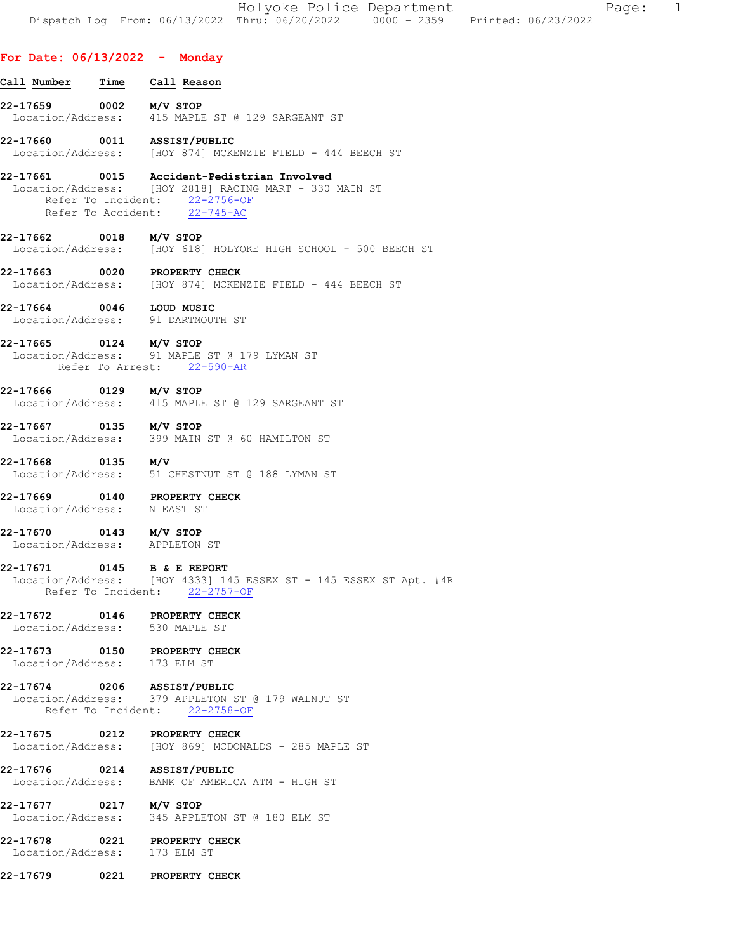| Holyoke Police Department                                                      | Page: |  |
|--------------------------------------------------------------------------------|-------|--|
| Dispatch Log From: 06/13/2022 Thru: 06/20/2022 0000 - 2359 Printed: 06/23/2022 |       |  |

# For Date: 06/13/2022 - Monday

| <u>Call Number</u>                                             | Time | Call Reason                                                                                                                                                           |
|----------------------------------------------------------------|------|-----------------------------------------------------------------------------------------------------------------------------------------------------------------------|
| 22-17659 0002 M/V STOP                                         |      | Location/Address: 415 MAPLE ST @ 129 SARGEANT ST                                                                                                                      |
| 22-17660 0011 ASSIST/PUBLIC                                    |      | Location/Address: [HOY 874] MCKENZIE FIELD - 444 BEECH ST                                                                                                             |
|                                                                |      | 22-17661 0015 Accident-Pedistrian Involved<br>Location/Address: [HOY 2818] RACING MART - 330 MAIN ST<br>Refer To Incident: 22-2756-OF<br>Refer To Accident: 22-745-AC |
| 22-17662 0018 M/V STOP                                         |      | Location/Address: [HOY 618] HOLYOKE HIGH SCHOOL - 500 BEECH ST                                                                                                        |
| 22-17663 0020 PROPERTY CHECK                                   |      | Location/Address: [HOY 874] MCKENZIE FIELD - 444 BEECH ST                                                                                                             |
| 22-17664 0046 LOUD MUSIC                                       |      | Location/Address: 91 DARTMOUTH ST                                                                                                                                     |
| 22-17665 0124 M/V STOP                                         |      | Location/Address: 91 MAPLE ST @ 179 LYMAN ST<br>Refer To Arrest: 22-590-AR                                                                                            |
| 22-17666 0129 M/V STOP<br>Location/Address:                    |      | 415 MAPLE ST @ 129 SARGEANT ST                                                                                                                                        |
| 22-17667 0135 M/V STOP                                         |      | Location/Address: 399 MAIN ST @ 60 HAMILTON ST                                                                                                                        |
| 22-17668 0135 M/V                                              |      | Location/Address: 51 CHESTNUT ST @ 188 LYMAN ST                                                                                                                       |
| 22-17669 0140 PROPERTY CHECK<br>Location/Address: N EAST ST    |      |                                                                                                                                                                       |
| 22-17670 0143 M/V STOP<br>Location/Address: APPLETON ST        |      |                                                                                                                                                                       |
| 22-17671 0145 B & E REPORT                                     |      | Location/Address: [HOY 4333] 145 ESSEX ST - 145 ESSEX ST Apt. #4R<br>Refer To Incident: 22-2757-OF                                                                    |
| 22-17672 0146 PROPERTY CHECK<br>Location/Address: 530 MAPLE ST |      |                                                                                                                                                                       |
| 22-17673 0150 PROPERTY CHECK<br>Location/Address: 173 ELM ST   |      |                                                                                                                                                                       |
| 22-17674 0206 ASSIST/PUBLIC                                    |      | Location/Address: 379 APPLETON ST @ 179 WALNUT ST<br>Refer To Incident: 22-2758-OF                                                                                    |
| 22-17675 0212 PROPERTY CHECK                                   |      | Location/Address: [HOY 869] MCDONALDS - 285 MAPLE ST                                                                                                                  |
| 22-17676 0214 ASSIST/PUBLIC                                    |      | Location/Address: BANK OF AMERICA ATM - HIGH ST                                                                                                                       |
| 22-17677 0217 M/V STOP                                         |      | Location/Address: 345 APPLETON ST @ 180 ELM ST                                                                                                                        |
| 22-17678 0221 PROPERTY CHECK<br>Location/Address: 173 ELM ST   |      |                                                                                                                                                                       |
| 22-17679 0221 PROPERTY CHECK                                   |      |                                                                                                                                                                       |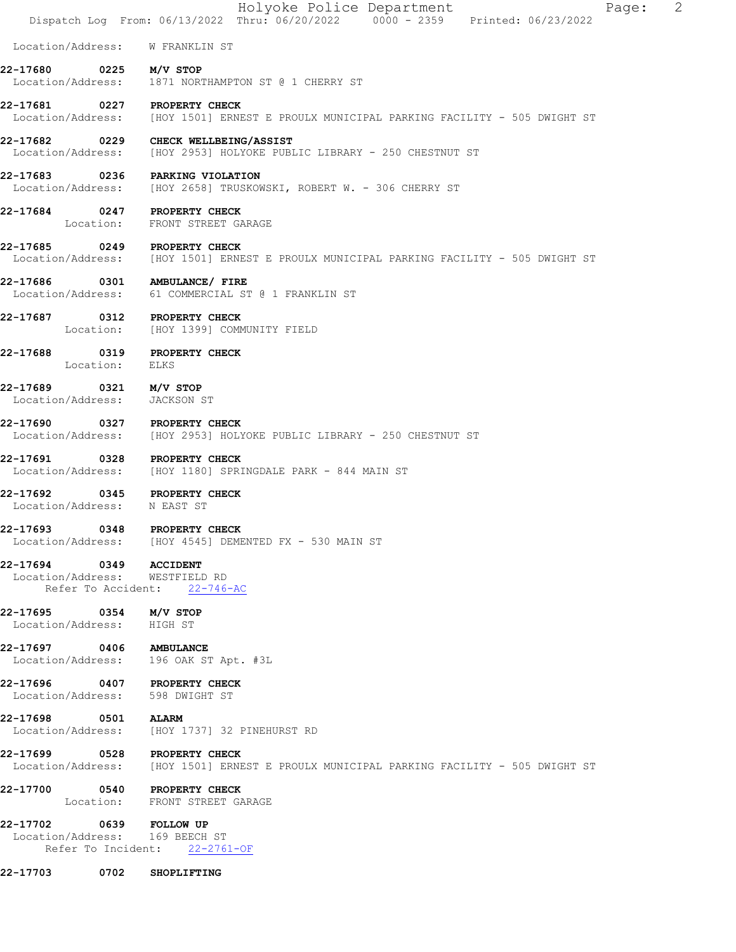|                                                                 |                | Holyoke Police Department<br>2<br>Page:<br>Dispatch Log From: 06/13/2022 Thru: 06/20/2022 0000 - 2359 Printed: 06/23/2022 |
|-----------------------------------------------------------------|----------------|---------------------------------------------------------------------------------------------------------------------------|
|                                                                 |                | Location/Address: W FRANKLIN ST                                                                                           |
| 22-17680                                                        |                | 0225 M/V STOP<br>Location/Address: 1871 NORTHAMPTON ST @ 1 CHERRY ST                                                      |
| 22-17681 0227 PROPERTY CHECK                                    |                | Location/Address: [HOY 1501] ERNEST E PROULX MUNICIPAL PARKING FACILITY - 505 DWIGHT ST                                   |
| 22-17682                                                        |                | 0229 CHECK WELLBEING/ASSIST<br>Location/Address: [HOY 2953] HOLYOKE PUBLIC LIBRARY - 250 CHESTNUT ST                      |
|                                                                 |                | 22-17683 0236 PARKING VIOLATION<br>Location/Address: [HOY 2658] TRUSKOWSKI, ROBERT W. - 306 CHERRY ST                     |
| 22-17684 0247 PROPERTY CHECK                                    |                | Location: FRONT STREET GARAGE                                                                                             |
| 22-17685 0249 PROPERTY CHECK                                    |                | Location/Address: [HOY 1501] ERNEST E PROULX MUNICIPAL PARKING FACILITY - 505 DWIGHT ST                                   |
| 22-17686                                                        |                | 0301 AMBULANCE/ FIRE<br>Location/Address: 61 COMMERCIAL ST @ 1 FRANKLIN ST                                                |
| 22-17687 0312 PROPERTY CHECK                                    |                | Location: [HOY 1399] COMMUNITY FIELD                                                                                      |
| 22-17688 0319 PROPERTY CHECK                                    | Location: ELKS |                                                                                                                           |
| 22-17689 0321 M/V STOP<br>Location/Address: JACKSON ST          |                |                                                                                                                           |
| 22-17690 0327 PROPERTY CHECK                                    |                | Location/Address: [HOY 2953] HOLYOKE PUBLIC LIBRARY - 250 CHESTNUT ST                                                     |
| 22-17691                                                        |                | 0328 PROPERTY CHECK<br>Location/Address: [HOY 1180] SPRINGDALE PARK - 844 MAIN ST                                         |
| 22-17692 0345 PROPERTY CHECK<br>Location/Address: N EAST ST     |                |                                                                                                                           |
| 22-17693                                                        |                | 0348 PROPERTY CHECK<br>Location/Address: [HOY 4545] DEMENTED FX - 530 MAIN ST                                             |
| 22-17694 0349<br>Location/Address: WESTFIELD RD                 |                | <b>ACCIDENT</b><br>Refer To Accident: 22-746-AC                                                                           |
| 22-17695 0354 M/V STOP<br>Location/Address: HIGH ST             |                |                                                                                                                           |
| 22-17697 0406 AMBULANCE                                         |                | Location/Address: 196 OAK ST Apt. #3L                                                                                     |
| 22-17696 0407 PROPERTY CHECK<br>Location/Address: 598 DWIGHT ST |                |                                                                                                                           |
| 22-17698 0501 ALARM                                             |                | Location/Address: [HOY 1737] 32 PINEHURST RD                                                                              |
| 22-17699 0528 PROPERTY CHECK                                    |                | Location/Address: [HOY 1501] ERNEST E PROULX MUNICIPAL PARKING FACILITY - 505 DWIGHT ST                                   |
| 22-17700 0540 PROPERTY CHECK                                    |                | Location: FRONT STREET GARAGE                                                                                             |
| 22-17702 0639 FOLLOW UP<br>Location/Address: 169 BEECH ST       |                | Refer To Incident: 22-2761-OF                                                                                             |
| 22-17703 0702 SHOPLIFTING                                       |                |                                                                                                                           |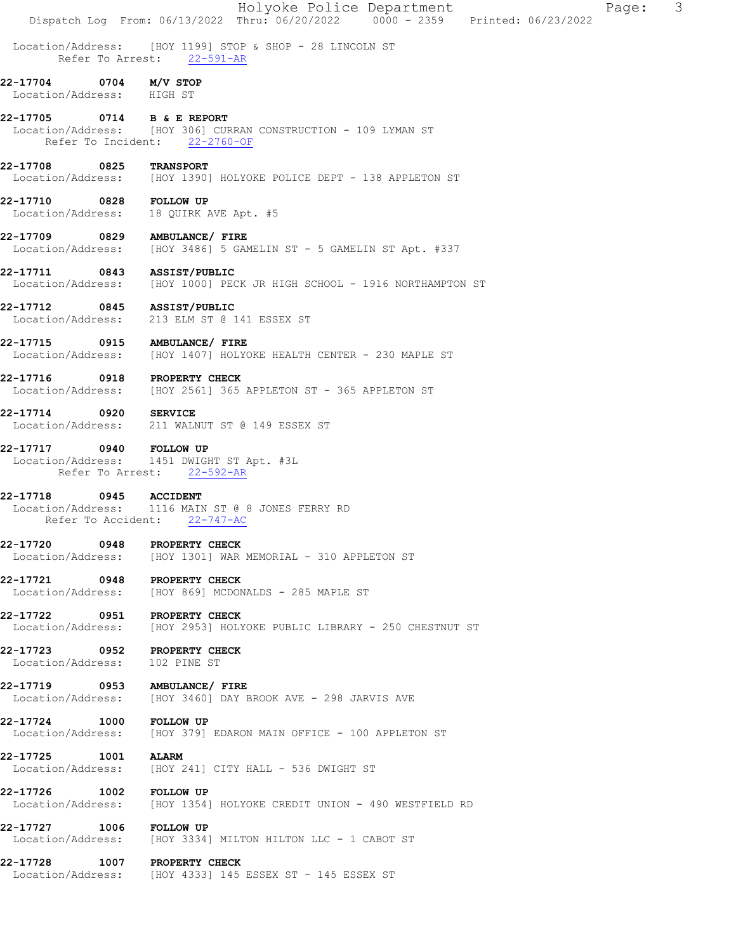|                                              |              |                                                                                                 |  | Holyoke Police Department<br>Dispatch Log From: 06/13/2022 Thru: 06/20/2022 0000 - 2359 Printed: 06/23/2022 |  | Page: | $\mathcal{S}$ |
|----------------------------------------------|--------------|-------------------------------------------------------------------------------------------------|--|-------------------------------------------------------------------------------------------------------------|--|-------|---------------|
|                                              |              | Location/Address: [HOY 1199] STOP & SHOP - 28 LINCOLN ST<br>Refer To Arrest: 22-591-AR          |  |                                                                                                             |  |       |               |
| $22 - 17704$<br>Location/Address: HIGH ST    | 0704         | M/V STOP                                                                                        |  |                                                                                                             |  |       |               |
| 22-17705 0714 B & E REPORT                   |              | Location/Address: [HOY 306] CURRAN CONSTRUCTION - 109 LYMAN ST<br>Refer To Incident: 22-2760-OF |  |                                                                                                             |  |       |               |
| 22-17708                                     | 0825         | <b>TRANSPORT</b>                                                                                |  | Location/Address: [HOY 1390] HOLYOKE POLICE DEPT - 138 APPLETON ST                                          |  |       |               |
| 22-17710 0828 FOLLOW UP<br>Location/Address: |              | 18 QUIRK AVE Apt. #5                                                                            |  |                                                                                                             |  |       |               |
| 22-17709 0829 AMBULANCE/ FIRE                |              |                                                                                                 |  | Location/Address: [HOY 3486] 5 GAMELIN ST - 5 GAMELIN ST Apt. #337                                          |  |       |               |
| 22-17711 0843 ASSIST/PUBLIC                  |              |                                                                                                 |  | Location/Address: [HOY 1000] PECK JR HIGH SCHOOL - 1916 NORTHAMPTON ST                                      |  |       |               |
| 22-17712 0845 ASSIST/PUBLIC                  |              | Location/Address: 213 ELM ST @ 141 ESSEX ST                                                     |  |                                                                                                             |  |       |               |
| 22-17715 0915 AMBULANCE/ FIRE                |              | Location/Address: [HOY 1407] HOLYOKE HEALTH CENTER - 230 MAPLE ST                               |  |                                                                                                             |  |       |               |
| 22-17716 0918 PROPERTY CHECK                 |              | Location/Address: [HOY 2561] 365 APPLETON ST - 365 APPLETON ST                                  |  |                                                                                                             |  |       |               |
| 22-17714                                     | 0920 SERVICE | Location/Address: 211 WALNUT ST @ 149 ESSEX ST                                                  |  |                                                                                                             |  |       |               |
| 22-17717 0940 FOLLOW UP                      |              | Location/Address: 1451 DWIGHT ST Apt. #3L<br>Refer To Arrest: 22-592-AR                         |  |                                                                                                             |  |       |               |
| 22-17718<br>Refer To Accident:               |              | 0945 ACCIDENT<br>Location/Address: 1116 MAIN ST @ 8 JONES FERRY RD<br>$22 - 747 - AC$           |  |                                                                                                             |  |       |               |
| 22-17720                                     | 0948         | PROPERTY CHECK<br>Location/Address: [HOY 1301] WAR MEMORIAL - 310 APPLETON ST                   |  |                                                                                                             |  |       |               |
| 22-17721<br>Location/Address:                | 0948         | PROPERTY CHECK<br>[HOY 869] MCDONALDS - 285 MAPLE ST                                            |  |                                                                                                             |  |       |               |
| 22-17722 0951<br>Location/Address:           |              | PROPERTY CHECK                                                                                  |  | [HOY 2953] HOLYOKE PUBLIC LIBRARY - 250 CHESTNUT ST                                                         |  |       |               |
| $22 - 17723$<br>Location/Address:            | 0952         | <b>PROPERTY CHECK</b><br>102 PINE ST                                                            |  |                                                                                                             |  |       |               |
| 22-17719 0953                                |              | <b>AMBULANCE/ FIRE</b><br>Location/Address: [HOY 3460] DAY BROOK AVE - 298 JARVIS AVE           |  |                                                                                                             |  |       |               |
| 22-17724<br>Location/Address:                | 1000         | <b>FOLLOW UP</b><br>[HOY 379] EDARON MAIN OFFICE - 100 APPLETON ST                              |  |                                                                                                             |  |       |               |
| 22-17725<br>Location/Address:                | 1001         | <b>ALARM</b><br>[HOY 241] CITY HALL - 536 DWIGHT ST                                             |  |                                                                                                             |  |       |               |
| 22-17726<br>Location/Address:                | 1002         | <b>FOLLOW UP</b>                                                                                |  | [HOY 1354] HOLYOKE CREDIT UNION - 490 WESTFIELD RD                                                          |  |       |               |
| 22-17727<br>Location/Address:                | 1006         | <b>FOLLOW UP</b><br>[HOY 3334] MILTON HILTON LLC - 1 CABOT ST                                   |  |                                                                                                             |  |       |               |
| 22-17728                                     |              | 1007 PROPERTY CHECK<br>Location/Address: [HOY 4333] 145 ESSEX ST - 145 ESSEX ST                 |  |                                                                                                             |  |       |               |
|                                              |              |                                                                                                 |  |                                                                                                             |  |       |               |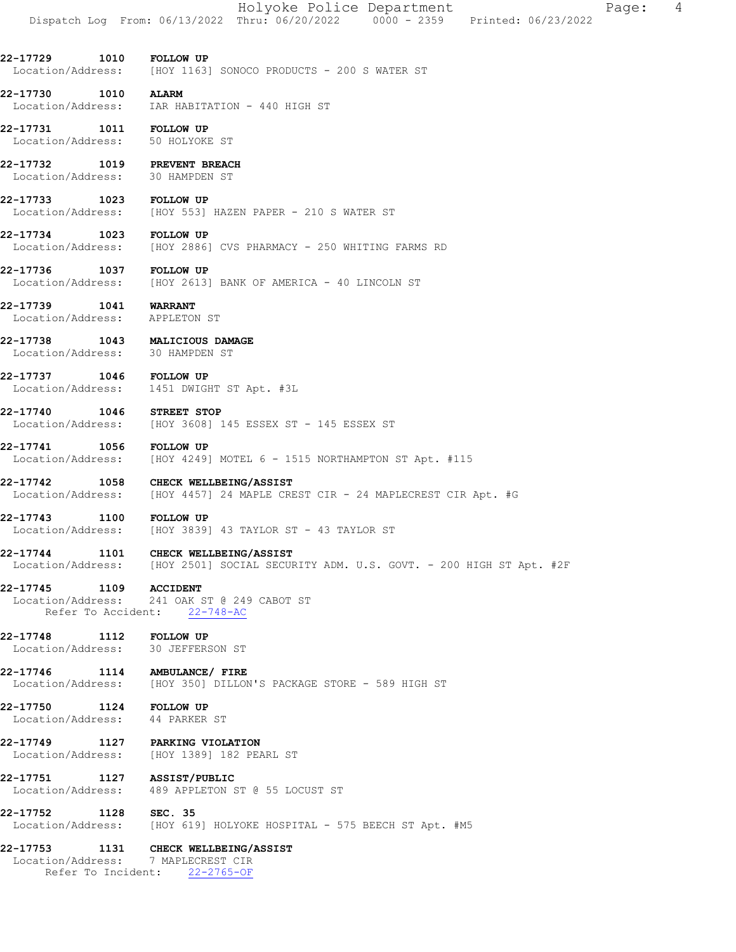|                                                                 | Holyoke Police Department<br>4<br>Page:<br>Dispatch Log From: 06/13/2022 Thru: 06/20/2022 0000 - 2359 Printed: 06/23/2022   |
|-----------------------------------------------------------------|-----------------------------------------------------------------------------------------------------------------------------|
| 22-17729 1010 FOLLOW UP                                         | Location/Address: [HOY 1163] SONOCO PRODUCTS - 200 S WATER ST                                                               |
| 1010<br>22-17730                                                | <b>ALARM</b><br>Location/Address: IAR HABITATION - 440 HIGH ST                                                              |
| 22-17731<br>Location/Address: 50 HOLYOKE ST                     | 1011 FOLLOW UP                                                                                                              |
| 22-17732 1019 PREVENT BREACH<br>Location/Address: 30 HAMPDEN ST |                                                                                                                             |
| 22-17733<br>Location/Address:                                   | 1023 FOLLOW UP<br>[HOY 553] HAZEN PAPER - 210 S WATER ST                                                                    |
| 22-17734 1023 FOLLOW UP<br>Location/Address:                    | [HOY 2886] CVS PHARMACY - 250 WHITING FARMS RD                                                                              |
| 22-17736<br>Location/Address:                                   | 1037 FOLLOW UP<br>[HOY 2613] BANK OF AMERICA - 40 LINCOLN ST                                                                |
| 22-17739 1041<br>Location/Address:                              | <b>WARRANT</b><br>APPLETON ST                                                                                               |
| 22-17738<br>Location/Address: 30 HAMPDEN ST                     | 1043 MALICIOUS DAMAGE                                                                                                       |
| 22-17737 1046 FOLLOW UP                                         | Location/Address: 1451 DWIGHT ST Apt. #3L                                                                                   |
| 22-17740                                                        | 1046 STREET STOP<br>Location/Address: [HOY 3608] 145 ESSEX ST - 145 ESSEX ST                                                |
| 22-17741<br>1056                                                | <b>FOLLOW UP</b><br>Location/Address: [HOY 4249] MOTEL 6 - 1515 NORTHAMPTON ST Apt. #115                                    |
| 22-17742                                                        | 1058 CHECK WELLBEING/ASSIST<br>Location/Address: [HOY 4457] 24 MAPLE CREST CIR - 24 MAPLECREST CIR Apt. #G                  |
| 22-17743                                                        | 1100 FOLLOW UP<br>Location/Address: [HOY 3839] 43 TAYLOR ST - 43 TAYLOR ST                                                  |
|                                                                 | 22-17744 1101 CHECK WELLBEING/ASSIST<br>Location/Address: [HOY 2501] SOCIAL SECURITY ADM. U.S. GOVT. - 200 HIGH ST Apt. #2F |
| 22-17745 1109 ACCIDENT                                          | Location/Address: 241 OAK ST @ 249 CABOT ST<br>Refer To Accident: 22-748-AC                                                 |
| 22-17748 1112 FOLLOW UP                                         | Location/Address: 30 JEFFERSON ST                                                                                           |
|                                                                 | 22-17746 1114 AMBULANCE/FIRE<br>Location/Address: [HOY 350] DILLON'S PACKAGE STORE - 589 HIGH ST                            |
| 22-17750 1124 FOLLOW UP<br>Location/Address: 44 PARKER ST       |                                                                                                                             |
|                                                                 | 22-17749 1127 PARKING VIOLATION<br>Location/Address: [HOY 1389] 182 PEARL ST                                                |
| 22-17751 1127 ASSIST/PUBLIC                                     | Location/Address: 489 APPLETON ST @ 55 LOCUST ST                                                                            |
| 22-17752 1128 SEC. 35                                           | Location/Address: [HOY 619] HOLYOKE HOSPITAL - 575 BEECH ST Apt. #M5                                                        |
|                                                                 | 22-17753 1131 CHECK WELLBEING/ASSIST<br>Location/Address: 7 MAPLECREST CIR<br>Refer To Incident: 22-2765-OF                 |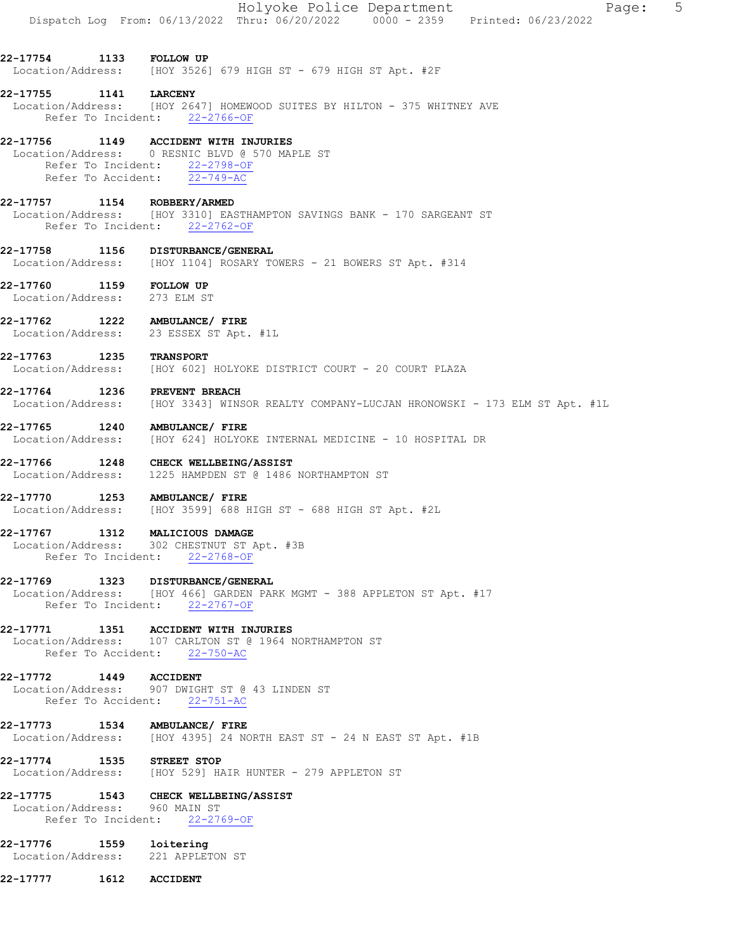|                                                         |                    | Holyoke Police Department<br>$5^{\circ}$<br>Page:<br>Dispatch Log From: 06/13/2022 Thru: 06/20/2022 0000 - 2359 Printed: 06/23/2022            |
|---------------------------------------------------------|--------------------|------------------------------------------------------------------------------------------------------------------------------------------------|
| 22-17754 1133 FOLLOW UP                                 |                    | Location/Address: [HOY 3526] 679 HIGH ST - 679 HIGH ST Apt. #2F                                                                                |
| 22-17755 1141 LARCENY                                   |                    | Location/Address: [HOY 2647] HOMEWOOD SUITES BY HILTON - 375 WHITNEY AVE<br>Refer To Incident: 22-2766-OF                                      |
| 22-17756                                                |                    | 1149 ACCIDENT WITH INJURIES<br>Location/Address: 0 RESNIC BLVD @ 570 MAPLE ST<br>Refer To Incident: 22-2798-OF<br>Refer To Accident: 22-749-AC |
| 22-17757                                                |                    | 1154 ROBBERY/ARMED<br>Location/Address: [HOY 3310] EASTHAMPTON SAVINGS BANK - 170 SARGEANT ST<br>Refer To Incident: 22-2762-OF                 |
|                                                         |                    | 22-17758 1156 DISTURBANCE/GENERAL<br>Location/Address: [HOY 1104] ROSARY TOWERS - 21 BOWERS ST Apt. #314                                       |
| 22-17760 1159 FOLLOW UP<br>Location/Address: 273 ELM ST |                    |                                                                                                                                                |
| Location/Address:                                       |                    | 22-17762 1222 AMBULANCE/ FIRE<br>23 ESSEX ST Apt. #1L                                                                                          |
| 22-17763                                                | 1235               | <b>TRANSPORT</b><br>Location/Address: [HOY 602] HOLYOKE DISTRICT COURT - 20 COURT PLAZA                                                        |
| 22-17764 1236 PREVENT BREACH                            |                    | Location/Address: [HOY 3343] WINSOR REALTY COMPANY-LUCJAN HRONOWSKI - 173 ELM ST Apt. #1L                                                      |
| 22-17765<br>Location/Address:                           |                    | 1240 AMBULANCE/ FIRE<br>[HOY 624] HOLYOKE INTERNAL MEDICINE - 10 HOSPITAL DR                                                                   |
|                                                         |                    | 22-17766 1248 CHECK WELLBEING/ASSIST<br>Location/Address: 1225 HAMPDEN ST @ 1486 NORTHAMPTON ST                                                |
| 22-17770                                                |                    | 1253 AMBULANCE/ FIRE<br>Location/Address: [HOY 3599] 688 HIGH ST - 688 HIGH ST Apt. #2L                                                        |
| 22-17767 1312                                           | Refer To Incident: | MALICIOUS DAMAGE<br>Location/Address: 302 CHESTNUT ST Apt. #3B<br>$22 - 2768 - OF$                                                             |
| 22-17769                                                |                    | 1323 DISTURBANCE/GENERAL<br>Location/Address: [HOY 466] GARDEN PARK MGMT - 388 APPLETON ST Apt. #17<br>Refer To Incident: 22-2767-OF           |
| 22-17771                                                |                    | 1351 ACCIDENT WITH INJURIES<br>Location/Address: 107 CARLTON ST @ 1964 NORTHAMPTON ST<br>Refer To Accident: 22-750-AC                          |
| 22-17772 1449 ACCIDENT                                  |                    | Location/Address: 907 DWIGHT ST @ 43 LINDEN ST<br>Refer To Accident: 22-751-AC                                                                 |
| 22-17773 1534                                           |                    | AMBULANCE/ FIRE<br>Location/Address: [HOY 4395] 24 NORTH EAST ST - 24 N EAST ST Apt. #1B                                                       |
| 22-17774 1535 STREET STOP                               |                    | Location/Address: [HOY 529] HAIR HUNTER - 279 APPLETON ST                                                                                      |
| 22-17775<br>Location/Address: 960 MAIN ST               |                    | 1543 CHECK WELLBEING/ASSIST<br>Refer To Incident: 22-2769-OF                                                                                   |
| 22-17776                                                | 1559               | loitering<br>Location/Address: 221 APPLETON ST                                                                                                 |
| 22-17777                                                | 1612               | <b>ACCIDENT</b>                                                                                                                                |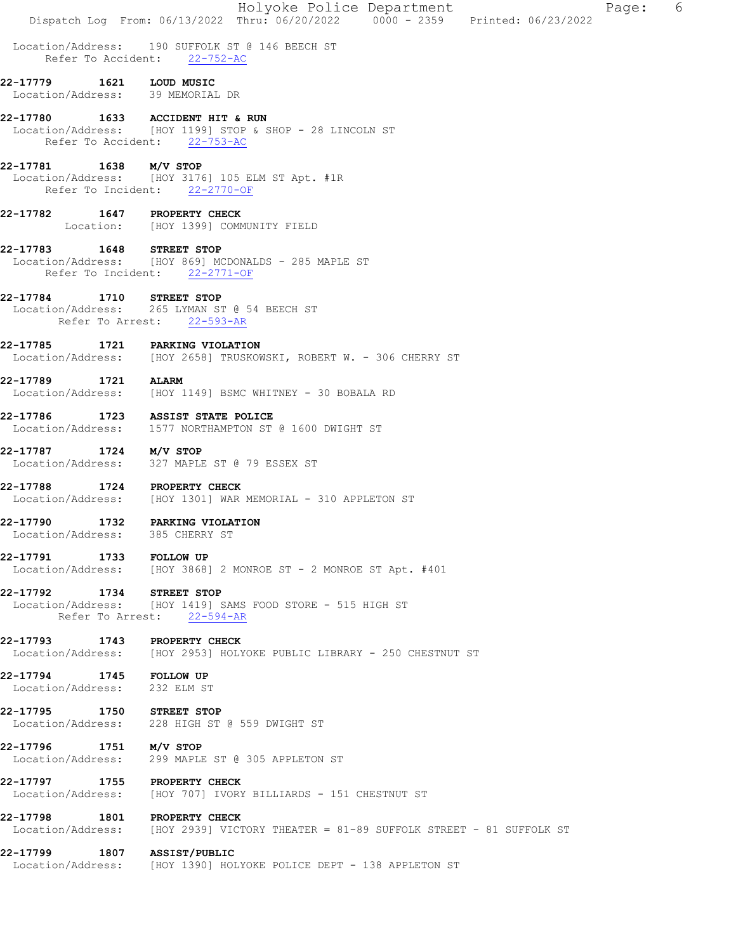|                                                         | Holyoke Police Department<br>6<br>Page:                                                                             |
|---------------------------------------------------------|---------------------------------------------------------------------------------------------------------------------|
|                                                         | Dispatch Log From: 06/13/2022 Thru: 06/20/2022 0000 - 2359 Printed: 06/23/2022                                      |
|                                                         | Location/Address: 190 SUFFOLK ST @ 146 BEECH ST<br>Refer To Accident: 22-752-AC                                     |
| 22-17779<br>Location/Address: 39 MEMORIAL DR            | 1621 LOUD MUSIC                                                                                                     |
| 22-17780                                                | 1633 ACCIDENT HIT & RUN<br>Location/Address: [HOY 1199] STOP & SHOP - 28 LINCOLN ST<br>Refer To Accident: 22-753-AC |
| 22-17781 1638 M/V STOP                                  | Location/Address: [HOY 3176] 105 ELM ST Apt. #1R<br>Refer To Incident: 22-2770-OF                                   |
| 22-17782                                                | 1647 PROPERTY CHECK<br>Location: [HOY 1399] COMMUNITY FIELD                                                         |
| 22-17783 1648 STREET STOP                               | Location/Address: [HOY 869] MCDONALDS - 285 MAPLE ST<br>Refer To Incident: 22-2771-OF                               |
| 22-17784                                                | 1710 STREET STOP<br>Location/Address: 265 LYMAN ST @ 54 BEECH ST<br>Refer To Arrest: 22-593-AR                      |
| 22-17785                                                | 1721 PARKING VIOLATION<br>Location/Address: [HOY 2658] TRUSKOWSKI, ROBERT W. - 306 CHERRY ST                        |
| 22-17789                                                | 1721 ALARM<br>Location/Address: [HOY 1149] BSMC WHITNEY - 30 BOBALA RD                                              |
| 22-17786                                                | 1723 ASSIST STATE POLICE<br>Location/Address: 1577 NORTHAMPTON ST @ 1600 DWIGHT ST                                  |
| 22-17787 1724 M/V STOP                                  | Location/Address: 327 MAPLE ST @ 79 ESSEX ST                                                                        |
| 22-17788                                                | 1724 PROPERTY CHECK<br>Location/Address: [HOY 1301] WAR MEMORIAL - 310 APPLETON ST                                  |
| 22-17790<br>Location/Address: 385 CHERRY ST             | 1732 PARKING VIOLATION                                                                                              |
| 22-17791 1733 FOLLOW UP                                 | Location/Address: [HOY 3868] 2 MONROE ST - 2 MONROE ST Apt. #401                                                    |
| 22-17792 1734 STREET STOP                               | Location/Address: [HOY 1419] SAMS FOOD STORE - 515 HIGH ST<br>Refer To Arrest: 22-594-AR                            |
| 22-17793 1743 PROPERTY CHECK                            | Location/Address: [HOY 2953] HOLYOKE PUBLIC LIBRARY - 250 CHESTNUT ST                                               |
| 22-17794 1745 FOLLOW UP<br>Location/Address: 232 ELM ST |                                                                                                                     |
| 22-17795 1750 STREET STOP                               | Location/Address: 228 HIGH ST @ 559 DWIGHT ST                                                                       |
| 22-17796 1751 M/V STOP                                  | Location/Address: 299 MAPLE ST @ 305 APPLETON ST                                                                    |
| 22-17797 1755 PROPERTY CHECK                            | Location/Address: [HOY 707] IVORY BILLIARDS - 151 CHESTNUT ST                                                       |
| 22-17798 1801 PROPERTY CHECK                            | Location/Address: [HOY 2939] VICTORY THEATER = 81-89 SUFFOLK STREET - 81 SUFFOLK ST                                 |
| 22-17799 1807 ASSIST/PUBLIC                             | Location/Address: [HOY 1390] HOLYOKE POLICE DEPT - 138 APPLETON ST                                                  |
|                                                         |                                                                                                                     |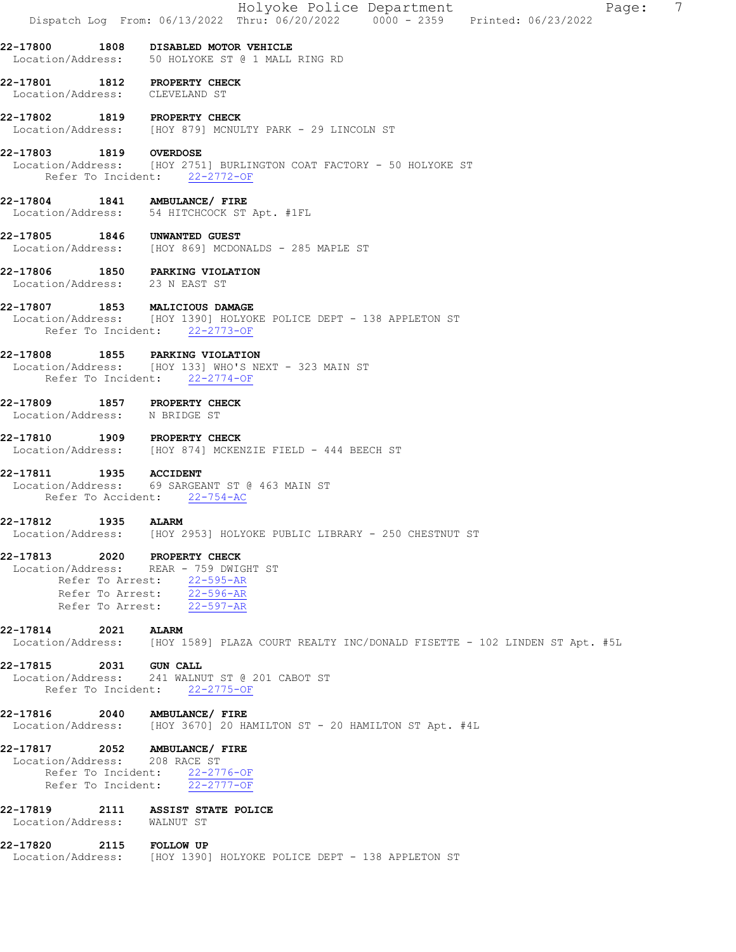| 22-17800 1808 DISABLED MOTOR VEHICLE<br>Location/Address: 50 HOLYOKE ST @ 1 MALL RING RD<br>22-17801 1812 PROPERTY CHECK<br>Location/Address: CLEVELAND ST<br>22-17802 1819 PROPERTY CHECK<br>Location/Address: [HOY 879] MCNULTY PARK - 29 LINCOLN ST<br>22-17803 1819 OVERDOSE<br>Location/Address: [HOY 2751] BURLINGTON COAT FACTORY - 50 HOLYOKE ST<br>Refer To Incident: 22-2772-OF<br>22-17804 1841 AMBULANCE/ FIRE<br>Location/Address: 54 HITCHCOCK ST Apt. #1FL<br>22-17805 1846 UNWANTED GUEST<br>Location/Address: [HOY 869] MCDONALDS - 285 MAPLE ST<br>22-17806 1850 PARKING VIOLATION<br>Location/Address: 23 N EAST ST<br>22-17807 1853 MALICIOUS DAMAGE<br>Location/Address: [HOY 1390] HOLYOKE POLICE DEPT - 138 APPLETON ST<br>Refer To Incident: 22-2773-OF<br>22-17808 1855 PARKING VIOLATION<br>Location/Address: [HOY 133] WHO'S NEXT - 323 MAIN ST<br>Refer To Incident: 22-2774-OF<br>22-17809 1857 PROPERTY CHECK |
|---------------------------------------------------------------------------------------------------------------------------------------------------------------------------------------------------------------------------------------------------------------------------------------------------------------------------------------------------------------------------------------------------------------------------------------------------------------------------------------------------------------------------------------------------------------------------------------------------------------------------------------------------------------------------------------------------------------------------------------------------------------------------------------------------------------------------------------------------------------------------------------------------------------------------------------------|
|                                                                                                                                                                                                                                                                                                                                                                                                                                                                                                                                                                                                                                                                                                                                                                                                                                                                                                                                             |
|                                                                                                                                                                                                                                                                                                                                                                                                                                                                                                                                                                                                                                                                                                                                                                                                                                                                                                                                             |
|                                                                                                                                                                                                                                                                                                                                                                                                                                                                                                                                                                                                                                                                                                                                                                                                                                                                                                                                             |
|                                                                                                                                                                                                                                                                                                                                                                                                                                                                                                                                                                                                                                                                                                                                                                                                                                                                                                                                             |
|                                                                                                                                                                                                                                                                                                                                                                                                                                                                                                                                                                                                                                                                                                                                                                                                                                                                                                                                             |
|                                                                                                                                                                                                                                                                                                                                                                                                                                                                                                                                                                                                                                                                                                                                                                                                                                                                                                                                             |
|                                                                                                                                                                                                                                                                                                                                                                                                                                                                                                                                                                                                                                                                                                                                                                                                                                                                                                                                             |
|                                                                                                                                                                                                                                                                                                                                                                                                                                                                                                                                                                                                                                                                                                                                                                                                                                                                                                                                             |
|                                                                                                                                                                                                                                                                                                                                                                                                                                                                                                                                                                                                                                                                                                                                                                                                                                                                                                                                             |
| Location/Address: N BRIDGE ST                                                                                                                                                                                                                                                                                                                                                                                                                                                                                                                                                                                                                                                                                                                                                                                                                                                                                                               |
| 22-17810 1909 PROPERTY CHECK<br>Location/Address: [HOY 874] MCKENZIE FIELD - 444 BEECH ST                                                                                                                                                                                                                                                                                                                                                                                                                                                                                                                                                                                                                                                                                                                                                                                                                                                   |
| 22-17811 1935 ACCIDENT<br>Location/Address: 69 SARGEANT ST @ 463 MAIN ST<br>Refer To Accident: 22-754-AC                                                                                                                                                                                                                                                                                                                                                                                                                                                                                                                                                                                                                                                                                                                                                                                                                                    |
| 22-17812<br>1935<br><b>ALARM</b><br>Location/Address: [HOY 2953] HOLYOKE PUBLIC LIBRARY - 250 CHESTNUT ST                                                                                                                                                                                                                                                                                                                                                                                                                                                                                                                                                                                                                                                                                                                                                                                                                                   |
| 22-17813 2020 PROPERTY CHECK<br>Location/Address: REAR - 759 DWIGHT ST<br>Refer To Arrest: 22-595-AR<br>Refer To Arrest: 22-596-AR<br>Refer To Arrest: 22-597-AR                                                                                                                                                                                                                                                                                                                                                                                                                                                                                                                                                                                                                                                                                                                                                                            |
| 22-17814<br>2021<br><b>ALARM</b><br>Location/Address: [HOY 1589] PLAZA COURT REALTY INC/DONALD FISETTE - 102 LINDEN ST Apt. #5L                                                                                                                                                                                                                                                                                                                                                                                                                                                                                                                                                                                                                                                                                                                                                                                                             |
| 22-17815 2031 GUN CALL<br>Location/Address: 241 WALNUT ST @ 201 CABOT ST<br>Refer To Incident: 22-2775-OF                                                                                                                                                                                                                                                                                                                                                                                                                                                                                                                                                                                                                                                                                                                                                                                                                                   |
| 22-17816<br>2040 AMBULANCE/ FIRE<br>Location/Address: [HOY 3670] 20 HAMILTON ST - 20 HAMILTON ST Apt. #4L                                                                                                                                                                                                                                                                                                                                                                                                                                                                                                                                                                                                                                                                                                                                                                                                                                   |
| 22-17817 2052 AMBULANCE/ FIRE<br>Location/Address: 208 RACE ST<br>Refer To Incident: 22-2776-OF<br>Refer To Incident: 22-2777-OF                                                                                                                                                                                                                                                                                                                                                                                                                                                                                                                                                                                                                                                                                                                                                                                                            |
| 22-17819<br>2111 ASSIST STATE POLICE<br>Location/Address: WALNUT ST                                                                                                                                                                                                                                                                                                                                                                                                                                                                                                                                                                                                                                                                                                                                                                                                                                                                         |
| 22-17820<br>2115 FOLLOW UP<br>Location/Address: [HOY 1390] HOLYOKE POLICE DEPT - 138 APPLETON ST                                                                                                                                                                                                                                                                                                                                                                                                                                                                                                                                                                                                                                                                                                                                                                                                                                            |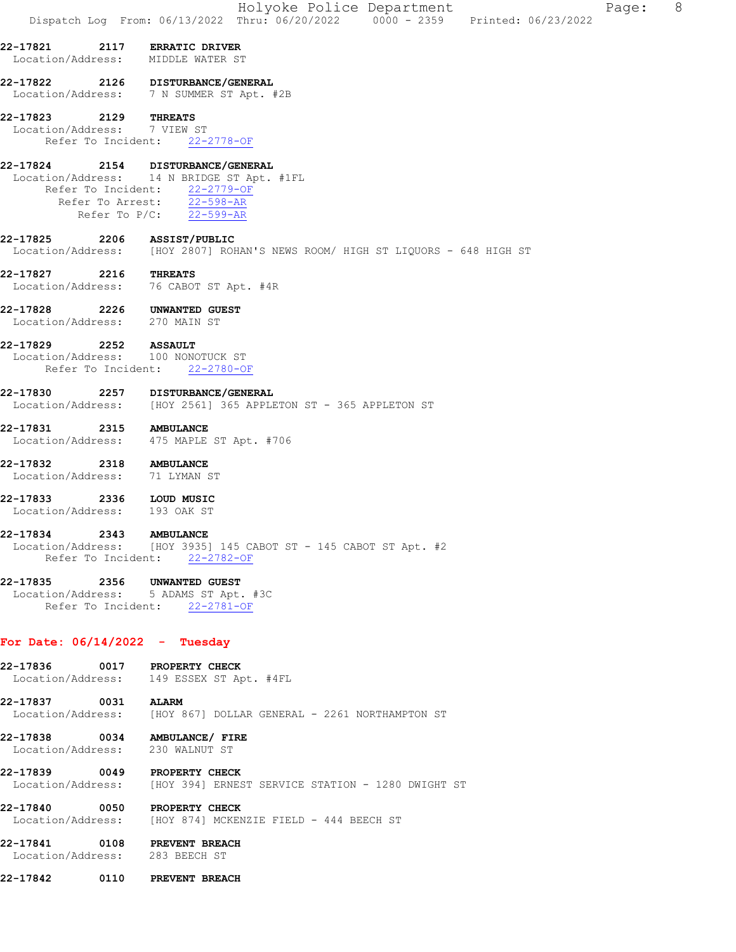|                                                |                            | Holyoke Police Department<br>Page:<br>Dispatch Log From: 06/13/2022 Thru: 06/20/2022 0000 - 2359 Printed: 06/23/2022                                           | - 8 |
|------------------------------------------------|----------------------------|----------------------------------------------------------------------------------------------------------------------------------------------------------------|-----|
| 22-17821<br>Location/Address:                  | 2117                       | <b>ERRATIC DRIVER</b><br>MIDDLE WATER ST                                                                                                                       |     |
| 22-17822                                       |                            | 2126 DISTURBANCE/GENERAL<br>Location/Address: 7 N SUMMER ST Apt. #2B                                                                                           |     |
| 22-17823<br>Location/Address: 7 VIEW ST        | 2129<br>Refer To Incident: | <b>THREATS</b><br>$22 - 2778 - OF$                                                                                                                             |     |
| 22-17824<br>Location/Address:                  |                            | 2154 DISTURBANCE/GENERAL<br>14 N BRIDGE ST Apt. #1FL<br>Refer To Incident: 22-2779-OF<br>Refer To Arrest: 22-598-AR<br>Refer To $P/C$ : $\overline{22-599-AR}$ |     |
| 22-17825                                       | 2206                       | <b>ASSIST/PUBLIC</b><br>Location/Address: [HOY 2807] ROHAN'S NEWS ROOM/ HIGH ST LIQUORS - 648 HIGH ST                                                          |     |
| 22-17827                                       | 2216                       | <b>THREATS</b><br>Location/Address: 76 CABOT ST Apt. #4R                                                                                                       |     |
| 22-17828<br>Location/Address: 270 MAIN ST      | 2226                       | <b>UNWANTED GUEST</b>                                                                                                                                          |     |
| 22-17829<br>Location/Address:                  | 2252<br>Refer To Incident: | <b>ASSAULT</b><br>100 NONOTUCK ST<br>$22 - 2780 - OF$                                                                                                          |     |
| 22-17830                                       |                            | 2257 DISTURBANCE/GENERAL<br>Location/Address: [HOY 2561] 365 APPLETON ST - 365 APPLETON ST                                                                     |     |
| 22-17831<br>Location/Address:                  | 2315                       | <b>AMBULANCE</b><br>475 MAPLE ST Apt. #706                                                                                                                     |     |
| 22-17832 2318<br>Location/Address: 71 LYMAN ST |                            | <b>AMBULANCE</b>                                                                                                                                               |     |
| 22-17833<br>Location/Address:                  | 2336                       | LOUD MUSIC<br>193 OAK ST                                                                                                                                       |     |
| 22-17834                                       | 2343<br>Refer To Incident: | <b>AMBULANCE</b><br>Location/Address: [HOY 3935] 145 CABOT ST - 145 CABOT ST Apt. #2<br>$22 - 2782 - OF$                                                       |     |
| 22-17835<br>Location/Address:                  | 2356                       | UNWANTED GUEST<br>5 ADAMS ST Apt. #3C<br>Refer To Incident: 22-2781-OF                                                                                         |     |
| For Date: $06/14/2022 - Tuesday$               |                            |                                                                                                                                                                |     |
| 22-17836                                       | 0017                       | PROPERTY CHECK<br>Location/Address: 149 ESSEX ST Apt. #4FL                                                                                                     |     |
| 22-17837<br>Location/Address:                  | 0031                       | <b>ALARM</b><br>[HOY 867] DOLLAR GENERAL - 2261 NORTHAMPTON ST                                                                                                 |     |
| 22-17838<br>Location/Address:                  | 0034                       | AMBULANCE/ FIRE<br>230 WALNUT ST                                                                                                                               |     |
| 22-17839                                       | 0049                       | <b>PROPERTY CHECK</b><br>Location/Address: [HOY 394] ERNEST SERVICE STATION - 1280 DWIGHT ST                                                                   |     |
| 22-17840<br>Location/Address:                  | 0050                       | PROPERTY CHECK<br>[HOY 874] MCKENZIE FIELD - 444 BEECH ST                                                                                                      |     |
| 22-17841<br>Location/Address: 283 BEECH ST     |                            | 0108 PREVENT BREACH                                                                                                                                            |     |
| 22-17842                                       | 0110                       | <b>PREVENT BREACH</b>                                                                                                                                          |     |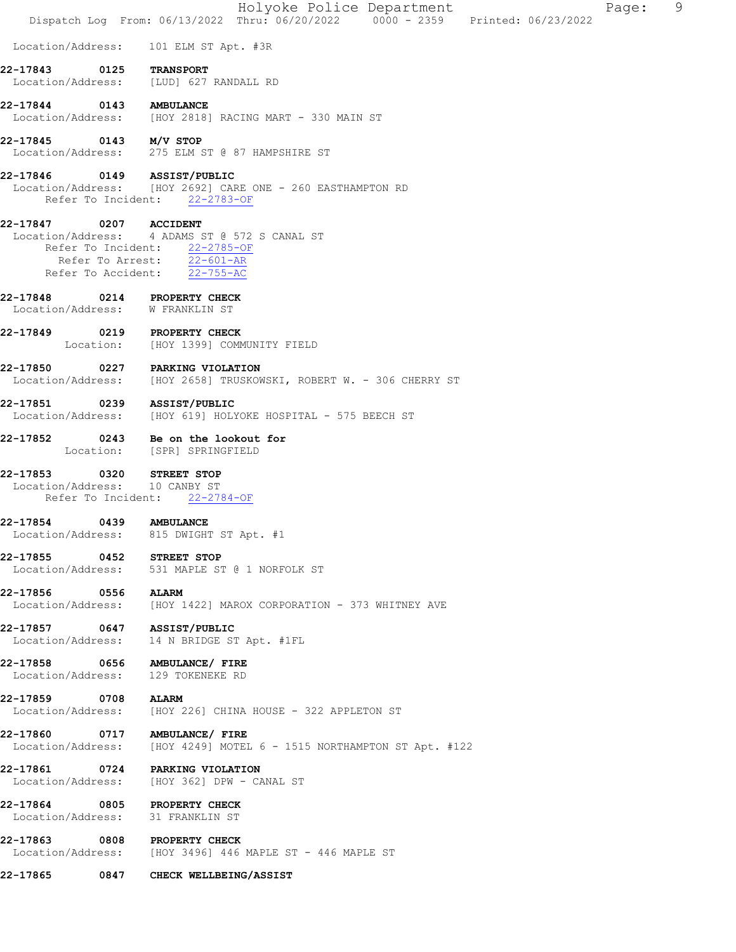|                                                   |      | Holyoke Police Department<br>9<br>Page:<br>Dispatch Log From: 06/13/2022 Thru: 06/20/2022 0000 - 2359 Printed: 06/23/2022                                     |  |
|---------------------------------------------------|------|---------------------------------------------------------------------------------------------------------------------------------------------------------------|--|
| Location/Address:                                 |      | 101 ELM ST Apt. #3R                                                                                                                                           |  |
| 22-17843                                          | 0125 | <b>TRANSPORT</b><br>Location/Address: [LUD] 627 RANDALL RD                                                                                                    |  |
| 22-17844 0143 AMBULANCE                           |      | Location/Address: [HOY 2818] RACING MART - 330 MAIN ST                                                                                                        |  |
| 22-17845                                          |      | 0143 M/V STOP<br>Location/Address: 275 ELM ST @ 87 HAMPSHIRE ST                                                                                               |  |
| 22-17846 0149 ASSIST/PUBLIC                       |      | Location/Address: [HOY 2692] CARE ONE - 260 EASTHAMPTON RD<br>Refer To Incident: 22-2783-OF                                                                   |  |
| 22-17847                                          |      | 0207 ACCIDENT<br>Location/Address: 4 ADAMS ST @ 572 S CANAL ST<br>Refer To Incident: 22-2785-OF<br>Refer To Arrest: 22-601-AR<br>Refer To Accident: 22-755-AC |  |
| 22-17848<br>Location/Address: W FRANKLIN ST       |      | 0214 PROPERTY CHECK                                                                                                                                           |  |
|                                                   |      | 22-17849 0219 PROPERTY CHECK<br>Location: [HOY 1399] COMMUNITY FIELD                                                                                          |  |
| 22-17850                                          |      | 0227 PARKING VIOLATION<br>Location/Address: [HOY 2658] TRUSKOWSKI, ROBERT W. - 306 CHERRY ST                                                                  |  |
| 22-17851 0239 ASSIST/PUBLIC                       |      | Location/Address: [HOY 619] HOLYOKE HOSPITAL - 575 BEECH ST                                                                                                   |  |
|                                                   |      | 22-17852 0243 Be on the lookout for<br>Location: [SPR] SPRINGFIELD                                                                                            |  |
| 22-17853 0320<br>Location/Address:                |      | <b>STREET STOP</b><br>10 CANBY ST<br>Refer To Incident: 22-2784-OF                                                                                            |  |
| 22-17854<br>Location/Address:                     |      | 0439 AMBULANCE<br>815 DWIGHT ST Apt. #1                                                                                                                       |  |
| 22-17855 0452 STREET STOP                         |      | Location/Address: 531 MAPLE ST @ 1 NORFOLK ST                                                                                                                 |  |
| 22-17856 0556                                     |      | <b>ALARM</b><br>Location/Address: [HOY 1422] MAROX CORPORATION - 373 WHITNEY AVE                                                                              |  |
| 22-17857 0647 ASSIST/PUBLIC<br>Location/Address:  |      | 14 N BRIDGE ST Apt. #1FL                                                                                                                                      |  |
| 22-17858 0656<br>Location/Address:                |      | AMBULANCE/ FIRE<br>129 TOKENEKE RD                                                                                                                            |  |
| 22-17859 0708                                     |      | <b>ALARM</b><br>Location/Address: [HOY 226] CHINA HOUSE - 322 APPLETON ST                                                                                     |  |
| Location/Address:                                 |      | 22-17860 0717 AMBULANCE/ FIRE<br>[HOY 4249] MOTEL 6 - 1515 NORTHAMPTON ST Apt. #122                                                                           |  |
| 22-17861 0724                                     |      | PARKING VIOLATION<br>Location/Address: [HOY 362] DPW - CANAL ST                                                                                               |  |
| 22-17864 0805 PROPERTY CHECK<br>Location/Address: |      | 31 FRANKLIN ST                                                                                                                                                |  |
| 22-17863 0808 PROPERTY CHECK                      |      | Location/Address: [HOY 3496] 446 MAPLE ST - 446 MAPLE ST                                                                                                      |  |
| 22-17865                                          |      | 0847 CHECK WELLBEING/ASSIST                                                                                                                                   |  |
|                                                   |      |                                                                                                                                                               |  |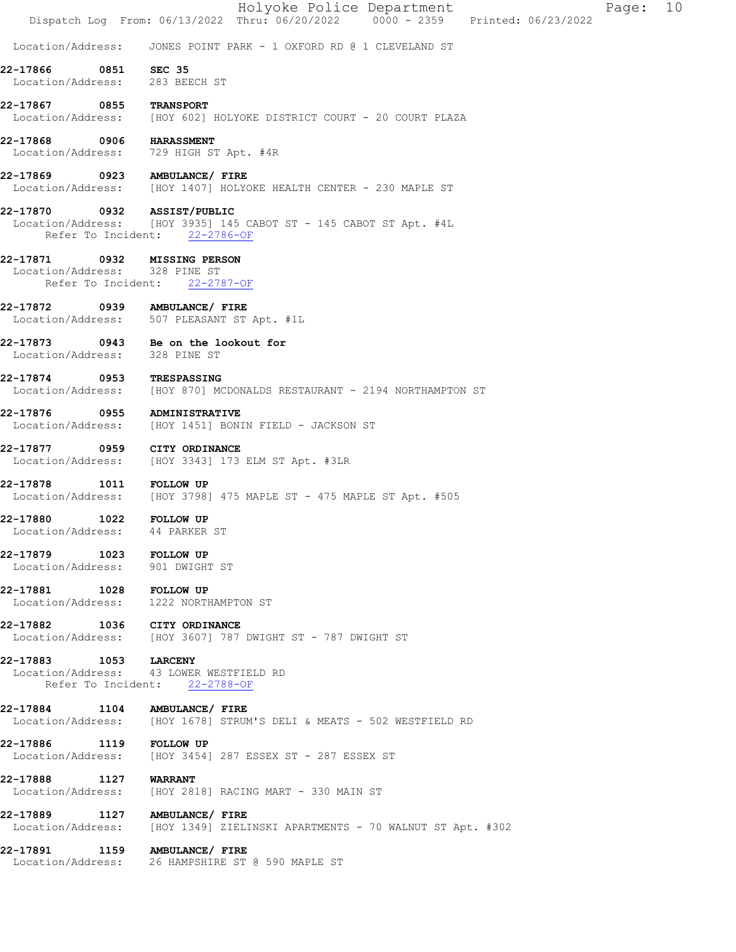|                                    |                    | Holyoke Police Department<br>10<br>Page:<br>Dispatch Log From: 06/13/2022 Thru: 06/20/2022 0000 - 2359 Printed: 06/23/2022 |
|------------------------------------|--------------------|----------------------------------------------------------------------------------------------------------------------------|
| Location/Address:                  |                    | JONES POINT PARK - 1 OXFORD RD @ 1 CLEVELAND ST                                                                            |
| 22-17866<br>Location/Address:      |                    | 0851 SEC 35<br>283 BEECH ST                                                                                                |
| 22-17867<br>Location/Address:      | 0855               | <b>TRANSPORT</b><br>[HOY 602] HOLYOKE DISTRICT COURT - 20 COURT PLAZA                                                      |
| 22-17868<br>Location/Address:      | 0906               | <b>HARASSMENT</b><br>729 HIGH ST Apt. #4R                                                                                  |
|                                    |                    | 22-17869 0923 AMBULANCE/ FIRE<br>Location/Address: [HOY 1407] HOLYOKE HEALTH CENTER - 230 MAPLE ST                         |
| 22-17870                           |                    | 0932 ASSIST/PUBLIC<br>Location/Address: [HOY 3935] 145 CABOT ST - 145 CABOT ST Apt. #4L<br>Refer To Incident: 22-2786-OF   |
| 22-17871                           | Refer To Incident: | 0932 MISSING PERSON<br>Location/Address: 328 PINE ST<br>$22 - 2787 - OF$                                                   |
| Location/Address:                  |                    | 22-17872 0939 AMBULANCE/ FIRE<br>507 PLEASANT ST Apt. #1L                                                                  |
| 22-17873                           |                    | 0943 Be on the lookout for<br>Location/Address: 328 PINE ST                                                                |
| $22 - 17874$<br>Location/Address:  | 0953               | TRESPASSING<br>[HOY 870] MCDONALDS RESTAURANT - 2194 NORTHAMPTON ST                                                        |
| 22-17876<br>Location/Address:      | 0955               | <b>ADMINISTRATIVE</b><br>[HOY 1451] BONIN FIELD - JACKSON ST                                                               |
|                                    |                    | 22-17877 0959 CITY ORDINANCE<br>Location/Address: [HOY 3343] 173 ELM ST Apt. #3LR                                          |
| 22-17878                           |                    | 1011 FOLLOW UP<br>Location/Address: [HOY 3798] 475 MAPLE ST - 475 MAPLE ST Apt. #505                                       |
| 22-17880                           | 1022               | <b>FOLLOW UP</b><br>Location/Address: 44 PARKER ST                                                                         |
| 22-17879 1023 FOLLOW UP            |                    | Location/Address: 901 DWIGHT ST                                                                                            |
| 22-17881 1028 FOLLOW UP            |                    | Location/Address: 1222 NORTHAMPTON ST                                                                                      |
|                                    |                    | 22-17882 1036 CITY ORDINANCE<br>Location/Address: [HOY 3607] 787 DWIGHT ST - 787 DWIGHT ST                                 |
| 22-17883 1053 LARCENY              |                    | Location/Address: 43 LOWER WESTFIELD RD<br>Refer To Incident: 22-2788-OF                                                   |
| 22-17884 1104                      |                    | AMBULANCE/ FIRE<br>Location/Address: [HOY 1678] STRUM'S DELI & MEATS - 502 WESTFIELD RD                                    |
| 22-17886 1119 FOLLOW UP            |                    | Location/Address: [HOY 3454] 287 ESSEX ST - 287 ESSEX ST                                                                   |
| 22-17888 1127<br>Location/Address: |                    | <b>WARRANT</b><br>[HOY 2818] RACING MART - 330 MAIN ST                                                                     |
|                                    |                    | 22-17889 1127 AMBULANCE/ FIRE<br>Location/Address: [HOY 1349] ZIELINSKI APARTMENTS - 70 WALNUT ST Apt. #302                |
|                                    |                    | 22-17891 1159 AMBULANCE/ FIRE<br>Location/Address: 26 HAMPSHIRE ST @ 590 MAPLE ST                                          |
|                                    |                    |                                                                                                                            |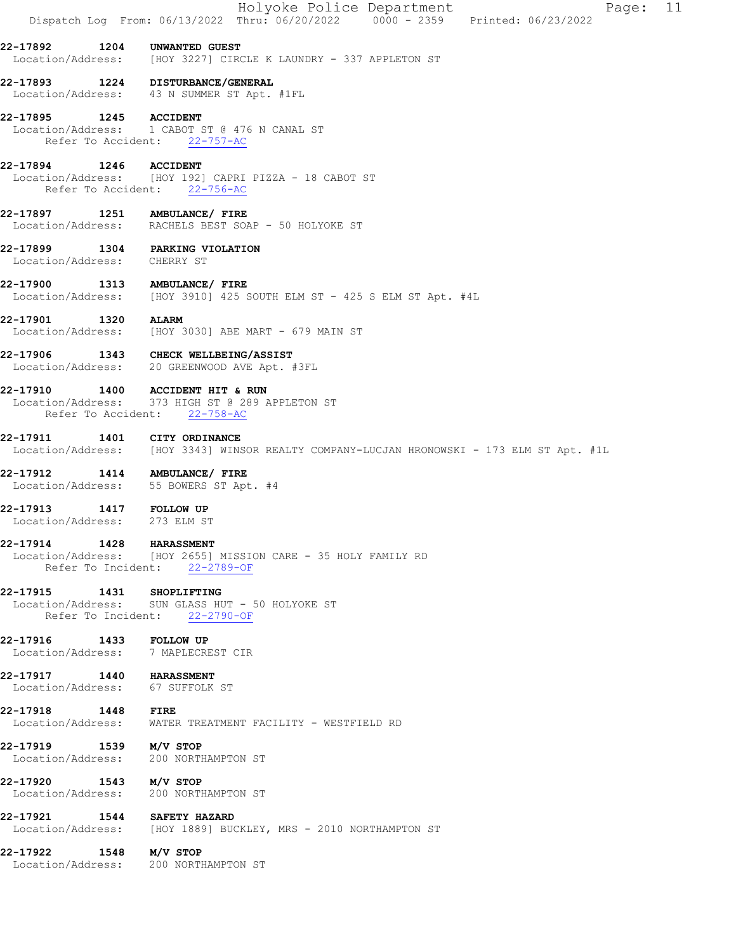| Dispatch Log From: 06/13/2022 Thru: 06/20/2022 0000 - 2359 Printed: 06/23/2022<br>1204 UNWANTED GUEST                    |
|--------------------------------------------------------------------------------------------------------------------------|
|                                                                                                                          |
| Location/Address: [HOY 3227] CIRCLE K LAUNDRY - 337 APPLETON ST                                                          |
| 22-17893 1224 DISTURBANCE/GENERAL<br>Location/Address: 43 N SUMMER ST Apt. #1FL                                          |
|                                                                                                                          |
| 22-17895 1245 ACCIDENT<br>Location/Address: 1 CABOT ST @ 476 N CANAL ST<br>Refer To Accident: 22-757-AC                  |
| 22-17894 1246 ACCIDENT<br>Location/Address: [HOY 192] CAPRI PIZZA - 18 CABOT ST                                          |
| Refer To Accident: 22-756-AC                                                                                             |
| 22-17897 1251 AMBULANCE/ FIRE<br>Location/Address: RACHELS BEST SOAP - 50 HOLYOKE ST                                     |
| 22-17899 1304 PARKING VIOLATION<br>Location/Address: CHERRY ST                                                           |
| 1313 AMBULANCE/ FIRE<br>Location/Address: [HOY 3910] 425 SOUTH ELM ST - 425 S ELM ST Apt. #4L                            |
| 22-17901 1320 ALARM<br>Location/Address: [HOY 3030] ABE MART - 679 MAIN ST                                               |
| 22-17906 1343 CHECK WELLBEING/ASSIST<br>Location/Address: 20 GREENWOOD AVE Apt. #3FL                                     |
| 22-17910 1400 ACCIDENT HIT & RUN<br>Location/Address: 373 HIGH ST @ 289 APPLETON ST<br>Refer To Accident: 22-758-AC      |
| 1401 CITY ORDINANCE<br>Location/Address: [HOY 3343] WINSOR REALTY COMPANY-LUCJAN HRONOWSKI - 173 ELM ST Apt. #1L         |
| 22-17912  1414  AMBULANCE/ FIRE<br>Location/Address: 55 BOWERS ST Apt. #4                                                |
| 1417 FOLLOW UP<br>273 ELM ST                                                                                             |
| <b>1428 HARASSMENT</b><br>Location/Address: [HOY 2655] MISSION CARE - 35 HOLY FAMILY RD<br>Refer To Incident: 22-2789-OF |
| 22-17915 1431 SHOPLIFTING<br>Location/Address: SUN GLASS HUT - 50 HOLYOKE ST<br>Refer To Incident: 22-2790-OF            |
| 22-17916 1433 FOLLOW UP<br>Location/Address: 7 MAPLECREST CIR                                                            |
| 22-17917 1440 HARASSMENT<br>Location/Address: 67 SUFFOLK ST                                                              |
| 22-17918 1448 FIRE<br>WATER TREATMENT FACILITY - WESTFIELD RD                                                            |
| 22-17919 1539 M/V STOP<br>Location/Address: 200 NORTHAMPTON ST                                                           |
| 22-17920 1543 M/V STOP<br>Location/Address: 200 NORTHAMPTON ST                                                           |
| 22-17921 1544 SAFETY HAZARD<br>Location/Address: [HOY 1889] BUCKLEY, MRS - 2010 NORTHAMPTON ST                           |
| 22-17922 1548 M/V STOP<br>Location/Address: 200 NORTHAMPTON ST                                                           |
|                                                                                                                          |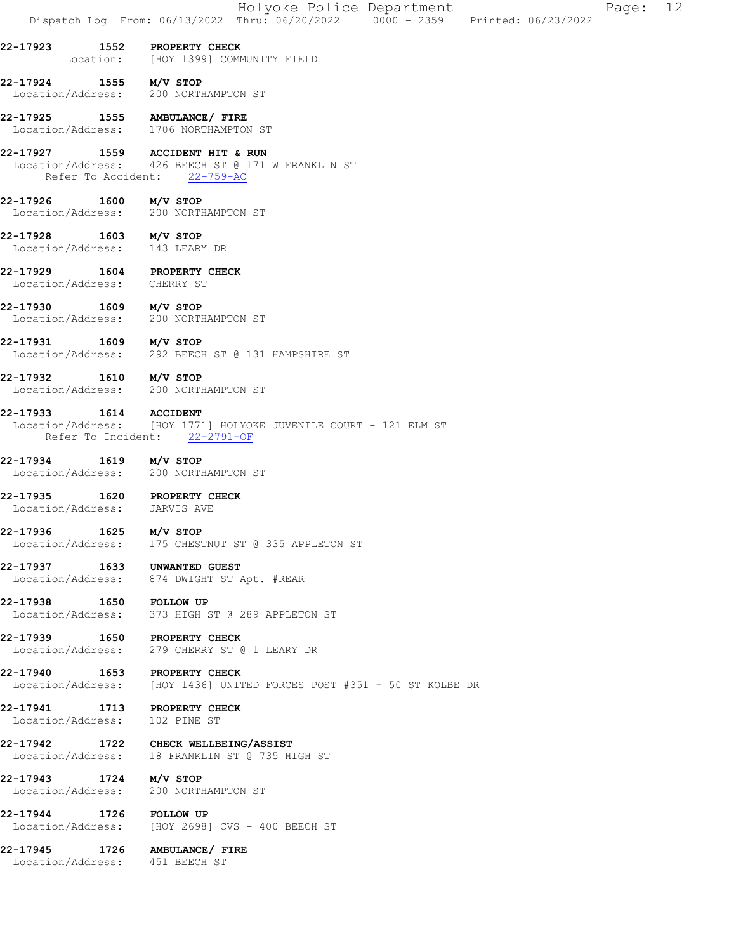|                                             | Holyoke Police Department<br>Page: 12<br>Dispatch Log From: 06/13/2022 Thru: 06/20/2022 0000 - 2359 Printed: 06/23/2022 |  |
|---------------------------------------------|-------------------------------------------------------------------------------------------------------------------------|--|
|                                             | 22-17923 1552 PROPERTY CHECK<br>Location: [HOY 1399] COMMUNITY FIELD                                                    |  |
| 22-17924 1555 M/V STOP                      | Location/Address: 200 NORTHAMPTON ST                                                                                    |  |
|                                             | 22-17925 1555 AMBULANCE/FIRE<br>Location/Address: 1706 NORTHAMPTON ST                                                   |  |
|                                             | 22-17927 1559 ACCIDENT HIT & RUN<br>Location/Address: 426 BEECH ST @ 171 W FRANKLIN ST<br>Refer To Accident: 22-759-AC  |  |
| 22-17926 1600 M/V STOP                      | Location/Address: 200 NORTHAMPTON ST                                                                                    |  |
| 22-17928 1603 M/V STOP                      | Location/Address: 143 LEARY DR                                                                                          |  |
| Location/Address: CHERRY ST                 | 22-17929 1604 PROPERTY CHECK                                                                                            |  |
| 22-17930 1609 M/V STOP                      | Location/Address: 200 NORTHAMPTON ST                                                                                    |  |
| 22-17931 1609 M/V STOP                      | Location/Address: 292 BEECH ST @ 131 HAMPSHIRE ST                                                                       |  |
| 22-17932 1610 M/V STOP                      | Location/Address: 200 NORTHAMPTON ST                                                                                    |  |
| 22-17933 1614 ACCIDENT                      | Location/Address: [HOY 1771] HOLYOKE JUVENILE COURT - 121 ELM ST<br>Refer To Incident: 22-2791-OF                       |  |
| 22-17934 1619 M/V STOP                      | Location/Address: 200 NORTHAMPTON ST                                                                                    |  |
| Location/Address: JARVIS AVE                | 22-17935 1620 PROPERTY CHECK                                                                                            |  |
| 22-17936 1625 M/V STOP<br>Location/Address: | 175 CHESTNUT ST @ 335 APPLETON ST                                                                                       |  |
|                                             | 22-17937 1633 UNWANTED GUEST<br>Location/Address: 874 DWIGHT ST Apt. #REAR                                              |  |
| 22-17938 1650 FOLLOW UP                     | Location/Address: 373 HIGH ST @ 289 APPLETON ST                                                                         |  |
|                                             | 22-17939 1650 PROPERTY CHECK<br>Location/Address: 279 CHERRY ST @ 1 LEARY DR                                            |  |
|                                             | 22-17940 1653 PROPERTY CHECK<br>Location/Address: [HOY 1436] UNITED FORCES POST #351 - 50 ST KOLBE DR                   |  |
|                                             | 22-17941 1713 PROPERTY CHECK<br>Location/Address: 102 PINE ST                                                           |  |
|                                             | 22-17942 1722 CHECK WELLBEING/ASSIST<br>Location/Address: 18 FRANKLIN ST @ 735 HIGH ST                                  |  |
| 22-17943 1724 M/V STOP                      | Location/Address: 200 NORTHAMPTON ST                                                                                    |  |
| 22-17944 1726 FOLLOW UP                     | Location/Address: [HOY 2698] CVS - 400 BEECH ST                                                                         |  |
|                                             | 22-17945 1726 AMBULANCE/ FIRE<br>Location/Address: 451 BEECH ST                                                         |  |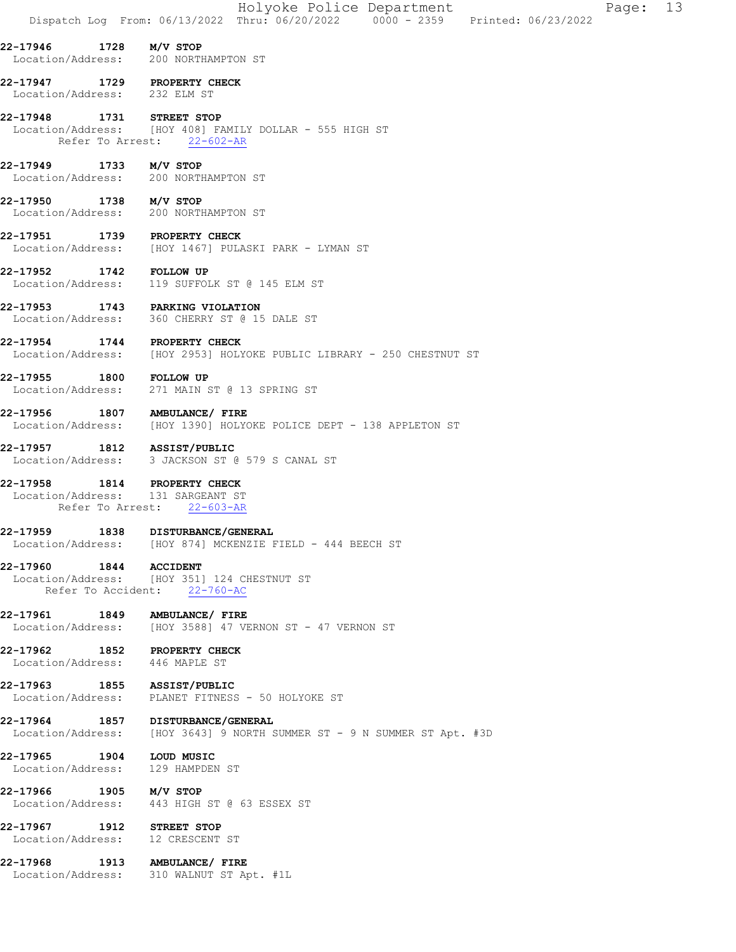|                                                                | Holyoke Police Department<br>Page: 13<br>Dispatch Log From: 06/13/2022 Thru: 06/20/2022 0000 - 2359 Printed: 06/23/2022 |
|----------------------------------------------------------------|-------------------------------------------------------------------------------------------------------------------------|
| 22-17946 1728 M/V STOP                                         | Location/Address: 200 NORTHAMPTON ST                                                                                    |
| 22-17947 1729 PROPERTY CHECK<br>Location/Address: 232 ELM ST   |                                                                                                                         |
| 22-17948 1731 STREET STOP                                      | Location/Address: [HOY 408] FAMILY DOLLAR - 555 HIGH ST<br>Refer To Arrest: 22-602-AR                                   |
| 22-17949 1733 M/V STOP                                         | Location/Address: 200 NORTHAMPTON ST                                                                                    |
| 22-17950 1738 M/V STOP                                         | Location/Address: 200 NORTHAMPTON ST                                                                                    |
| 22-17951 1739 PROPERTY CHECK                                   | Location/Address: [HOY 1467] PULASKI PARK - LYMAN ST                                                                    |
| 22-17952 1742 FOLLOW UP                                        | Location/Address: 119 SUFFOLK ST @ 145 ELM ST                                                                           |
| 22-17953 1743 PARKING VIOLATION                                | Location/Address: 360 CHERRY ST @ 15 DALE ST                                                                            |
| 22-17954                                                       | 1744 PROPERTY CHECK<br>Location/Address: [HOY 2953] HOLYOKE PUBLIC LIBRARY - 250 CHESTNUT ST                            |
| 22-17955 1800 FOLLOW UP                                        | Location/Address: 271 MAIN ST @ 13 SPRING ST                                                                            |
| 22-17956                                                       | 1807 AMBULANCE/ FIRE<br>Location/Address: [HOY 1390] HOLYOKE POLICE DEPT - 138 APPLETON ST                              |
| 22-17957 1812 ASSIST/PUBLIC                                    | Location/Address: 3 JACKSON ST @ 579 S CANAL ST                                                                         |
| 22-17958<br>Location/Address: 131 SARGEANT ST                  | <b>1814 PROPERTY CHECK</b><br>Refer To Arrest: 22-603-AR                                                                |
|                                                                | 22-17959 1838 DISTURBANCE/GENERAL<br>Location/Address: [HOY 874] MCKENZIE FIELD - 444 BEECH ST                          |
| 22-17960 1844 ACCIDENT                                         | Location/Address: [HOY 351] 124 CHESTNUT ST<br>Refer To Accident: 22-760-AC                                             |
| 22-17961 1849 AMBULANCE/ FIRE                                  | Location/Address: [HOY 3588] 47 VERNON ST - 47 VERNON ST                                                                |
| 22-17962 1852 PROPERTY CHECK<br>Location/Address: 446 MAPLE ST |                                                                                                                         |
|                                                                | 22-17963 1855 ASSIST/PUBLIC<br>Location/Address: PLANET FITNESS - 50 HOLYOKE ST                                         |
|                                                                | 22-17964 1857 DISTURBANCE/GENERAL<br>Location/Address: [HOY 3643] 9 NORTH SUMMER ST - 9 N SUMMER ST Apt. #3D            |
| 22-17965 1904 LOUD MUSIC<br>Location/Address: 129 HAMPDEN ST   |                                                                                                                         |
| 22-17966 1905 M/V STOP                                         | Location/Address: 443 HIGH ST @ 63 ESSEX ST                                                                             |
| 22-17967 1912 STREET STOP<br>Location/Address: 12 CRESCENT ST  |                                                                                                                         |
| 22-17968 1913 AMBULANCE/ FIRE                                  | Location/Address: 310 WALNUT ST Apt. #1L                                                                                |
|                                                                |                                                                                                                         |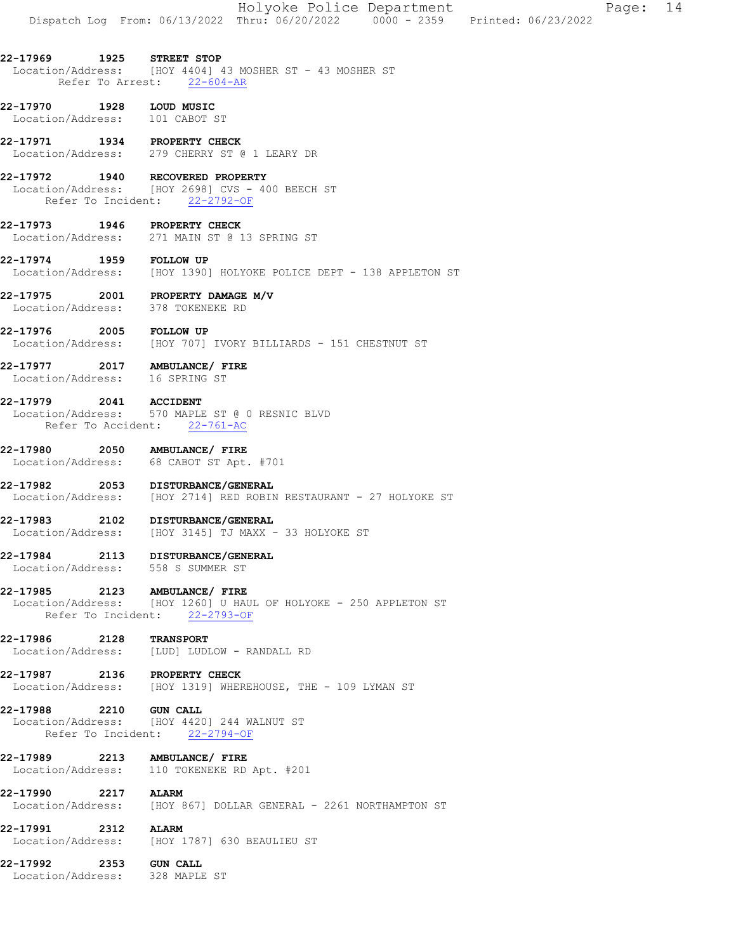|  | Holyoke Police Department |                                                                                | Page: 14 |  |
|--|---------------------------|--------------------------------------------------------------------------------|----------|--|
|  |                           | Dispatch Log From: 06/13/2022 Thru: 06/20/2022 0000 - 2359 Printed: 06/23/2022 |          |  |

### 22-17969 1925 STREET STOP Location/Address: [HOY 4404] 43 MOSHER ST - 43 MOSHER ST Refer To Arrest: 22-604-AR

- 22-17970 1928 LOUD MUSIC<br>Location/Address: 101 CABOT ST Location/Address:
- 22-17971 1934 PROPERTY CHECK Location/Address: 279 CHERRY ST @ 1 LEARY DR

### 22-17972 1940 RECOVERED PROPERTY Location/Address: [HOY 2698] CVS - 400 BEECH ST Location/Address: [HOY 2698] CVS<br>Refer To Incident: 22-2792-OF

22-17973 1946 PROPERTY CHECK Location/Address: 271 MAIN ST @ 13 SPRING ST

### 22-17974 1959 FOLLOW UP Location/Address: [HOY 1390] HOLYOKE POLICE DEPT - 138 APPLETON ST

- 22-17975 2001 PROPERTY DAMAGE M/V Location/Address: 378 TOKENEKE RD
- **22-17976 2005 FOLLOW UP**<br>Location/Address: [HOY 707] [HOY 707] IVORY BILLIARDS - 151 CHESTNUT ST

### 22-17977 2017 AMBULANCE/ FIRE Location/Address: 16 SPRING ST

### 22-17979 2041 ACCIDENT Location/Address: 570 MAPLE ST @ 0 RESNIC BLVD Refer To Accident: 22-761-AC

# 22-17980 2050 AMBULANCE/FIRE<br>Location/Address: 68 CABOT ST Apt.

Location/Address: 68 CABOT ST Apt. #701

#### 22-17982 2053 DISTURBANCE/GENERAL Location/Address: [HOY 2714] RED ROBIN RESTAURANT - 27 HOLYOKE ST

22-17983 2102 DISTURBANCE/GENERAL Location/Address: [HOY 3145] TJ MAXX - 33 HOLYOKE ST

### 22-17984 2113 DISTURBANCE/GENERAL Location/Address: 558 S SUMMER ST

### 22-17985 2123 AMBULANCE/ FIRE

Location/Address: [HOY 1260] U HAUL OF HOLYOKE - 250 APPLETON ST Refer To Incident: 22-2793-OF

## 22-17986 2128 TRANSPORT

- Location/Address: [LUD] LUDLOW RANDALL RD
- 22-17987 2136 PROPERTY CHECK Location/Address: [HOY 1319] WHEREHOUSE, THE - 109 LYMAN ST

**22-17988 2210 GUN CALL**<br>Location/Address: [HOY 4420 Location/Address: [HOY 4420] 244 WALNUT ST Refer To Incident: 22-2794-OF

### 22-17989 2213 AMBULANCE/ FIRE Location/Address: 110 TOKENEKE RD Apt. #201

### 22-17990 2217 ALARM

Location/Address: [HOY 867] DOLLAR GENERAL - 2261 NORTHAMPTON ST

# **22-17991 2312 ALARM**<br>Location/Address: [HOY 1

# Location/Address: [HOY 1787] 630 BEAULIEU ST

22-17992 2353 GUN CALL Location/Address: 328 MAPLE ST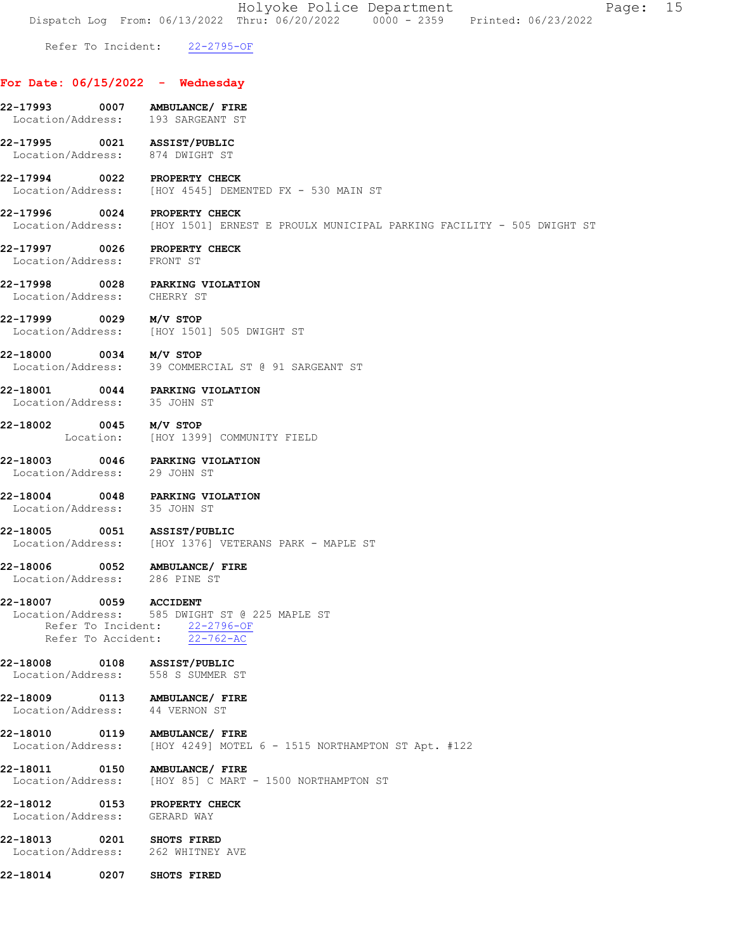Holyoke Police Department Page: 15 Dispatch Log From: 06/13/2022 Thru: 06/20/2022 0000 - 2359 Printed: 06/23/2022 Refer To Incident: 22-2795-OF For Date: 06/15/2022 - Wednesday 22-17993 0007 AMBULANCE/ FIRE Location/Address: 193 SARGEANT ST 22-17995 0021 ASSIST/PUBLIC Location/Address: 874 DWIGHT ST 22-17994 0022 PROPERTY CHECK<br>Location/Address: [HOY 4545] DEME [HOY 4545] DEMENTED FX - 530 MAIN ST 22-17996 0024 PROPERTY CHECK Location/Address: [HOY 1501] ERNEST E PROULX MUNICIPAL PARKING FACILITY - 505 DWIGHT ST 22-17997 0026 PROPERTY CHECK Location/Address: FRONT ST 22-17998 0028 PARKING VIOLATION Location/Address: CHERRY ST 22-17999 0029 M/V STOP Location/Address: [HOY 1501] 505 DWIGHT ST 22-18000 0034 M/V STOP Location/Address: 39 COMMERCIAL ST @ 91 SARGEANT ST 22-18001 0044 PARKING VIOLATION Location/Address: 35 JOHN ST **22-18002 0045 M/V STOP**<br>Location: [HOY 1399] [HOY 1399] COMMUNITY FIELD 22-18003 0046 PARKING VIOLATION Location/Address: 29 JOHN ST 22-18004 0048 PARKING VIOLATION<br>Location/Address: 35 JOHN ST Location/Address: 22-18005 0051 ASSIST/PUBLIC Location/Address: [HOY 1376] VETERANS PARK - MAPLE ST 22-18006 0052 AMBULANCE/ FIRE Location/Address: 286 PINE ST 22-18007 0059 ACCIDENT Location/Address: 585 DWIGHT ST @ 225 MAPLE ST Refer To Incident: 22-2796-OF Refer To Accident: 22-762-AC 22-18008 0108 ASSIST/PUBLIC Location/Address: 558 S SUMMER ST 22-18009 0113 AMBULANCE/ FIRE Location/Address: 44 VERNON ST 22-18010 0119 AMBULANCE/ FIRE Location/Address: [HOY 4249] MOTEL 6 - 1515 NORTHAMPTON ST Apt. #122 22-18011 0150 AMBULANCE/ FIRE Location/Address: [HOY 85] C MART - 1500 NORTHAMPTON ST 22-18012 0153 PROPERTY CHECK<br>Location/Address: GERARD WAY Location/Address: 22-18013 0201 SHOTS FIRED Location/Address: 262 WHITNEY AVE 22-18014 0207 SHOTS FIRED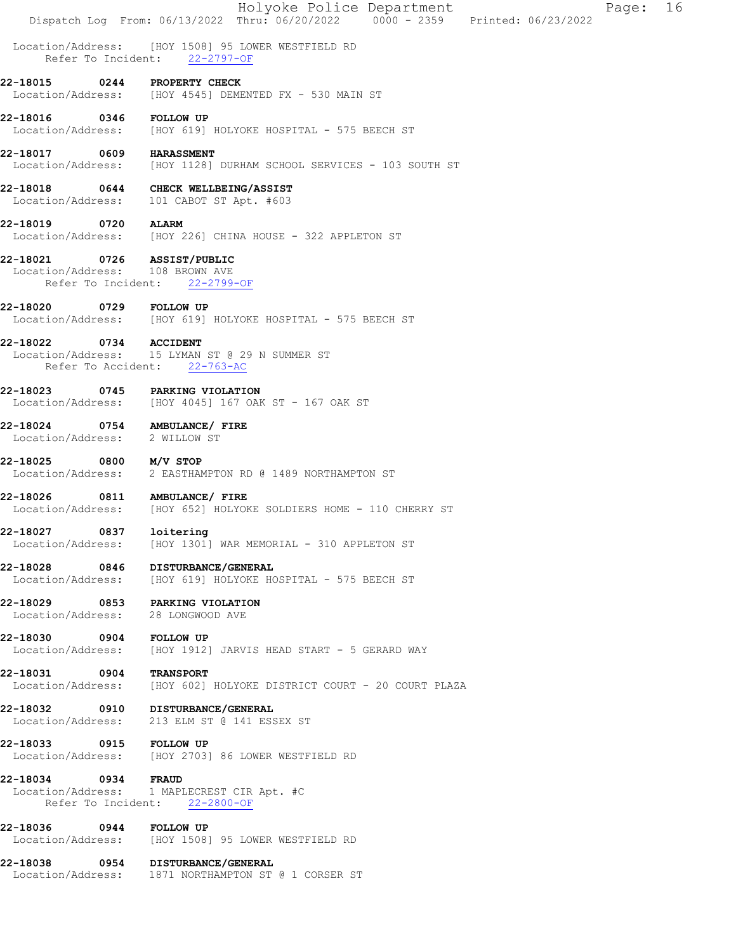|                                                                   |            | Dispatch Log From: 06/13/2022 Thru: 06/20/2022 0000 - 2359 Printed: 06/23/2022                  | Holyoke Police Department |  |  | Page: | 16 |
|-------------------------------------------------------------------|------------|-------------------------------------------------------------------------------------------------|---------------------------|--|--|-------|----|
|                                                                   |            | Location/Address: [HOY 1508] 95 LOWER WESTFIELD RD<br>Refer To Incident: 22-2797-OF             |                           |  |  |       |    |
| 22-18015                                                          | 0244       | PROPERTY CHECK<br>Location/Address: [HOY 4545] DEMENTED FX - 530 MAIN ST                        |                           |  |  |       |    |
| 22-18016 0346 FOLLOW UP                                           |            | Location/Address: [HOY 619] HOLYOKE HOSPITAL - 575 BEECH ST                                     |                           |  |  |       |    |
| 22-18017                                                          |            | 0609 HARASSMENT<br>Location/Address: [HOY 1128] DURHAM SCHOOL SERVICES - 103 SOUTH ST           |                           |  |  |       |    |
|                                                                   |            | 22-18018 0644 CHECK WELLBEING/ASSIST<br>Location/Address: 101 CABOT ST Apt. #603                |                           |  |  |       |    |
| 22-18019                                                          | 0720 ALARM | Location/Address: [HOY 226] CHINA HOUSE - 322 APPLETON ST                                       |                           |  |  |       |    |
| 22-18021<br>Location/Address: 108 BROWN AVE<br>Refer To Incident: |            | 0726 ASSIST/PUBLIC<br>$22 - 2799 - OF$                                                          |                           |  |  |       |    |
| 22-18020 0729 FOLLOW UP                                           |            | Location/Address: [HOY 619] HOLYOKE HOSPITAL - 575 BEECH ST                                     |                           |  |  |       |    |
| 22-18022                                                          |            | 0734 ACCIDENT<br>Location/Address: 15 LYMAN ST @ 29 N SUMMER ST<br>Refer To Accident: 22-763-AC |                           |  |  |       |    |
| 22-18023                                                          |            | 0745 PARKING VIOLATION<br>Location/Address: [HOY 4045] 167 OAK ST - 167 OAK ST                  |                           |  |  |       |    |
| 22-18024<br>Location/Address: 2 WILLOW ST                         |            | 0754 AMBULANCE/ FIRE                                                                            |                           |  |  |       |    |
| 22-18025                                                          |            | $0800$ M/V STOP<br>Location/Address: 2 EASTHAMPTON RD @ 1489 NORTHAMPTON ST                     |                           |  |  |       |    |
| 22-18026                                                          |            | 0811 AMBULANCE/ FIRE<br>Location/Address: [HOY 652] HOLYOKE SOLDIERS HOME - 110 CHERRY ST       |                           |  |  |       |    |
| 22-18027<br>Location/Address:                                     | 0837       | loitering<br>[HOY 1301] WAR MEMORIAL - 310 APPLETON ST                                          |                           |  |  |       |    |
| 22-18028<br>Location/Address:                                     | 0846       | DISTURBANCE/GENERAL<br>[HOY 619] HOLYOKE HOSPITAL - 575 BEECH ST                                |                           |  |  |       |    |
| 22-18029<br>Location/Address:                                     | 0853       | PARKING VIOLATION<br>28 LONGWOOD AVE                                                            |                           |  |  |       |    |
| 22-18030 0904<br>Location/Address:                                |            | <b>FOLLOW UP</b><br>[HOY 1912] JARVIS HEAD START - 5 GERARD WAY                                 |                           |  |  |       |    |
| 22-18031<br>Location/Address:                                     | 0904       | <b>TRANSPORT</b><br>[HOY 602] HOLYOKE DISTRICT COURT - 20 COURT PLAZA                           |                           |  |  |       |    |
| 22-18032 0910<br>Location/Address:                                |            | <b>DISTURBANCE/GENERAL</b><br>213 ELM ST @ 141 ESSEX ST                                         |                           |  |  |       |    |
| 22-18033 0915                                                     |            | <b>FOLLOW UP</b><br>Location/Address: [HOY 2703] 86 LOWER WESTFIELD RD                          |                           |  |  |       |    |
| 22-18034 0934                                                     |            | <b>FRAUD</b><br>Location/Address: 1 MAPLECREST CIR Apt. #C<br>Refer To Incident: 22-2800-OF     |                           |  |  |       |    |
| 22-18036<br>Location/Address:                                     | 0944       | <b>FOLLOW UP</b><br>[HOY 1508] 95 LOWER WESTFIELD RD                                            |                           |  |  |       |    |
| 22-18038                                                          | 0954       | <b>DISTURBANCE/GENERAL</b><br>Location/Address: 1871 NORTHAMPTON ST @ 1 CORSER ST               |                           |  |  |       |    |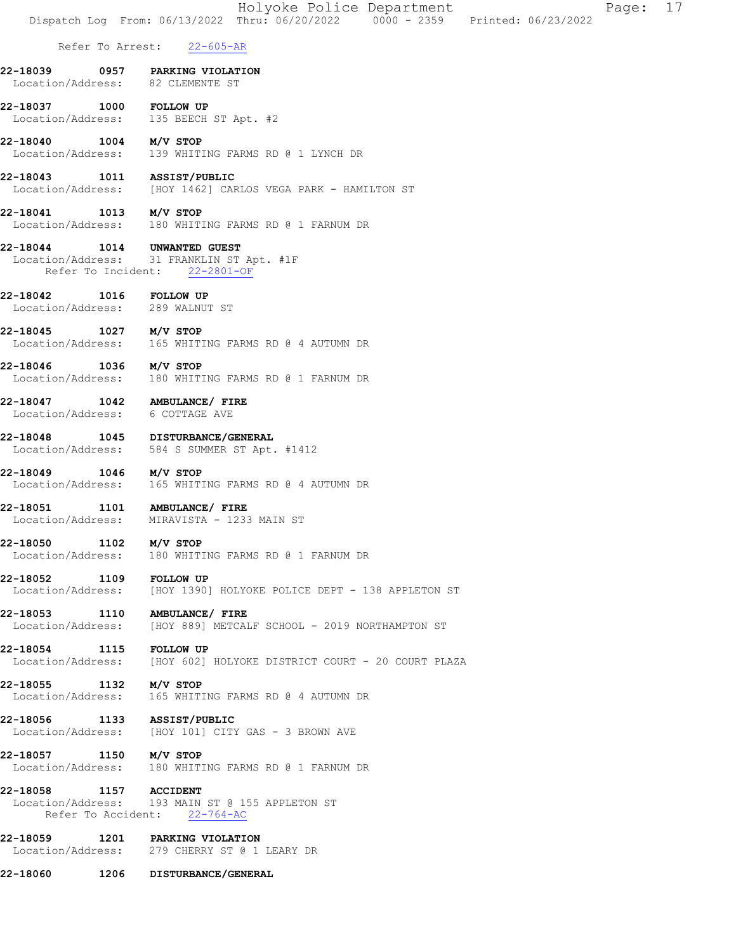|                                                            |      | Holyoke Police Department<br>17<br>Page:<br>Dispatch Log From: 06/13/2022 Thru: 06/20/2022 0000 - 2359 Printed: 06/23/2022 |
|------------------------------------------------------------|------|----------------------------------------------------------------------------------------------------------------------------|
|                                                            |      | Refer To Arrest: 22-605-AR                                                                                                 |
|                                                            |      |                                                                                                                            |
| 22-18039<br>Location/Address: 82 CLEMENTE ST               |      | 0957 PARKING VIOLATION                                                                                                     |
| 22-18037 1000 FOLLOW UP                                    |      | Location/Address: 135 BEECH ST Apt. #2                                                                                     |
| 22-18040                                                   |      | $1004$ $M/V$ STOP<br>Location/Address: 139 WHITING FARMS RD @ 1 LYNCH DR                                                   |
| 22-18043                                                   |      | 1011 ASSIST/PUBLIC<br>Location/Address: [HOY 1462] CARLOS VEGA PARK - HAMILTON ST                                          |
| 22-18041                                                   |      | $1013$ $M/V$ STOP<br>Location/Address: 180 WHITING FARMS RD @ 1 FARNUM DR                                                  |
| 22-18044                                                   |      | 1014 UNWANTED GUEST<br>Location/Address: 31 FRANKLIN ST Apt. #1F<br>Refer To Incident: 22-2801-OF                          |
| 22-18042 1016 FOLLOW UP<br>Location/Address: 289 WALNUT ST |      |                                                                                                                            |
| 22-18045 1027 M/V STOP                                     |      | Location/Address: 165 WHITING FARMS RD @ 4 AUTUMN DR                                                                       |
| 22-18046 1036 M/V STOP                                     |      | Location/Address: 180 WHITING FARMS RD @ 1 FARNUM DR                                                                       |
| Location/Address: 6 COTTAGE AVE                            |      | 22-18047   1042   AMBULANCE/ FIRE                                                                                          |
| Location/Address:                                          |      | 22-18048 1045 DISTURBANCE/GENERAL<br>584 S SUMMER ST Apt. #1412                                                            |
| 1046<br>22-18049<br>Location/Address:                      |      | M/V STOP<br>165 WHITING FARMS RD @ 4 AUTUMN DR                                                                             |
| 22-18051                                                   |      | 1101 AMBULANCE/ FIRE<br>Location/Address: MIRAVISTA - 1233 MAIN ST                                                         |
| 22-18050                                                   |      | 1102 M/V STOP<br>Location/Address: 180 WHITING FARMS RD @ 1 FARNUM DR                                                      |
| 22-18052 1109                                              |      | <b>FOLLOW UP</b><br>Location/Address: [HOY 1390] HOLYOKE POLICE DEPT - 138 APPLETON ST                                     |
|                                                            |      | 22-18053 1110 AMBULANCE/ FIRE<br>Location/Address: [HOY 889] METCALF SCHOOL - 2019 NORTHAMPTON ST                          |
| 22-18054 1115<br>Location/Address:                         |      | <b>FOLLOW UP</b><br>[HOY 602] HOLYOKE DISTRICT COURT - 20 COURT PLAZA                                                      |
| 22-18055 1132 M/V STOP<br>Location/Address:                |      | 165 WHITING FARMS RD @ 4 AUTUMN DR                                                                                         |
| 22-18056 1133 ASSIST/PUBLIC<br>Location/Address:           |      | [HOY 101] CITY GAS - 3 BROWN AVE                                                                                           |
| 22-18057 1150 M/V STOP                                     |      | Location/Address: 180 WHITING FARMS RD @ 1 FARNUM DR                                                                       |
| 22-18058 1157 ACCIDENT                                     |      | Location/Address: 193 MAIN ST @ 155 APPLETON ST<br>Refer To Accident: 22-764-AC                                            |
|                                                            |      | 22-18059 1201 PARKING VIOLATION<br>Location/Address: 279 CHERRY ST @ 1 LEARY DR                                            |
| 22-18060                                                   | 1206 | DISTURBANCE/GENERAL                                                                                                        |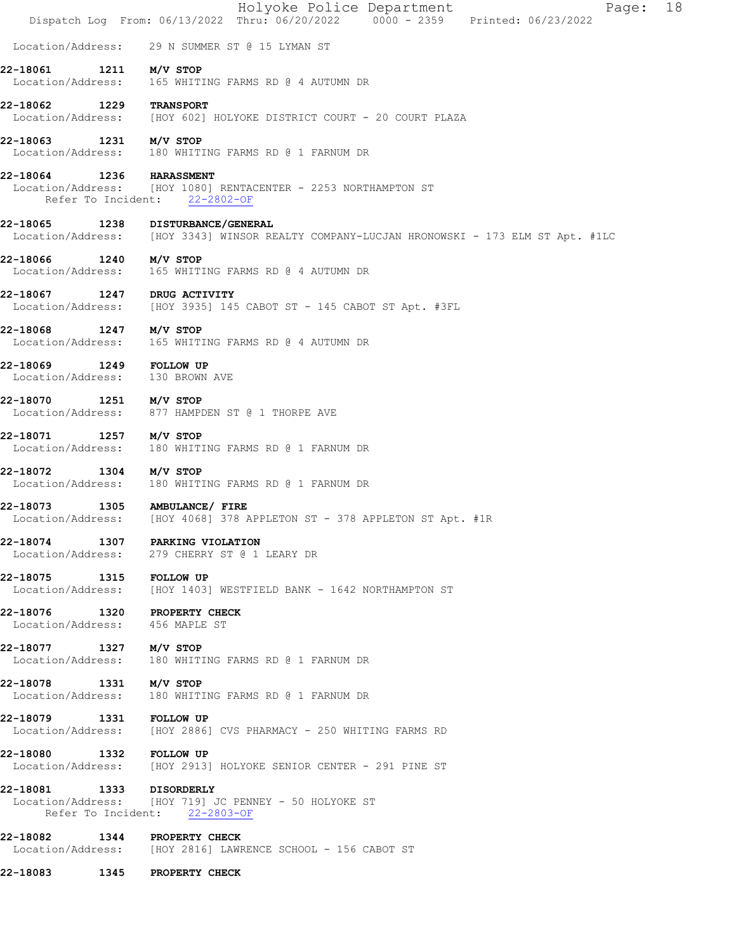|                                                            |      | 18<br>Holyoke Police Department<br>Page:<br>Dispatch Log From: 06/13/2022 Thru: 06/20/2022 0000 - 2359 Printed: 06/23/2022 |
|------------------------------------------------------------|------|----------------------------------------------------------------------------------------------------------------------------|
|                                                            |      | Location/Address: 29 N SUMMER ST @ 15 LYMAN ST                                                                             |
| 22-18061                                                   |      | $1211$ $M/V$ STOP<br>Location/Address: 165 WHITING FARMS RD @ 4 AUTUMN DR                                                  |
| 22-18062 1229 TRANSPORT                                    |      | Location/Address: [HOY 602] HOLYOKE DISTRICT COURT - 20 COURT PLAZA                                                        |
| 22-18063                                                   |      | 1231 M/V STOP<br>Location/Address: 180 WHITING FARMS RD @ 1 FARNUM DR                                                      |
| 22-18064 1236 HARASSMENT                                   |      | Location/Address: [HOY 1080] RENTACENTER - 2253 NORTHAMPTON ST<br>Refer To Incident: 22-2802-OF                            |
| 22-18065                                                   |      | 1238 DISTURBANCE/GENERAL<br>Location/Address: [HOY 3343] WINSOR REALTY COMPANY-LUCJAN HRONOWSKI - 173 ELM ST Apt. #1LC     |
| 22-18066 1240 M/V STOP                                     |      | Location/Address: 165 WHITING FARMS RD @ 4 AUTUMN DR                                                                       |
| 22-18067 1247 DRUG ACTIVITY                                |      | Location/Address: [HOY 3935] 145 CABOT ST - 145 CABOT ST Apt. #3FL                                                         |
| 22-18068 1247 M/V STOP                                     |      | Location/Address: 165 WHITING FARMS RD @ 4 AUTUMN DR                                                                       |
| 22-18069 1249 FOLLOW UP<br>Location/Address: 130 BROWN AVE |      |                                                                                                                            |
| 22-18070                                                   |      | 1251 M/V STOP<br>Location/Address: 877 HAMPDEN ST @ 1 THORPE AVE                                                           |
| 22-18071 1257 M/V STOP                                     |      | Location/Address: 180 WHITING FARMS RD @ 1 FARNUM DR                                                                       |
| 22-18072                                                   |      | $1304$ $M/V$ STOP<br>Location/Address: 180 WHITING FARMS RD @ 1 FARNUM DR                                                  |
|                                                            |      | 22-18073 1305 AMBULANCE/ FIRE<br>Location/Address: [HOY 4068] 378 APPLETON ST - 378 APPLETON ST Apt. #1R                   |
| Location/Address:                                          |      | 22-18074 1307 PARKING VIOLATION<br>279 CHERRY ST @ 1 LEARY DR                                                              |
| 22-18075                                                   | 1315 | <b>FOLLOW UP</b><br>Location/Address: [HOY 1403] WESTFIELD BANK - 1642 NORTHAMPTON ST                                      |
| 22-18076<br>Location/Address: 456 MAPLE ST                 |      | 1320 PROPERTY CHECK                                                                                                        |
| 22-18077 1327<br>Location/Address:                         |      | M/V STOP<br>180 WHITING FARMS RD @ 1 FARNUM DR                                                                             |
| 22-18078<br>Location/Address:                              | 1331 | M/V STOP<br>180 WHITING FARMS RD @ 1 FARNUM DR                                                                             |
| 22-18079 1331 FOLLOW UP<br>Location/Address:               |      | [HOY 2886] CVS PHARMACY - 250 WHITING FARMS RD                                                                             |
| 22-18080<br>Location/Address:                              | 1332 | <b>FOLLOW UP</b><br>[HOY 2913] HOLYOKE SENIOR CENTER - 291 PINE ST                                                         |
| 22-18081 1333 DISORDERLY                                   |      | Location/Address: [HOY 719] JC PENNEY - 50 HOLYOKE ST<br>Refer To Incident: 22-2803-OF                                     |
| 22-18082                                                   | 1344 | PROPERTY CHECK<br>Location/Address: [HOY 2816] LAWRENCE SCHOOL - 156 CABOT ST                                              |
| 22-18083                                                   | 1345 | PROPERTY CHECK                                                                                                             |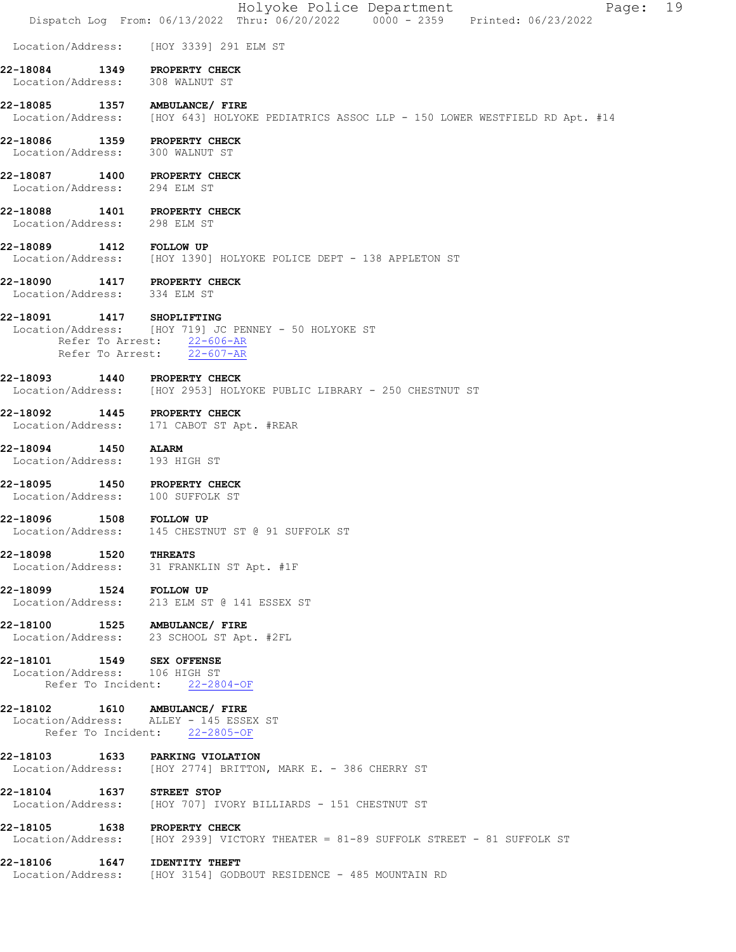|                                                              | Holyoke Police Department<br>Page: 19<br>Dispatch Log From: 06/13/2022 Thru: 06/20/2022 0000 - 2359 Printed: 06/23/2022                 |
|--------------------------------------------------------------|-----------------------------------------------------------------------------------------------------------------------------------------|
|                                                              | Location/Address: [HOY 3339] 291 ELM ST                                                                                                 |
| 22-18084<br>Location/Address: 308 WALNUT ST                  | 1349 PROPERTY CHECK                                                                                                                     |
| 22-18085 1357 AMBULANCE/FIRE                                 | Location/Address: [HOY 643] HOLYOKE PEDIATRICS ASSOC LLP - 150 LOWER WESTFIELD RD Apt. #14                                              |
| 22-18086<br>Location/Address: 300 WALNUT ST                  | 1359 PROPERTY CHECK                                                                                                                     |
| 22-18087 1400 PROPERTY CHECK<br>Location/Address: 294 ELM ST |                                                                                                                                         |
| 22-18088 1401 PROPERTY CHECK<br>Location/Address: 298 ELM ST |                                                                                                                                         |
|                                                              | 22-18089   1412   FOLLOW UP<br>Location/Address: [HOY 1390] HOLYOKE POLICE DEPT - 138 APPLETON ST                                       |
| 22-18090 1417 PROPERTY CHECK<br>Location/Address: 334 ELM ST |                                                                                                                                         |
| 22-18091                                                     | 1417 SHOPLIFTING<br>Location/Address: [HOY 719] JC PENNEY - 50 HOLYOKE ST<br>Refer To Arrest: $22-606-AR$<br>Refer To Arrest: 22-607-AR |
| 22-18093 1440 PROPERTY CHECK                                 | Location/Address: [HOY 2953] HOLYOKE PUBLIC LIBRARY - 250 CHESTNUT ST                                                                   |
|                                                              | 22-18092 1445 PROPERTY CHECK<br>Location/Address: 171 CABOT ST Apt. #REAR                                                               |
| 22-18094 1450<br>Location/Address: 193 HIGH ST               | <b>ALARM</b>                                                                                                                            |
| 22-18095<br>Location/Address:                                | 1450 PROPERTY CHECK<br>100 SUFFOLK ST                                                                                                   |
| 22-18096 1508 FOLLOW UP                                      | Location/Address: 145 CHESTNUT ST @ 91 SUFFOLK ST                                                                                       |
| 22-18098 1520<br>Location/Address:                           | <b>THREATS</b><br>31 FRANKLIN ST Apt. #1F                                                                                               |
| 22-18099 1524 FOLLOW UP<br>Location/Address:                 | 213 ELM ST @ 141 ESSEX ST                                                                                                               |
| 22-18100 1525 AMBULANCE/ FIRE                                | Location/Address: 23 SCHOOL ST Apt. #2FL                                                                                                |
| 22-18101 1549 SEX OFFENSE<br>Location/Address: 106 HIGH ST   | Refer To Incident: 22-2804-OF                                                                                                           |
| 22-18102   1610   AMBULANCE/ FIRE                            | Location/Address: ALLEY - 145 ESSEX ST<br>Refer To Incident: 22-2805-OF                                                                 |
| 22-18103 1633 PARKING VIOLATION                              | Location/Address: [HOY 2774] BRITTON, MARK E. - 386 CHERRY ST                                                                           |
| 22-18104 1637 STREET STOP<br>Location/Address:               | [HOY 707] IVORY BILLIARDS - 151 CHESTNUT ST                                                                                             |
| 22-18105                                                     | 1638 PROPERTY CHECK<br>Location/Address: [HOY 2939] VICTORY THEATER = 81-89 SUFFOLK STREET - 81 SUFFOLK ST                              |
| 22-18106  1647  IDENTITY THEFT                               | Location/Address: [HOY 3154] GODBOUT RESIDENCE - 485 MOUNTAIN RD                                                                        |
|                                                              |                                                                                                                                         |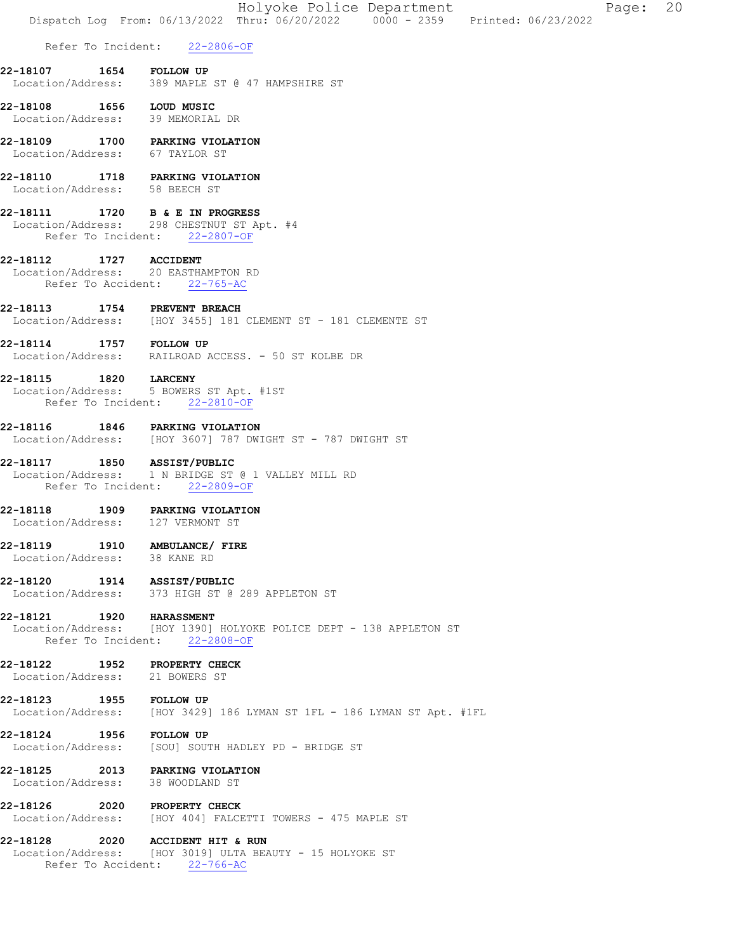|                                                                  | 20<br>Holyoke Police Department<br>Page:<br>Dispatch Log From: 06/13/2022 Thru: 06/20/2022   0000 - 2359   Printed: 06/23/2022 |
|------------------------------------------------------------------|--------------------------------------------------------------------------------------------------------------------------------|
|                                                                  | Refer To Incident: 22-2806-OF                                                                                                  |
| 22-18107                                                         | 1654 FOLLOW UP<br>Location/Address: 389 MAPLE ST @ 47 HAMPSHIRE ST                                                             |
| 22-18108  1656  LOUD MUSIC<br>Location/Address: 39 MEMORIAL DR   |                                                                                                                                |
| 22-18109<br>Location/Address: 67 TAYLOR ST                       | 1700 PARKING VIOLATION                                                                                                         |
| 22-18110 1718 PARKING VIOLATION<br>Location/Address: 58 BEECH ST |                                                                                                                                |
| 22-18111                                                         | 1720 B & E IN PROGRESS<br>Location/Address: 298 CHESTNUT ST Apt. #4<br>Refer To Incident: 22-2807-OF                           |
| 22-18112                                                         | 1727 ACCIDENT<br>Location/Address: 20 EASTHAMPTON RD<br>Refer To Accident: 22-765-AC                                           |
| 22-18113                                                         | 1754 PREVENT BREACH<br>Location/Address: [HOY 3455] 181 CLEMENT ST - 181 CLEMENTE ST                                           |
| 22-18114                                                         | 1757 FOLLOW UP<br>Location/Address: RAILROAD ACCESS. - 50 ST KOLBE DR                                                          |
| 22-18115 1820 LARCENY                                            | Location/Address: 5 BOWERS ST Apt. #1ST<br>Refer To Incident: 22-2810-OF                                                       |
| 22-18116                                                         | 1846 PARKING VIOLATION<br>Location/Address: [HOY 3607] 787 DWIGHT ST - 787 DWIGHT ST                                           |
| 22-18117 1850 ASSIST/PUBLIC                                      | Location/Address: 1 N BRIDGE ST @ 1 VALLEY MILL RD<br>Refer To Incident: 22-2809-OF                                            |
| 22-18118<br>Location/Address: 127 VERMONT ST                     | 1909 PARKING VIOLATION                                                                                                         |
| 22-18119<br>Location/Address: 38 KANE RD                         | 1910 AMBULANCE/ FIRE                                                                                                           |
| 22-18120                                                         | 1914 ASSIST/PUBLIC<br>Location/Address: 373 HIGH ST @ 289 APPLETON ST                                                          |
| 22-18121 1920 HARASSMENT                                         | Location/Address: [HOY 1390] HOLYOKE POLICE DEPT - 138 APPLETON ST<br>Refer To Incident: 22-2808-OF                            |
| 22-18122<br>1952<br>Location/Address: 21 BOWERS ST               | <b>PROPERTY CHECK</b>                                                                                                          |
| 22-18123<br>1955                                                 | <b>FOLLOW UP</b><br>Location/Address: [HOY 3429] 186 LYMAN ST 1FL - 186 LYMAN ST Apt. #1FL                                     |
| 22-18124 1956                                                    | <b>FOLLOW UP</b><br>Location/Address: [SOU] SOUTH HADLEY PD - BRIDGE ST                                                        |
| 22-18125<br>Location/Address: 38 WOODLAND ST                     | 2013 PARKING VIOLATION                                                                                                         |
| 22-18126                                                         | 2020 PROPERTY CHECK<br>Location/Address: [HOY 404] FALCETTI TOWERS - 475 MAPLE ST                                              |
| 22-18128<br>Location/Address:                                    | 2020 ACCIDENT HIT & RUN<br>[HOY 3019] ULTA BEAUTY - 15 HOLYOKE ST<br>Refer To Accident: 22-766-AC                              |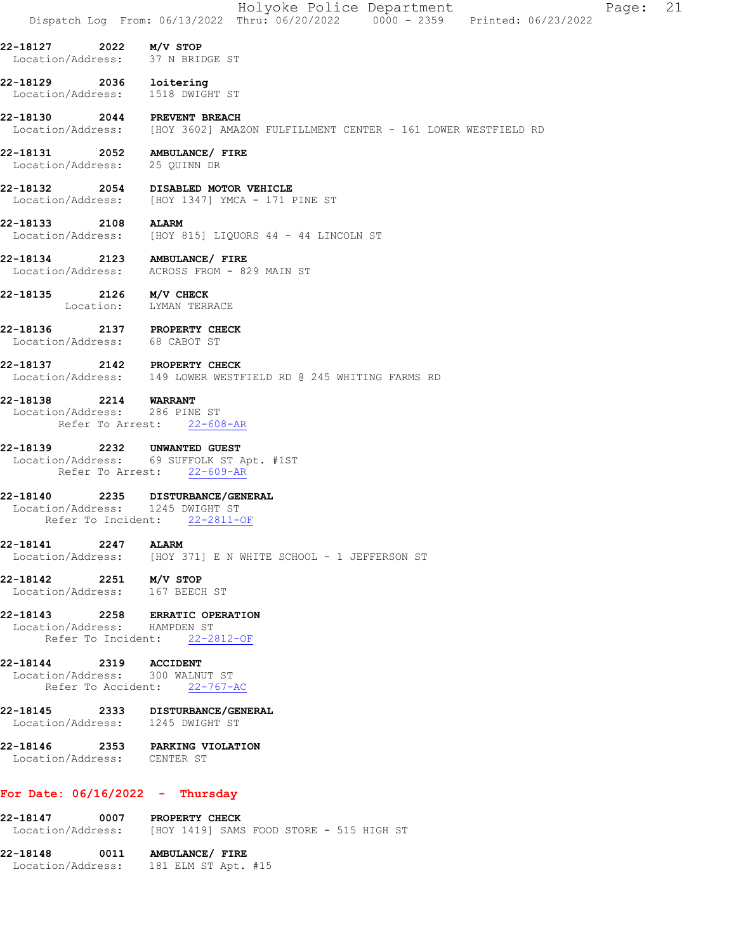|                                                                    | Holyoke Police Department<br>Page:<br>Dispatch Log From: 06/13/2022 Thru: 06/20/2022 0000 - 2359 Printed: 06/23/2022 | 21 |
|--------------------------------------------------------------------|----------------------------------------------------------------------------------------------------------------------|----|
| 22-18127<br>Location/Address: 37 N BRIDGE ST                       | 2022 M/V STOP                                                                                                        |    |
| 22-18129 2036 loitering<br>Location/Address: 1518 DWIGHT ST        |                                                                                                                      |    |
| 22-18130                                                           | 2044 PREVENT BREACH<br>Location/Address: [HOY 3602] AMAZON FULFILLMENT CENTER - 161 LOWER WESTFIELD RD               |    |
| 22-18131  2052  AMBULANCE/ FIRE<br>Location/Address: 25 QUINN DR   |                                                                                                                      |    |
| 22-18132                                                           | 2054 DISABLED MOTOR VEHICLE<br>Location/Address: [HOY 1347] YMCA - 171 PINE ST                                       |    |
| 22-18133<br>2108                                                   | <b>ALARM</b><br>Location/Address: [HOY 815] LIQUORS 44 - 44 LINCOLN ST                                               |    |
| 22-18134 2123 AMBULANCE/ FIRE                                      | Location/Address: ACROSS FROM - 829 MAIN ST                                                                          |    |
| 22-18135 2126 M/V CHECK                                            | Location: LYMAN TERRACE                                                                                              |    |
| 22-18136<br>Location/Address: 68 CABOT ST                          | 2137 PROPERTY CHECK                                                                                                  |    |
| 22-18137 2142 PROPERTY CHECK                                       | Location/Address: 149 LOWER WESTFIELD RD @ 245 WHITING FARMS RD                                                      |    |
| 22-18138<br>2214<br>Location/Address: 286 PINE ST                  | <b>WARRANT</b><br>Refer To Arrest: 22-608-AR                                                                         |    |
| 22-18139<br>2232                                                   | UNWANTED GUEST<br>Location/Address: 69 SUFFOLK ST Apt. #1ST<br>Refer To Arrest: 22-609-AR                            |    |
| 22-18140<br>Location/Address: 1245 DWIGHT ST<br>Refer To Incident: | 2235 DISTURBANCE/GENERAL<br>$22 - 2811 - OF$                                                                         |    |
| 22-18141 2247                                                      | <b>ALARM</b><br>Location/Address: [HOY 371] E N WHITE SCHOOL - 1 JEFFERSON ST                                        |    |
| 22-18142<br>Location/Address: 167 BEECH ST                         | 2251 M/V STOP                                                                                                        |    |
| 22-18143 2258 ERRATIC OPERATION<br>Location/Address: HAMPDEN ST    | Refer To Incident: 22-2812-OF                                                                                        |    |
| 22-18144 2319 ACCIDENT<br>Location/Address: 300 WALNUT ST          | Refer To Accident: 22-767-AC                                                                                         |    |
| Location/Address: 1245 DWIGHT ST                                   | 22-18145 2333 DISTURBANCE/GENERAL                                                                                    |    |
| Location/Address: CENTER ST                                        | 22-18146 2353 PARKING VIOLATION                                                                                      |    |
| For Date: $06/16/2022 - Thursday$                                  |                                                                                                                      |    |
| 22-18147                                                           | 0007 PROPERTY CHECK<br>  Location/Address: [HOY 1419] SAMS FOOD STORE - 515 HIGH ST                                  |    |

22-18148 0011 AMBULANCE/ FIRE Location/Address: 181 ELM ST Apt. #15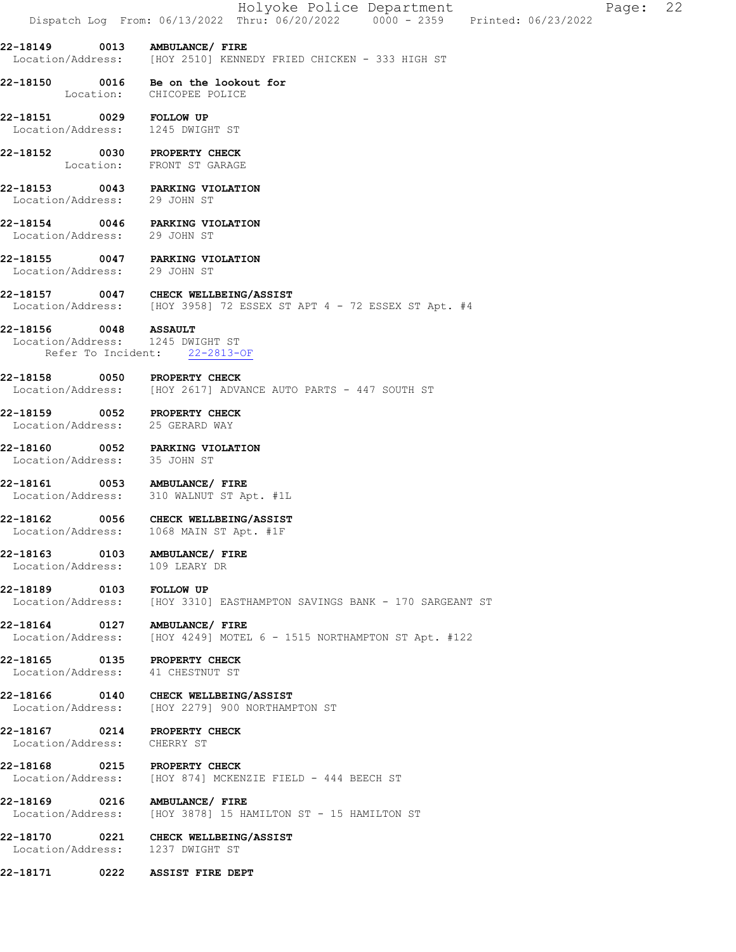|                                              |      | Holyoke Police Department<br>Dispatch Log From: 06/13/2022 Thru: 06/20/2022 0000 - 2359 Printed: 06/23/2022<br>22<br>Page: |
|----------------------------------------------|------|----------------------------------------------------------------------------------------------------------------------------|
|                                              |      | 22-18149 0013 AMBULANCE/ FIRE<br>Location/Address: [HOY 2510] KENNEDY FRIED CHICKEN - 333 HIGH ST                          |
|                                              |      | 22-18150 0016 Be on the lookout for<br>Location: CHICOPEE POLICE                                                           |
| 22-18151 0029 FOLLOW UP                      |      | Location/Address: 1245 DWIGHT ST                                                                                           |
|                                              |      | 22-18152 0030 PROPERTY CHECK<br>Location: FRONT ST GARAGE                                                                  |
|                                              |      | 22-18153 0043 PARKING VIOLATION<br>Location/Address: 29 JOHN ST                                                            |
| Location/Address: 29 JOHN ST                 |      | 22-18154 0046 PARKING VIOLATION                                                                                            |
| Location/Address: 29 JOHN ST                 |      | 22-18155 0047 PARKING VIOLATION                                                                                            |
|                                              |      | 22-18157 0047 CHECK WELLBEING/ASSIST<br>Location/Address: [HOY 3958] 72 ESSEX ST APT 4 - 72 ESSEX ST Apt. #4               |
| 22-18156 0048 ASSAULT                        |      | Location/Address: 1245 DWIGHT ST<br>Refer To Incident: 22-2813-OF                                                          |
|                                              |      | 22-18158 0050 PROPERTY CHECK<br>Location/Address: [HOY 2617] ADVANCE AUTO PARTS - 447 SOUTH ST                             |
|                                              |      | 22-18159 0052 PROPERTY CHECK<br>Location/Address: 25 GERARD WAY                                                            |
| Location/Address: 35 JOHN ST                 |      | 22-18160 0052 PARKING VIOLATION                                                                                            |
|                                              |      | 22-18161 0053 AMBULANCE/ FIRE<br>Location/Address: 310 WALNUT ST Apt. #1L                                                  |
|                                              |      | 22-18162 0056 CHECK WELLBEING/ASSIST<br>Location/Address: 1068 MAIN ST Apt. #1F                                            |
| Location/Address: 109 LEARY DR               |      | 22-18163 0103 AMBULANCE/ FIRE                                                                                              |
| 22-18189 0103 FOLLOW UP<br>Location/Address: |      | [HOY 3310] EASTHAMPTON SAVINGS BANK - 170 SARGEANT ST                                                                      |
| Location/Address:                            |      | 22-18164 0127 AMBULANCE/ FIRE<br>[HOY 4249] MOTEL 6 - 1515 NORTHAMPTON ST Apt. #122                                        |
|                                              |      | 22-18165 0135 PROPERTY CHECK<br>Location/Address: 41 CHESTNUT ST                                                           |
|                                              |      | 22-18166 0140 CHECK WELLBEING/ASSIST<br>Location/Address: [HOY 2279] 900 NORTHAMPTON ST                                    |
| Location/Address:                            |      | 22-18167 0214 PROPERTY CHECK<br>CHERRY ST                                                                                  |
|                                              |      | 22-18168 0215 PROPERTY CHECK<br>Location/Address: [HOY 874] MCKENZIE FIELD - 444 BEECH ST                                  |
|                                              |      | 22-18169 0216 AMBULANCE/ FIRE<br>Location/Address: [HOY 3878] 15 HAMILTON ST - 15 HAMILTON ST                              |
|                                              |      | 22-18170 0221 CHECK WELLBEING/ASSIST<br>Location/Address: 1237 DWIGHT ST                                                   |
| 22-18171                                     | 0222 | ASSIST FIRE DEPT                                                                                                           |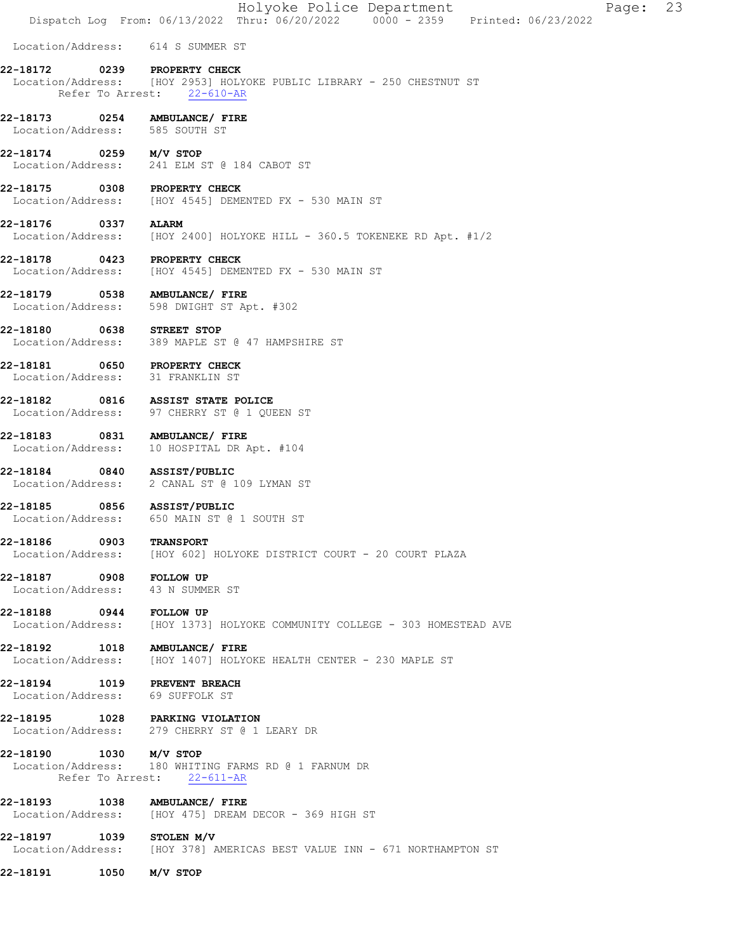Holyoke Police Department Page: 23 Dispatch Log From: 06/13/2022 Thru: 06/20/2022 0000 - 2359 Printed: 06/23/2022 Location/Address: 614 S SUMMER ST 22-18172 0239 PROPERTY CHECK Location/Address: [HOY 2953] HOLYOKE PUBLIC LIBRARY - 250 CHESTNUT ST Refer To Arrest: 22-610-AR 22-18173 0254 AMBULANCE/ FIRE Location/Address: 585 SOUTH ST **22-18174 0259 M/V STOP**<br>Location/Address: 241 ELM S 241 ELM ST @ 184 CABOT ST 22-18175 0308 PROPERTY CHECK Location/Address: [HOY 4545] DEMENTED FX - 530 MAIN ST 22-18176 0337 ALARM Location/Address: [HOY 2400] HOLYOKE HILL - 360.5 TOKENEKE RD Apt. #1/2 22-18178 0423 PROPERTY CHECK Location/Address: [HOY 4545] DEMENTED FX - 530 MAIN ST 22-18179 0538 AMBULANCE/ FIRE Location/Address: 598 DWIGHT ST Apt. #302 22-18180 0638 STREET STOP<br>Location/Address: 389 MAPLE ST 389 MAPLE ST @ 47 HAMPSHIRE ST 22-18181 0650 PROPERTY CHECK Location/Address: 31 FRANKLIN ST 22-18182 0816 ASSIST STATE POLICE Location/Address: 97 CHERRY ST @ 1 QUEEN ST 22-18183 0831 AMBULANCE/ FIRE Location/Address: 10 HOSPITAL DR Apt. #104 22-18184 0840 ASSIST/PUBLIC Location/Address: 2 CANAL ST @ 109 LYMAN ST 22-18185 0856 ASSIST/PUBLIC Location/Address: 650 MAIN ST @ 1 SOUTH ST 22-18186 0903 TRANSPORT Location/Address: [HOY 602] HOLYOKE DISTRICT COURT - 20 COURT PLAZA 22-18187 0908 FOLLOW UP Location/Address: 43 N SUMMER ST 22-18188 0944 FOLLOW UP Location/Address: [HOY 1373] HOLYOKE COMMUNITY COLLEGE - 303 HOMESTEAD AVE 22-18192 1018 AMBULANCE/FIRE<br>Location/Address: [HOY 1407] HOLYO [HOY 1407] HOLYOKE HEALTH CENTER - 230 MAPLE ST 22-18194 1019 PREVENT BREACH Location/Address: 69 SUFFOLK ST 22-18195 1028 PARKING VIOLATION Location/Address: 279 CHERRY ST @ 1 LEARY DR 22-18190 1030 M/V STOP Location/Address: 180 WHITING FARMS RD @ 1 FARNUM DR Refer To Arrest: 22-611-AR 22-18193 1038 AMBULANCE/ FIRE Location/Address: [HOY 475] DREAM DECOR - 369 HIGH ST **22-18197 1039 STOLEN M/V**<br>Location/Address: [HOY 378] *P* [HOY 378] AMERICAS BEST VALUE INN - 671 NORTHAMPTON ST 22-18191 1050 M/V STOP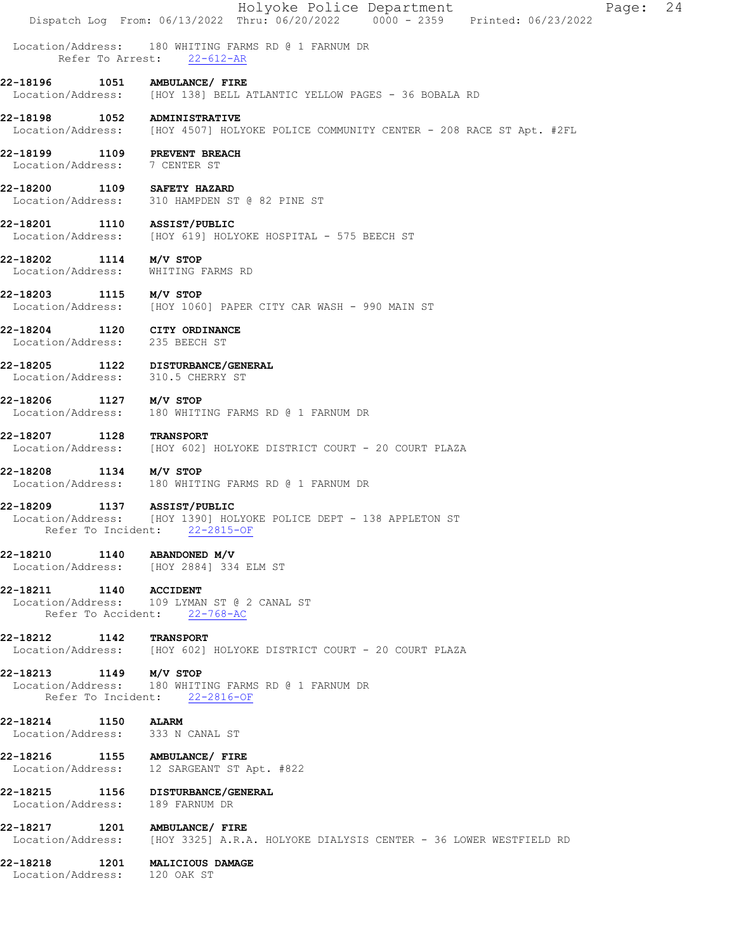|                                                                |                  | Holyoke Police Department<br>24<br>Page:<br>Dispatch Log From: 06/13/2022 Thru: 06/20/2022 0000 - 2359 Printed: 06/23/2022  |
|----------------------------------------------------------------|------------------|-----------------------------------------------------------------------------------------------------------------------------|
| Location/Address:                                              | Refer To Arrest: | 180 WHITING FARMS RD @ 1 FARNUM DR<br>$22 - 612 - AR$                                                                       |
| 22-18196                                                       | 1051             | AMBULANCE/ FIRE<br>Location/Address: [HOY 138] BELL ATLANTIC YELLOW PAGES - 36 BOBALA RD                                    |
| 22-18198                                                       |                  | 1052 ADMINISTRATIVE<br>Location/Address: [HOY 4507] HOLYOKE POLICE COMMUNITY CENTER - 208 RACE ST Apt. #2FL                 |
| 22-18199<br>Location/Address: 7 CENTER ST                      |                  | <b>1109 PREVENT BREACH</b>                                                                                                  |
| 22-18200                                                       |                  | 1109 SAFETY HAZARD<br>Location/Address: 310 HAMPDEN ST @ 82 PINE ST                                                         |
| 22-18201                                                       |                  | 1110 ASSIST/PUBLIC<br>Location/Address: [HOY 619] HOLYOKE HOSPITAL - 575 BEECH ST                                           |
| 22-18202                                                       |                  | $1114$ $M/V$ STOP<br>Location/Address: WHITING FARMS RD                                                                     |
| 22-18203 1115 M/V STOP                                         |                  | Location/Address: [HOY 1060] PAPER CITY CAR WASH - 990 MAIN ST                                                              |
| 22-18204 1120 CITY ORDINANCE<br>Location/Address: 235 BEECH ST |                  |                                                                                                                             |
|                                                                |                  | 22-18205 1122 DISTURBANCE/GENERAL<br>Location/Address: 310.5 CHERRY ST                                                      |
| 22-18206<br>Location/Address:                                  |                  | $1127$ $M/V$ STOP<br>180 WHITING FARMS RD @ 1 FARNUM DR                                                                     |
| 22-18207                                                       | 1128             | <b>TRANSPORT</b><br>Location/Address: [HOY 602] HOLYOKE DISTRICT COURT - 20 COURT PLAZA                                     |
| 22-18208                                                       |                  | 1134 M/V STOP<br>Location/Address: 180 WHITING FARMS RD @ 1 FARNUM DR                                                       |
| 22-18209                                                       | 1137             | <b>ASSIST/PUBLIC</b><br>Location/Address: [HOY 1390] HOLYOKE POLICE DEPT - 138 APPLETON ST<br>Refer To Incident: 22-2815-OF |
| 22-18210 1140 ABANDONED M/V                                    |                  | Location/Address: [HOY 2884] 334 ELM ST                                                                                     |
| 22-18211 1140 ACCIDENT                                         |                  | Location/Address: 109 LYMAN ST @ 2 CANAL ST<br>Refer To Accident: 22-768-AC                                                 |
| 22-18212 1142 TRANSPORT                                        |                  | Location/Address: [HOY 602] HOLYOKE DISTRICT COURT - 20 COURT PLAZA                                                         |
| 22-18213 1149 M/V STOP                                         |                  | Location/Address: 180 WHITING FARMS RD @ 1 FARNUM DR<br>Refer To Incident: 22-2816-OF                                       |
| 22-18214 1150 ALARM                                            |                  | Location/Address: 333 N CANAL ST                                                                                            |
|                                                                |                  | 22-18216 1155 AMBULANCE/ FIRE<br>Location/Address: 12 SARGEANT ST Apt. #822                                                 |
| Location/Address: 189 FARNUM DR                                |                  | 22-18215 1156 DISTURBANCE/GENERAL                                                                                           |
|                                                                |                  | 22-18217 1201 AMBULANCE/ FIRE<br>Location/Address: [HOY 3325] A.R.A. HOLYOKE DIALYSIS CENTER - 36 LOWER WESTFIELD RD        |
| Location/Address: 120 OAK ST                                   |                  | 22-18218 1201 MALICIOUS DAMAGE                                                                                              |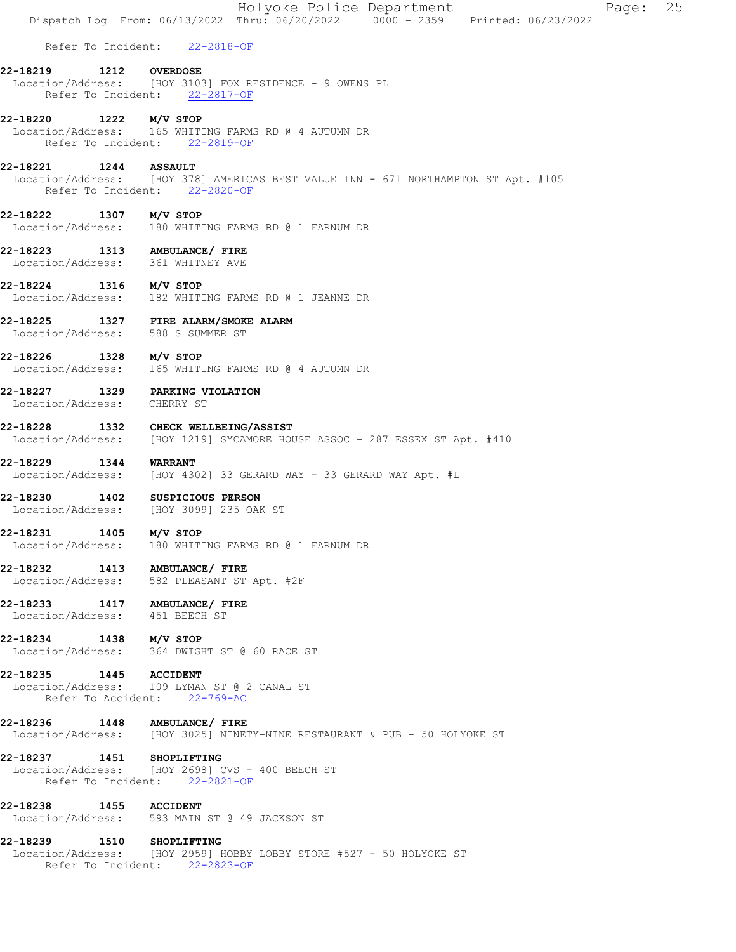|                                       |              | Holyoke Police Department<br>25<br>Page:<br>Dispatch Log From: 06/13/2022 Thru: 06/20/2022 0000 - 2359 Printed: 06/23/2022 |
|---------------------------------------|--------------|----------------------------------------------------------------------------------------------------------------------------|
|                                       |              | Refer To Incident: 22-2818-OF                                                                                              |
| 22-18219                              |              | <b>1212 OVERDOSE</b><br>Location/Address: [HOY 3103] FOX RESIDENCE - 9 OWENS PL<br>Refer To Incident: 22-2817-OF           |
| 22-18220 1222 M/V STOP                |              | Location/Address: 165 WHITING FARMS RD @ 4 AUTUMN DR<br>Refer To Incident: 22-2819-OF                                      |
| 22-18221                              | 1244 ASSAULT | Location/Address: [HOY 378] AMERICAS BEST VALUE INN - 671 NORTHAMPTON ST Apt. #105<br>Refer To Incident: 22-2820-OF        |
| 22-18222                              |              | 1307 M/V STOP<br>Location/Address: 180 WHITING FARMS RD @ 1 FARNUM DR                                                      |
|                                       |              | 22-18223 1313 AMBULANCE/ FIRE<br>Location/Address: 361 WHITNEY AVE                                                         |
| 22-18224 1316 M/V STOP                |              | Location/Address: 182 WHITING FARMS RD @ 1 JEANNE DR                                                                       |
|                                       |              | 22-18225 1327 FIRE ALARM/SMOKE ALARM<br>Location/Address: 588 S SUMMER ST                                                  |
| 22-18226                              |              | 1328 M/V STOP<br>Location/Address: 165 WHITING FARMS RD @ 4 AUTUMN DR                                                      |
| Location/Address: CHERRY ST           |              | 22-18227 1329 PARKING VIOLATION                                                                                            |
| 22-18228                              |              | 1332 CHECK WELLBEING/ASSIST<br>Location/Address: [HOY 1219] SYCAMORE HOUSE ASSOC - 287 ESSEX ST Apt. #410                  |
| 22-18229 1344                         |              | <b>WARRANT</b><br>Location/Address: [HOY 4302] 33 GERARD WAY - 33 GERARD WAY Apt. #L                                       |
| 22-18230                              |              | 1402 SUSPICIOUS PERSON<br>Location/Address: [HOY 3099] 235 OAK ST                                                          |
| 22-18231<br>1405<br>Location/Address: |              | M/V STOP<br>180 WHITING FARMS RD @ 1 FARNUM DR                                                                             |
|                                       |              | 22-18232 1413 AMBULANCE/ FIRE<br>Location/Address: 582 PLEASANT ST Apt. #2F                                                |
| Location/Address: 451 BEECH ST        |              | 22-18233 1417 AMBULANCE/ FIRE                                                                                              |
| 22-18234 1438 M/V STOP                |              | Location/Address: 364 DWIGHT ST @ 60 RACE ST                                                                               |
| 22-18235 1445 ACCIDENT                |              | Location/Address: 109 LYMAN ST @ 2 CANAL ST<br>Refer To Accident: 22-769-AC                                                |
|                                       |              | 22-18236  1448  AMBULANCE/ FIRE<br>Location/Address: [HOY 3025] NINETY-NINE RESTAURANT & PUB - 50 HOLYOKE ST               |
| 22-18237 1451 SHOPLIFTING             |              | Location/Address: [HOY 2698] CVS - 400 BEECH ST<br>Refer To Incident: 22-2821-OF                                           |
| 22-18238 1455 ACCIDENT                |              | Location/Address: 593 MAIN ST @ 49 JACKSON ST                                                                              |
| 22-18239 1510 SHOPLIFTING             |              | Location/Address: [HOY 2959] HOBBY LOBBY STORE #527 - 50 HOLYOKE ST<br>Refer To Incident: 22-2823-OF                       |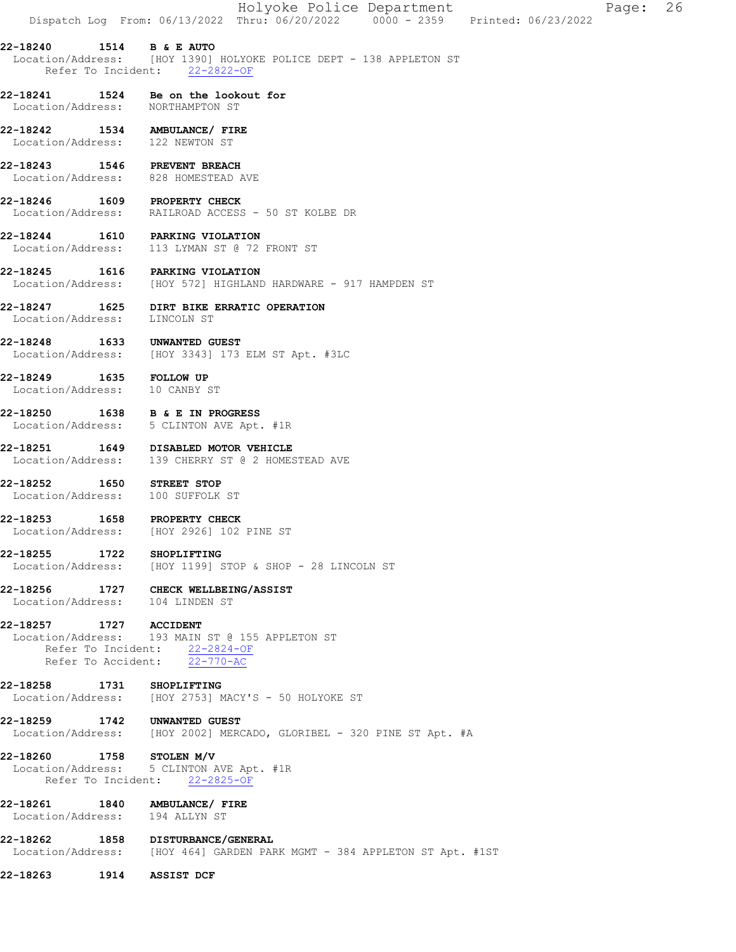|                                                          | Holyoke Police Department<br>Dispatch Log From: 06/13/2022 Thru: 06/20/2022 0000 - 2359 Printed: 06/23/2022                     |
|----------------------------------------------------------|---------------------------------------------------------------------------------------------------------------------------------|
|                                                          | 22-18240 1514 B & E AUTO<br>Location/Address: [HOY 1390] HOLYOKE POLICE DEPT - 138 APPLETON ST<br>Refer To Incident: 22-2822-OF |
|                                                          | 22-18241 1524 Be on the lookout for<br>Location/Address: NORTHAMPTON ST                                                         |
|                                                          | 22-18242 1534 AMBULANCE/ FIRE<br>Location/Address: 122 NEWTON ST                                                                |
| 22-18243 1546 PREVENT BREACH                             | Location/Address: 828 HOMESTEAD AVE                                                                                             |
| 22-18246 1609 PROPERTY CHECK                             | Location/Address: RAILROAD ACCESS - 50 ST KOLBE DR                                                                              |
|                                                          | 22-18244 1610 PARKING VIOLATION<br>Location/Address: 113 LYMAN ST @ 72 FRONT ST                                                 |
|                                                          | 22-18245 1616 PARKING VIOLATION<br>Location/Address: [HOY 572] HIGHLAND HARDWARE - 917 HAMPDEN ST                               |
|                                                          | 22-18247 1625 DIRT BIKE ERRATIC OPERATION<br>Location/Address: LINCOLN ST                                                       |
|                                                          | 22-18248   1633   UNWANTED GUEST<br>Location/Address: [HOY 3343] 173   ELM ST Apt. #3LC                                         |
| 22-18249 1635 FOLLOW UP<br>Location/Address: 10 CANBY ST |                                                                                                                                 |
|                                                          | 22-18250 1638 B & E IN PROGRESS<br>Location/Address: 5 CLINTON AVE Apt. #1R                                                     |
|                                                          | 22-18251 1649 DISABLED MOTOR VEHICLE<br>Location/Address: 139 CHERRY ST @ 2 HOMESTEAD AVE                                       |
| 22-18252 1650 STREET STOP                                | Location/Address: 100 SUFFOLK ST                                                                                                |
| 22-18253 1658 PROPERTY CHECK                             | Location/Address: [HOY 2926] 102 PINE ST                                                                                        |
| 22-18255 1722 SHOPLIFTING                                | Location/Address: [HOY 1199] STOP & SHOP - 28 LINCOLN ST                                                                        |
|                                                          | 22-18256 1727 CHECK WELLBEING/ASSIST<br>Location/Address: 104 LINDEN ST                                                         |
| 22-18257 1727 ACCIDENT                                   | Location/Address: 193 MAIN ST @ 155 APPLETON ST<br>Refer To Incident: 22-2824-OF<br>Refer To Accident: 22-770-AC                |
| 22-18258 1731 SHOPLIFTING                                | Location/Address: [HOY 2753] MACY'S - 50 HOLYOKE ST                                                                             |
| 22-18259 1742 UNWANTED GUEST                             | Location/Address: [HOY 2002] MERCADO, GLORIBEL - 320 PINE ST Apt. #A                                                            |
| 22-18260 1758 STOLEN M/V                                 | Location/Address: 5 CLINTON AVE Apt. #1R<br>Refer To Incident: 22-2825-OF                                                       |
|                                                          | 22-18261 1840 AMBULANCE/ FIRE<br>Location/Address: 194 ALLYN ST                                                                 |
|                                                          | 22-18262 1858 DISTURBANCE/GENERAL<br>Location/Address: [HOY 464] GARDEN PARK MGMT - 384 APPLETON ST Apt. #1ST                   |
| 22-18263                                                 | 1914 ASSIST DCF                                                                                                                 |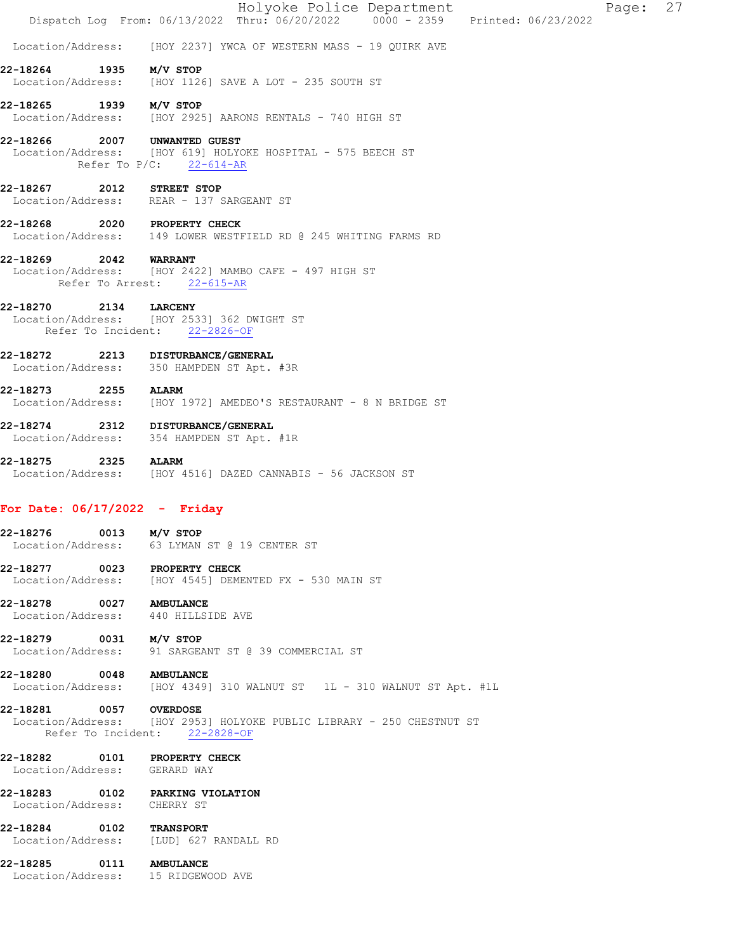|                                 |      |                                                                                               | Holyoke Police Department<br>Dispatch Log From: 06/13/2022 Thru: 06/20/2022 0000 - 2359 Printed: 06/23/2022 |  | Page: | 27 |
|---------------------------------|------|-----------------------------------------------------------------------------------------------|-------------------------------------------------------------------------------------------------------------|--|-------|----|
| Location/Address:               |      |                                                                                               | [HOY 2237] YWCA OF WESTERN MASS - 19 QUIRK AVE                                                              |  |       |    |
| 22-18264                        |      | $1935$ $M/V$ STOP                                                                             | Location/Address: [HOY 1126] SAVE A LOT - 235 SOUTH ST                                                      |  |       |    |
| 22-18265 1939 M/V STOP          |      |                                                                                               | Location/Address: [HOY 2925] AARONS RENTALS - 740 HIGH ST                                                   |  |       |    |
| 22-18266                        |      | 2007 UNWANTED GUEST<br>Refer To $P/C$ : 22-614-AR                                             | Location/Address: [HOY 619] HOLYOKE HOSPITAL - 575 BEECH ST                                                 |  |       |    |
| 22-18267                        |      | 2012 STREET STOP<br>Location/Address: REAR - 137 SARGEANT ST                                  |                                                                                                             |  |       |    |
| 22-18268                        |      | 2020 PROPERTY CHECK                                                                           | Location/Address: 149 LOWER WESTFIELD RD @ 245 WHITING FARMS RD                                             |  |       |    |
| 22-18269 2042 WARRANT           |      | Refer To Arrest: 22-615-AR                                                                    | Location/Address: [HOY 2422] MAMBO CAFE - 497 HIGH ST                                                       |  |       |    |
| 22-18270                        | 2134 | <b>LARCENY</b><br>Location/Address: [HOY 2533] 362 DWIGHT ST<br>Refer To Incident: 22-2826-OF |                                                                                                             |  |       |    |
| 22-18272                        |      | 2213 DISTURBANCE/GENERAL<br>Location/Address: 350 HAMPDEN ST Apt. #3R                         |                                                                                                             |  |       |    |
| 22-18273 2255                   |      | <b>ALARM</b>                                                                                  | Location/Address: [HOY 1972] AMEDEO'S RESTAURANT - 8 N BRIDGE ST                                            |  |       |    |
| 22-18274                        |      | 2312 DISTURBANCE/GENERAL<br>Location/Address: 354 HAMPDEN ST Apt. #1R                         |                                                                                                             |  |       |    |
| 22-18275                        |      | 2325 ALARM                                                                                    | Location/Address: [HOY 4516] DAZED CANNABIS - 56 JACKSON ST                                                 |  |       |    |
| For Date: $06/17/2022 -$ Friday |      |                                                                                               |                                                                                                             |  |       |    |
| 22-18276<br>Location/Address:   |      | $0013$ $M/V$ STOP<br>63 LYMAN ST @ 19 CENTER ST                                               |                                                                                                             |  |       |    |
|                                 |      | 22-18277 0023 PROPERTY CHECK                                                                  | Location/Address: [HOY 4545] DEMENTED FX - 530 MAIN ST                                                      |  |       |    |
| 22-18278 0027 AMBULANCE         |      | Location/Address: 440 HILLSIDE AVE                                                            |                                                                                                             |  |       |    |
| 22-18279 0031 M/V STOP          |      |                                                                                               | Location/Address: 91 SARGEANT ST @ 39 COMMERCIAL ST                                                         |  |       |    |
| 22-18280 0048 AMBULANCE         |      |                                                                                               |                                                                                                             |  |       |    |
| 22-18281 0057 OVERDOSE          |      | Refer To Incident: 22-2828-OF                                                                 | Location/Address: [HOY 2953] HOLYOKE PUBLIC LIBRARY - 250 CHESTNUT ST                                       |  |       |    |
| Location/Address: GERARD WAY    |      | 22-18282 0101 PROPERTY CHECK                                                                  |                                                                                                             |  |       |    |
| Location/Address: CHERRY ST     |      | 22-18283 0102 PARKING VIOLATION                                                               |                                                                                                             |  |       |    |
| 22-18284 0102 TRANSPORT         |      | Location/Address: [LUD] 627 RANDALL RD                                                        |                                                                                                             |  |       |    |
| 22-18285 0111 AMBULANCE         |      | Location/Address: 15 RIDGEWOOD AVE                                                            |                                                                                                             |  |       |    |
|                                 |      |                                                                                               |                                                                                                             |  |       |    |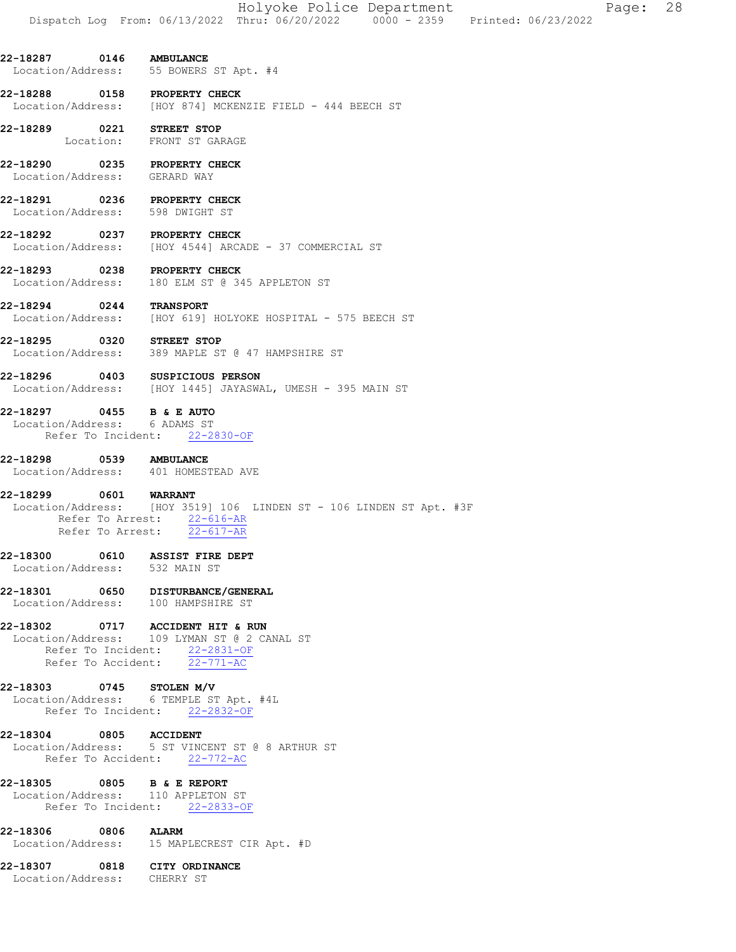Holyoke Police Department Page: 28 Dispatch Log From: 06/13/2022 Thru: 06/20/2022 0000 - 2359 Printed: 06/23/2022

22-18287 0146 AMBULANCE Location/Address: 55 BOWERS ST Apt. #4

22-18288 0158 PROPERTY CHECK<br>Location/Address: [HOY 874] MCKER [HOY 874] MCKENZIE FIELD - 444 BEECH ST

22-18289 0221 STREET STOP Location: FRONT ST GARAGE

22-18290 0235 PROPERTY CHECK Location/Address: GERARD WAY

22-18291 0236 PROPERTY CHECK Location/Address: 598 DWIGHT ST

22-18292 0237 PROPERTY CHECK Location/Address: [HOY 4544] ARCADE - 37 COMMERCIAL ST

22-18293 0238 PROPERTY CHECK<br>Location/Address: 180 ELM ST @ 34 180 ELM ST @ 345 APPLETON ST

22-18294 0244 TRANSPORT Location/Address: [HOY 619] HOLYOKE HOSPITAL - 575 BEECH ST

22-18295 0320 STREET STOP Location/Address: 389 MAPLE ST @ 47 HAMPSHIRE ST

22-18296 0403 SUSPICIOUS PERSON Location/Address: [HOY 1445] JAYASWAL, UMESH - 395 MAIN ST

22-18297 0455 B & E AUTO Location/Address: 6 ADAMS ST Refer To Incident: 22-2830-OF

22-18298 0539 AMBULANCE Location/Address: 401 HOMESTEAD AVE 22-18299 0601 WARRANT Location/Address: [HOY 3519] 106 LINDEN ST - 106 LINDEN ST Apt. #3F

 Refer To Arrest: 22-616-AR Refer To Arrest: 22-617-AR

22-18300 0610 ASSIST FIRE DEPT Location/Address: 532 MAIN ST

22-18301 0650 DISTURBANCE/GENERAL Location/Address: 100 HAMPSHIRE ST

22-18302 0717 ACCIDENT HIT & RUN Location/Address: 109 LYMAN ST @ 2 CANAL ST Refer To Incident: 22-2831-OF Refer To Accident: 22-771-AC

22-18303 0745 STOLEN M/V Location/Address: 6 TEMPLE ST Apt. #4L Refer To Incident: 22-2832-OF

22-18304 0805 ACCIDENT Location/Address: 5 ST VINCENT ST @ 8 ARTHUR ST Refer To Accident: 22-772-AC

22-18305 0805 B & E REPORT Location/Address: 110 APPLETON ST Refer To Incident: 22-2833-OF

22-18306 0806 ALARM Location/Address: 15 MAPLECREST CIR Apt. #D

22-18307 0818 CITY ORDINANCE Location/Address: CHERRY ST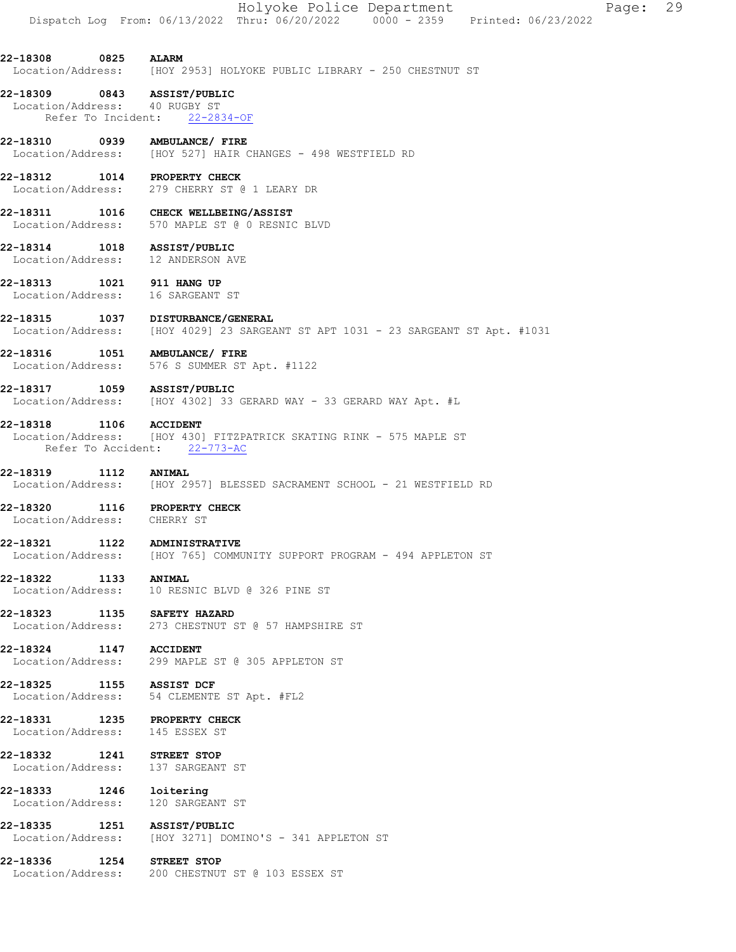#### 22-18309 0843 ASSIST/PUBLIC Location/Address: 40 RUGBY ST Refer To Incident: 22-2834-OF

22-18310 0939 AMBULANCE/ FIRE Location/Address: [HOY 527] HAIR CHANGES - 498 WESTFIELD RD

22-18312 1014 PROPERTY CHECK Location/Address: 279 CHERRY ST @ 1 LEARY DR

22-18311 1016 CHECK WELLBEING/ASSIST Location/Address: 570 MAPLE ST @ 0 RESNIC BLVD

22-18314 1018 ASSIST/PUBLIC Location/Address: 12 ANDERSON AVE

22-18313 1021 911 HANG UP<br>Location/Address: 16 SARGEANT ST Location/Address:

22-18315 1037 DISTURBANCE/GENERAL<br>Location/Address: [HOY 4029] 23 SARGE/ [HOY 4029] 23 SARGEANT ST APT 1031 - 23 SARGEANT ST Apt. #1031

22-18316 1051 AMBULANCE/ FIRE Location/Address: 576 S SUMMER ST Apt. #1122

22-18317 1059 ASSIST/PUBLIC Location/Address: [HOY 4302] 33 GERARD WAY - 33 GERARD WAY Apt. #L

22-18318 1106 ACCIDENT Location/Address: [HOY 430] FITZPATRICK SKATING RINK - 575 MAPLE ST Refer To Accident: 22-773-AC

22-18319 1112 ANIMAL Location/Address: [HOY 2957] BLESSED SACRAMENT SCHOOL - 21 WESTFIELD RD

22-18320 1116 PROPERTY CHECK Location/Address: CHERRY ST

22-18321 1122 ADMINISTRATIVE Location/Address: [HOY 765] COMMUNITY SUPPORT PROGRAM - 494 APPLETON ST

22-18322 1133 ANIMAL Location/Address: 10 RESNIC BLVD @ 326 PINE ST

22-18323 1135 SAFETY HAZARD Location/Address: 273 CHESTNUT ST @ 57 HAMPSHIRE ST

22-18324 1147 ACCIDENT<br>Location/Address: 299 MAPLE 299 MAPLE ST @ 305 APPLETON ST

22-18325 1155 ASSIST DCF Location/Address: 54 CLEMENTE ST Apt. #FL2

22-18331 1235 PROPERTY CHECK Location/Address: 145 ESSEX ST

22-18332 1241 STREET STOP

Location/Address: 137 SARGEANT ST

22-18333 1246 loitering Location/Address: 120 SARGEANT ST

22-18335 1251 ASSIST/PUBLIC<br>Location/Address: [HOY 3271] DOM [HOY 3271] DOMINO'S - 341 APPLETON ST

22-18336 1254 STREET STOP Location/Address: 200 CHESTNUT ST @ 103 ESSEX ST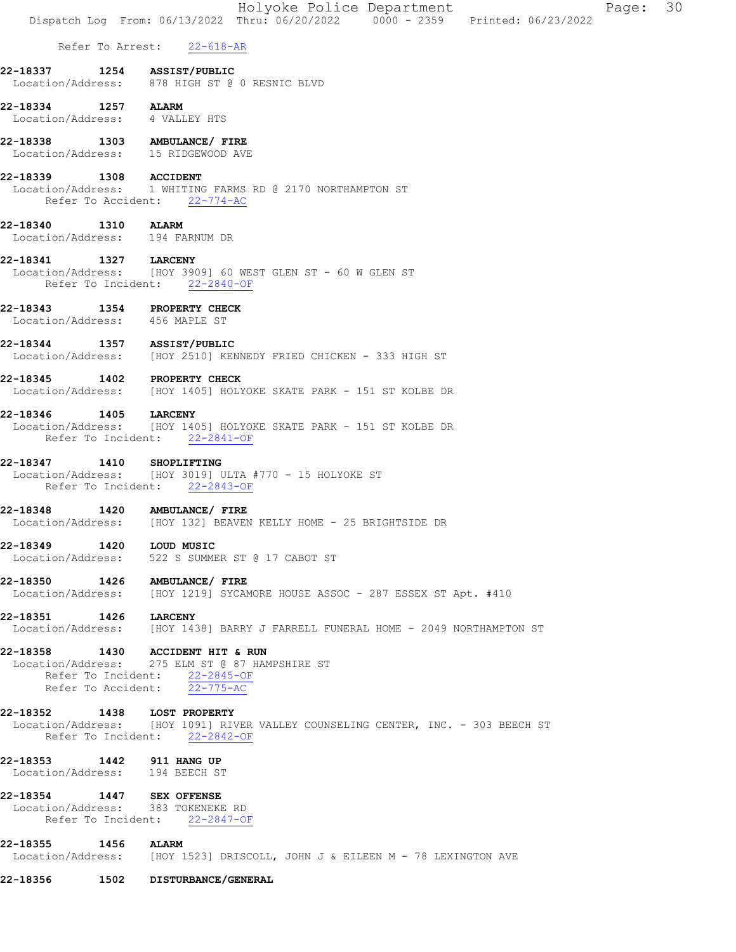|                            | Holyoke Police Department<br>Dispatch Log From: 06/13/2022 Thru: 06/20/2022 0000 - 2359 Printed: 06/23/2022 | Page: 30 |
|----------------------------|-------------------------------------------------------------------------------------------------------------|----------|
| Refer To Arrest: 22-618-AR |                                                                                                             |          |

- 22-18337 1254 ASSIST/PUBLIC Location/Address: 878 HIGH ST @ 0 RESNIC BLVD
- 22-18334 1257 ALARM<br>Location/Address: 4 VALLEY HTS Location/Address:
- 22-18338 1303 AMBULANCE/ FIRE Location/Address: 15 RIDGEWOOD AVE

### 22-18339 1308 ACCIDENT<br>Location/Address: 1 WHITING 1 WHITING FARMS RD @ 2170 NORTHAMPTON ST

- Refer To Accident: 22-774-AC
- 22-18340 1310 ALARM Location/Address: 194 FARNUM DR
- 22-18341 1327 LARCENY Location/Address: [HOY 3909] 60 WEST GLEN ST - 60 W GLEN ST Refer To Incident: 22-2840-OF
- 22-18343 1354 PROPERTY CHECK Location/Address: 456 MAPLE ST
- 22-18344 1357 ASSIST/PUBLIC Location/Address: [HOY 2510] KENNEDY FRIED CHICKEN - 333 HIGH ST
- 22-18345 1402 PROPERTY CHECK Location/Address: [HOY 1405] HOLYOKE SKATE PARK - 151 ST KOLBE DR
- 22-18346 1405 LARCENY Location/Address: [HOY 1405] HOLYOKE SKATE PARK - 151 ST KOLBE DR Refer To Incident: 22-2841-OF
- 22-18347 1410 SHOPLIFTING Location/Address: [HOY 3019] ULTA #770 - 15 HOLYOKE ST Refer To Incident: 22-2843-OF
- 22-18348 1420 AMBULANCE/ FIRE Location/Address: [HOY 132] BEAVEN KELLY HOME - 25 BRIGHTSIDE DR
- 22-18349 1420 LOUD MUSIC Location/Address: 522 S SUMMER ST @ 17 CABOT ST
- 22-18350 1426 AMBULANCE/FIRE<br>Location/Address: [HOY 1219] SYCAM [HOY 1219] SYCAMORE HOUSE ASSOC - 287 ESSEX ST Apt. #410
- 22-18351 1426 LARCENY Location/Address: [HOY 1438] BARRY J FARRELL FUNERAL HOME - 2049 NORTHAMPTON ST
- 22-18358 1430 ACCIDENT HIT & RUN Location/Address: 275 ELM ST @ 87 HAMPSHIRE ST Refer To Incident: 22-2845-OF Refer To Accident: 22-775-AC
- 22-18352 1438 LOST PROPERTY Location/Address: [HOY 1091] RIVER VALLEY COUNSELING CENTER, INC. - 303 BEECH ST Refer To Incident: 22-2842-OF
- 
- **22-18353 1442 911 HANG UP**<br>Location/Address: 194 BEECH ST Location/Address:
- 22-18354 1447 SEX OFFENSE
- Location/Address: 383 TOKENEKE RD Refer To Incident: 22-2847-OF
- 22-18355 1456 ALARM Location/Address: [HOY 1523] DRISCOLL, JOHN J & EILEEN M - 78 LEXINGTON AVE
- 22-18356 1502 DISTURBANCE/GENERAL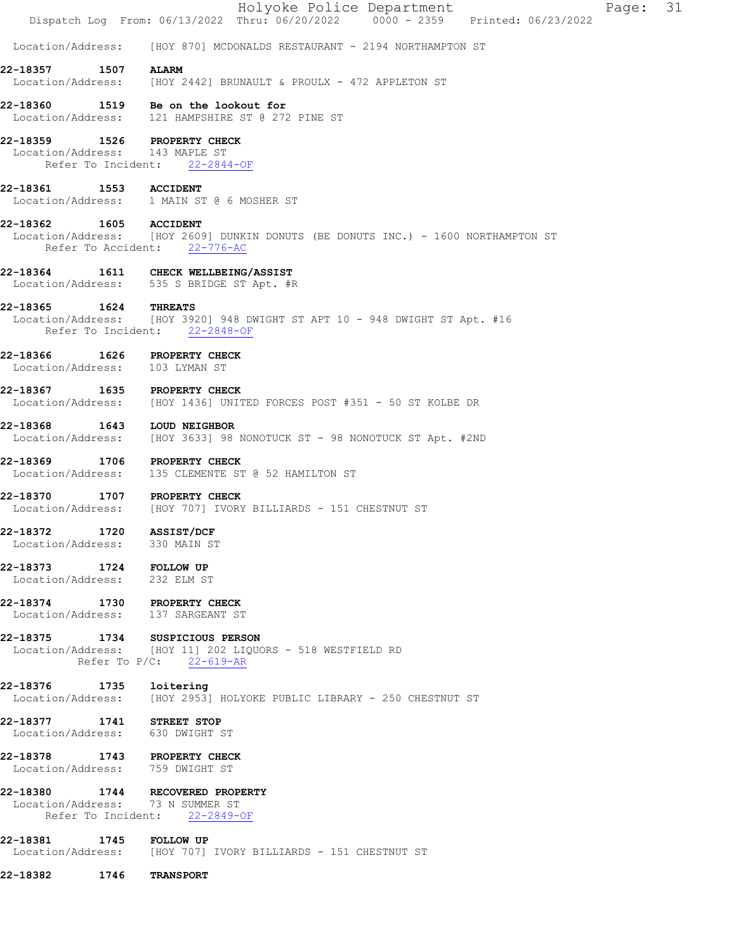|                                                              |      | Holyoke Police Department<br>Page: 31<br>Dispatch Log From: 06/13/2022 Thru: 06/20/2022 0000 - 2359 Printed: 06/23/2022    |
|--------------------------------------------------------------|------|----------------------------------------------------------------------------------------------------------------------------|
| Location/Address:                                            |      | [HOY 870] MCDONALDS RESTAURANT - 2194 NORTHAMPTON ST                                                                       |
| 22-18357                                                     | 1507 | <b>ALARM</b><br>Location/Address: [HOY 2442] BRUNAULT & PROULX - 472 APPLETON ST                                           |
|                                                              |      | 22-18360 1519 Be on the lookout for<br>Location/Address: 121 HAMPSHIRE ST @ 272 PINE ST                                    |
| Location/Address: 143 MAPLE ST                               |      | 22-18359 1526 PROPERTY CHECK<br>Refer To Incident: 22-2844-OF                                                              |
| 22-18361                                                     |      | 1553 ACCIDENT<br>Location/Address: 1 MAIN ST @ 6 MOSHER ST                                                                 |
| 22-18362 1605 ACCIDENT                                       |      | Location/Address: [HOY 2609] DUNKIN DONUTS (BE DONUTS INC.) - 1600 NORTHAMPTON ST<br>Refer To Accident: 22-776-AC          |
|                                                              |      | 22-18364 1611 CHECK WELLBEING/ASSIST<br>Location/Address: 535 S BRIDGE ST Apt. #R                                          |
| 22-18365 1624 THREATS                                        |      | Location/Address: [HOY 3920] 948 DWIGHT ST APT 10 - 948 DWIGHT ST Apt. #16<br>Refer To Incident: 22-2848-OF                |
| 22-18366<br>Location/Address: 103 LYMAN ST                   |      | <b>1626 PROPERTY CHECK</b>                                                                                                 |
|                                                              |      | 22-18367 1635 PROPERTY CHECK<br>Location/Address: [HOY 1436] UNITED FORCES POST #351 - 50 ST KOLBE DR                      |
| 22-18368 1643                                                |      | LOUD NEIGHBOR<br>Location/Address: [HOY 3633] 98 NONOTUCK ST - 98 NONOTUCK ST Apt. #2ND                                    |
|                                                              |      | 22-18369 1706 PROPERTY CHECK<br>Location/Address: 135 CLEMENTE ST @ 52 HAMILTON ST                                         |
| 22-18370                                                     |      | 1707 PROPERTY CHECK<br>Location/Address: [HOY 707] IVORY BILLIARDS - 151 CHESTNUT ST                                       |
| 22-18372 1720<br>Location/Address: 330 MAIN ST               |      | <b>ASSIST/DCF</b>                                                                                                          |
| 22-18373 1724 FOLLOW UP<br>Location/Address: 232 ELM ST      |      |                                                                                                                            |
|                                                              |      | 22-18374 1730 PROPERTY CHECK<br>Location/Address: 137 SARGEANT ST                                                          |
|                                                              |      | 22-18375 1734 SUSPICIOUS PERSON<br>Location/Address: [HOY 11] 202 LIQUORS - 518 WESTFIELD RD<br>Refer To $P/C$ : 22-619-AR |
| 22-18376 1735                                                |      | loitering<br>Location/Address: [HOY 2953] HOLYOKE PUBLIC LIBRARY - 250 CHESTNUT ST                                         |
| 22-18377 1741 STREET STOP<br>Location/Address: 630 DWIGHT ST |      |                                                                                                                            |
| Location/Address: 759 DWIGHT ST                              |      | 22-18378 1743 PROPERTY CHECK                                                                                               |
|                                                              |      | 22-18380 1744 RECOVERED PROPERTY<br>Location/Address: 73 N SUMMER ST<br>Refer To Incident: 22-2849-OF                      |
| 22-18381 1745 FOLLOW UP                                      |      | Location/Address: [HOY 707] IVORY BILLIARDS - 151 CHESTNUT ST                                                              |
| 22-18382                                                     | 1746 | <b>TRANSPORT</b>                                                                                                           |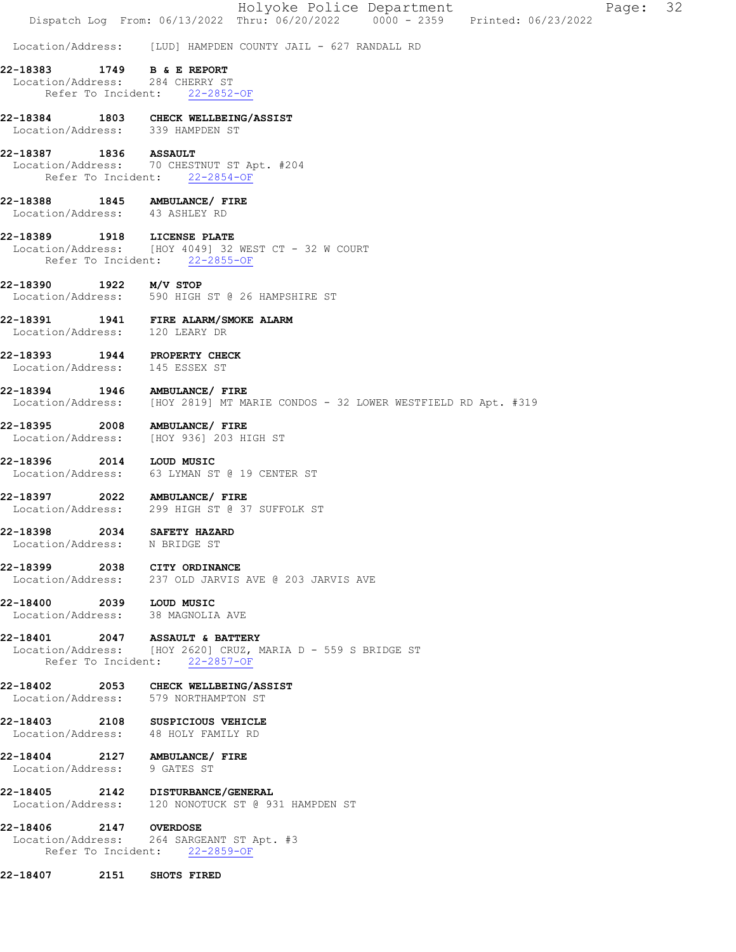|                              |      |                                                                                | Holyoke Police Department                                                      | Dispatch Log From: 06/13/2022 Thru: 06/20/2022 0000 - 2359 Printed: 06/23/2022 | Page: | 32 |
|------------------------------|------|--------------------------------------------------------------------------------|--------------------------------------------------------------------------------|--------------------------------------------------------------------------------|-------|----|
|                              |      |                                                                                | Location/Address: [LUD] HAMPDEN COUNTY JAIL - 627 RANDALL RD                   |                                                                                |       |    |
| 22-18383                     | 1749 | <b>B &amp; E REPORT</b>                                                        |                                                                                |                                                                                |       |    |
|                              |      | Location/Address: 284 CHERRY ST<br>Refer To Incident: 22-2852-OF               |                                                                                |                                                                                |       |    |
|                              |      | 22-18384 1803 CHECK WELLBEING/ASSIST<br>Location/Address: 339 HAMPDEN ST       |                                                                                |                                                                                |       |    |
| 22-18387 1836 ASSAULT        |      | Location/Address: 70 CHESTNUT ST Apt. #204<br>Refer To Incident: 22-2854-OF    |                                                                                |                                                                                |       |    |
| 22-18388                     |      | 1845 AMBULANCE/ FIRE<br>Location/Address: 43 ASHLEY RD                         |                                                                                |                                                                                |       |    |
|                              |      | 22-18389 1918 LICENSE PLATE<br>Refer To Incident: 22-2855-OF                   | Location/Address: [HOY 4049] 32 WEST CT - 32 W COURT                           |                                                                                |       |    |
| 22-18390                     |      | 1922 M/V STOP                                                                  | Location/Address: 590 HIGH ST @ 26 HAMPSHIRE ST                                |                                                                                |       |    |
|                              |      | 22-18391 1941 FIRE ALARM/SMOKE ALARM<br>Location/Address: 120 LEARY DR         |                                                                                |                                                                                |       |    |
| 22-18393                     |      | 1944 PROPERTY CHECK<br>Location/Address: 145 ESSEX ST                          |                                                                                |                                                                                |       |    |
|                              |      | 22-18394 1946 AMBULANCE/ FIRE                                                  | Location/Address: [HOY 2819] MT MARIE CONDOS - 32 LOWER WESTFIELD RD Apt. #319 |                                                                                |       |    |
| 22-18395                     |      | 2008 AMBULANCE/FIRE<br>Location/Address: [HOY 936] 203 HIGH ST                 |                                                                                |                                                                                |       |    |
| 22-18396                     |      | 2014 LOUD MUSIC<br>Location/Address: 63 LYMAN ST @ 19 CENTER ST                |                                                                                |                                                                                |       |    |
|                              |      | 22-18397 2022 AMBULANCE/ FIRE<br>Location/Address: 299 HIGH ST @ 37 SUFFOLK ST |                                                                                |                                                                                |       |    |
| 22-18398                     | 2034 | <b>SAFETY HAZARD</b><br>Location/Address: N BRIDGE ST                          |                                                                                |                                                                                |       |    |
|                              |      | 22-18399 2038 CITY ORDINANCE                                                   | Location/Address: 237 OLD JARVIS AVE @ 203 JARVIS AVE                          |                                                                                |       |    |
| 22-18400 2039 LOUD MUSIC     |      | Location/Address: 38 MAGNOLIA AVE                                              |                                                                                |                                                                                |       |    |
|                              |      | 22-18401 2047 ASSAULT & BATTERY<br>Refer To Incident: 22-2857-OF               | Location/Address: [HOY 2620] CRUZ, MARIA D - 559 S BRIDGE ST                   |                                                                                |       |    |
|                              |      | 22-18402 2053 CHECK WELLBEING/ASSIST<br>Location/Address: 579 NORTHAMPTON ST   |                                                                                |                                                                                |       |    |
|                              |      | 22-18403 2108 SUSPICIOUS VEHICLE<br>Location/Address: 48 HOLY FAMILY RD        |                                                                                |                                                                                |       |    |
| Location/Address: 9 GATES ST |      | 22-18404 2127 AMBULANCE/ FIRE                                                  |                                                                                |                                                                                |       |    |
|                              |      | 22-18405 2142 DISTURBANCE/GENERAL                                              | Location/Address: 120 NONOTUCK ST @ 931 HAMPDEN ST                             |                                                                                |       |    |
| 22-18406 2147 OVERDOSE       |      | Location/Address: 264 SARGEANT ST Apt. #3<br>Refer To Incident: 22-2859-OF     |                                                                                |                                                                                |       |    |
| 22-18407 2151                |      | SHOTS FIRED                                                                    |                                                                                |                                                                                |       |    |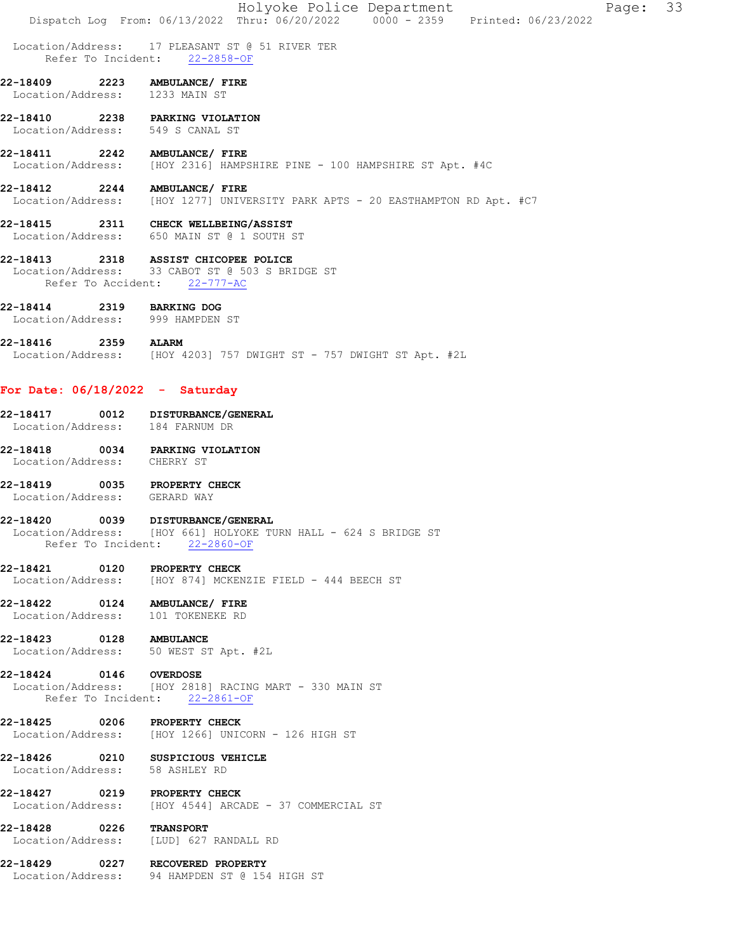|                                                                                                                 |                                                                                  |  | Holyoke Police Department<br>Dispatch Log From: 06/13/2022 Thru: 06/20/2022 0000 - 2359 Printed: 06/23/2022 |  | Page: 33 |  |
|-----------------------------------------------------------------------------------------------------------------|----------------------------------------------------------------------------------|--|-------------------------------------------------------------------------------------------------------------|--|----------|--|
|                                                                                                                 | Location/Address: 17 PLEASANT ST @ 51 RIVER TER<br>Refer To Incident: 22-2858-OF |  |                                                                                                             |  |          |  |
| 22-18409 2223 AMBULANCE/ FIRE<br>Location/Address: 1233 MAIN ST                                                 |                                                                                  |  |                                                                                                             |  |          |  |
| 22-18410 2238 PARKING VIOLATION<br>Location/Address: 549 S CANAL ST                                             |                                                                                  |  |                                                                                                             |  |          |  |
| 22-18411 2242 AMBULANCE/ FIRE<br>Location/Address: [HOY 2316] HAMPSHIRE PINE - 100 HAMPSHIRE ST Apt. #4C        |                                                                                  |  |                                                                                                             |  |          |  |
| 22-18412 2244 AMBULANCE/ FIRE<br>Location/Address: [HOY 1277] UNIVERSITY PARK APTS - 20 EASTHAMPTON RD Apt. #C7 |                                                                                  |  |                                                                                                             |  |          |  |
| 22-18415 2311 CHECK WELLBEING/ASSIST<br>Location/Address: 650 MAIN ST @ 1 SOUTH ST                              |                                                                                  |  |                                                                                                             |  |          |  |
| 22-18413 2318 ASSIST CHICOPEE POLICE                                                                            | Location/Address: 33 CABOT ST @ 503 S BRIDGE ST<br>Refer To Accident: 22-777-AC  |  |                                                                                                             |  |          |  |
| 22-18414 2319 BARKING DOG<br>Location/Address: 999 HAMPDEN ST                                                   |                                                                                  |  |                                                                                                             |  |          |  |
| 22-18416 2359 ALARM<br>Location/Address: [HOY 4203] 757 DWIGHT ST - 757 DWIGHT ST Apt. #2L                      |                                                                                  |  |                                                                                                             |  |          |  |
| For Date: $06/18/2022 -$ Saturday                                                                               |                                                                                  |  |                                                                                                             |  |          |  |
| 22-18417 0012 DISTURBANCE/GENERAL<br>Location/Address: 184 FARNUM DR                                            |                                                                                  |  |                                                                                                             |  |          |  |
| 22-18418 0034 PARKING VIOLATION<br>Location/Address: CHERRY ST                                                  |                                                                                  |  |                                                                                                             |  |          |  |
| 22-18419 0035 PROPERTY CHECK<br>Location/Address: GERARD WAY                                                    |                                                                                  |  |                                                                                                             |  |          |  |
| 22-18420<br>Location/Address: [HOY 661] HOLYOKE TURN HALL - 624 S BRIDGE ST                                     | 0039 DISTURBANCE/GENERAL<br>Refer To Incident: 22-2860-OF                        |  |                                                                                                             |  |          |  |
| 22-18421 0120 PROPERTY CHECK                                                                                    | Location/Address: [HOY 874] MCKENZIE FIELD - 444 BEECH ST                        |  |                                                                                                             |  |          |  |
| 22-18422 0124 AMBULANCE/ FIRE<br>Location/Address: 101 TOKENEKE RD                                              |                                                                                  |  |                                                                                                             |  |          |  |
| 22-18423 0128 AMBULANCE<br>Location/Address: 50 WEST ST Apt. #2L                                                |                                                                                  |  |                                                                                                             |  |          |  |
| 22-18424 0146 OVERDOSE<br>Location/Address: [HOY 2818] RACING MART - 330 MAIN ST                                | Refer To Incident: 22-2861-OF                                                    |  |                                                                                                             |  |          |  |
| 22-18425 0206 PROPERTY CHECK<br>Location/Address: [HOY 1266] UNICORN - 126 HIGH ST                              |                                                                                  |  |                                                                                                             |  |          |  |
| 22-18426 0210 SUSPICIOUS VEHICLE<br>Location/Address: 58 ASHLEY RD                                              |                                                                                  |  |                                                                                                             |  |          |  |
| 22-18427 0219 PROPERTY CHECK<br>Location/Address: [HOY 4544] ARCADE - 37 COMMERCIAL ST                          |                                                                                  |  |                                                                                                             |  |          |  |
| 22-18428 0226<br>Location/Address: [LUD] 627 RANDALL RD                                                         | <b>TRANSPORT</b>                                                                 |  |                                                                                                             |  |          |  |
| 22-18429 0227 RECOVERED PROPERTY                                                                                | Location/Address: 94 HAMPDEN ST @ 154 HIGH ST                                    |  |                                                                                                             |  |          |  |
|                                                                                                                 |                                                                                  |  |                                                                                                             |  |          |  |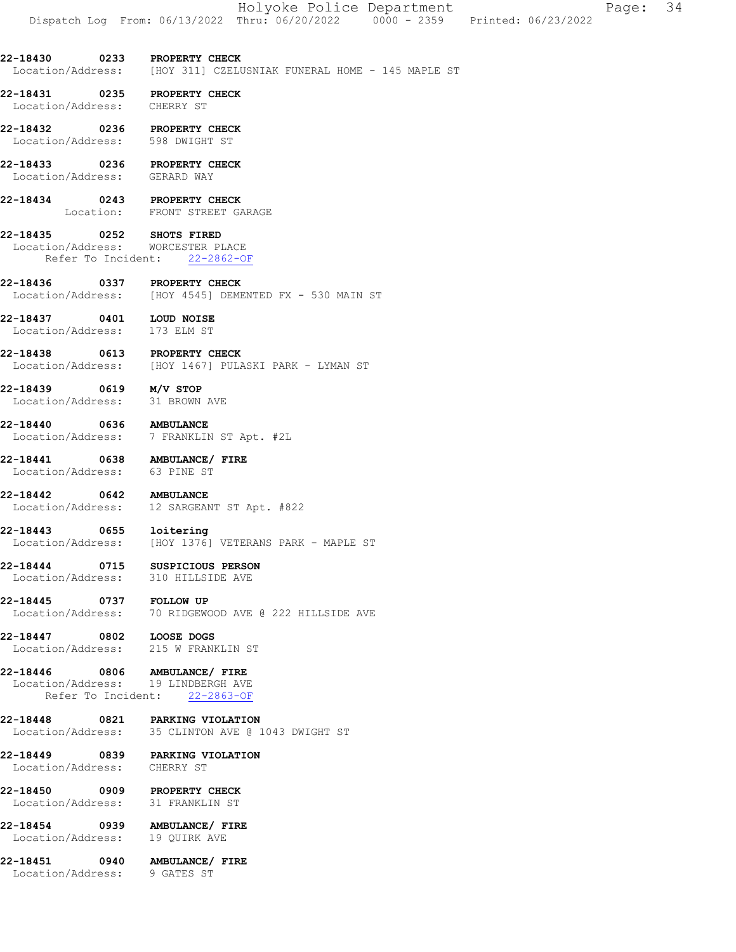22-18430 0233 PROPERTY CHECK Location/Address: [HOY 311] CZELUSNIAK FUNERAL HOME - 145 MAPLE ST

22-18431 0235 PROPERTY CHECK Location/Address: CHERRY ST

22-18432 0236 PROPERTY CHECK Location/Address: 598 DWIGHT ST

22-18433 0236 PROPERTY CHECK Location/Address: GERARD WAY

22-18434 0243 PROPERTY CHECK Location: FRONT STREET GARAGE

22-18435 0252 SHOTS FIRED Location/Address: WORCESTER PLACE Refer To Incident: 22-2862-OF

22-18436 0337 PROPERTY CHECK Location/Address: [HOY 4545] DEMENTED FX - 530 MAIN ST

22-18437 0401 LOUD NOISE Location/Address: 173 ELM ST

22-18438 0613 PROPERTY CHECK<br>Location/Address: [HOY 1467] PULA [HOY 1467] PULASKI PARK - LYMAN ST

22-18439 0619 M/V STOP Location/Address: 31 BROWN AVE

22-18440 0636 AMBULANCE Location/Address: 7 FRANKLIN ST Apt. #2L

22-18441 0638 AMBULANCE/ FIRE Location/Address: 63 PINE ST

22-18442 0642 AMBULANCE<br>
Location/Address: 12 SARGEAN 12 SARGEANT ST Apt. #822

22-18443 0655 loitering Location/Address: [HOY 1376] VETERANS PARK - MAPLE ST

22-18444 0715 SUSPICIOUS PERSON Location/Address: 310 HILLSIDE AVE

22-18445 0737 FOLLOW UP<br>Location/Address: 70 RIDGEW 70 RIDGEWOOD AVE @ 222 HILLSIDE AVE

22-18447 0802 LOOSE DOGS Location/Address: 215 W FRANKLIN ST

22-18446 0806 AMBULANCE/ FIRE Location/Address: 19 LINDBERGH AVE Refer To Incident: 22-2863-OF

22-18448 0821 PARKING VIOLATION Location/Address: 35 CLINTON AVE @ 1043 DWIGHT ST

22-18449 0839 PARKING VIOLATION Location/Address: CHERRY ST

22-18450 0909 PROPERTY CHECK Location/Address: 31 FRANKLIN ST

22-18454 0939 AMBULANCE/FIRE<br>Location/Address: 19 OUIRKAVE Location/Address:

22-18451 0940 AMBULANCE/ FIRE Location/Address: 9 GATES ST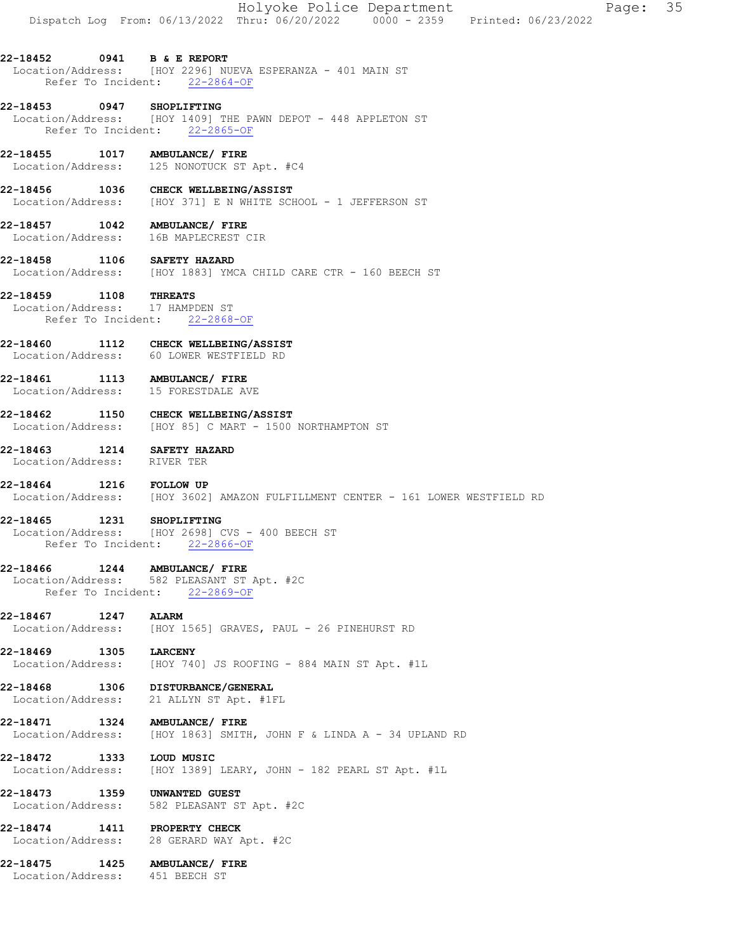### 22-18452 0941 B & E REPORT Location/Address: [HOY 2296] NUEVA ESPERANZA - 401 MAIN ST Refer To Incident: 22-2864-OF

### 22-18453 0947 SHOPLIFTING Location/Address: [HOY 1409] THE PAWN DEPOT - 448 APPLETON ST Refer To Incident: 22-2865-OF

22-18455 1017 AMBULANCE/ FIRE Location/Address: 125 NONOTUCK ST Apt. #C4

22-18456 1036 CHECK WELLBEING/ASSIST Location/Address: [HOY 371] E N WHITE SCHOOL - 1 JEFFERSON ST

# 22-18457 1042 AMBULANCE/ FIRE

Location/Address: 16B MAPLECREST CIR

22-18458 1106 SAFETY HAZARD Location/Address: [HOY 1883] YMCA CHILD CARE CTR - 160 BEECH ST

# 22-18459 1108 THREATS<br>Location/Address: 17 HAMPDEN ST

Location/Address: Refer To Incident: 22-2868-OF

# 22-18460 1112 CHECK WELLBEING/ASSIST<br>Location/Address: 60 LOWER WESTFIELD RD

Location/Address:

### 22-18461 1113 AMBULANCE/ FIRE Location/Address: 15 FORESTDALE AVE

22-18462 1150 CHECK WELLBEING/ASSIST Location/Address: [HOY 85] C MART - 1500 NORTHAMPTON ST

### 22-18463 1214 SAFETY HAZARD Location/Address: RIVER TER

22-18464 1216 FOLLOW UP Location/Address: [HOY 3602] AMAZON FULFILLMENT CENTER - 161 LOWER WESTFIELD RD

# 22-18465 1231 SHOPLIFTING

 Location/Address: [HOY 2698] CVS - 400 BEECH ST Refer To Incident: 22-2866-OF

# 22-18466 1244 AMBULANCE/ FIRE

 Location/Address: 582 PLEASANT ST Apt. #2C Refer To Incident: 22-2869-OF

### 22-18467 1247 ALARM

Location/Address: [HOY 1565] GRAVES, PAUL - 26 PINEHURST RD

22-18469 1305 LARCENY<br>Location/Address: [HOY 740 [HOY 740] JS ROOFING - 884 MAIN ST Apt. #1L

### 22-18468 1306 DISTURBANCE/GENERAL Location/Address: 21 ALLYN ST Apt. #1FL

22-18471 1324 AMBULANCE/FIRE<br>Location/Address: [HOY 1863] SMITH [HOY 1863] SMITH, JOHN F & LINDA A - 34 UPLAND RD

22-18472 1333 LOUD MUSIC Location/Address: [HOY 1389] LEARY, JOHN - 182 PEARL ST Apt. #1L

### 22-18473 1359 UNWANTED GUEST Location/Address: 582 PLEASANT ST Apt. #2C

22-18474 1411 PROPERTY CHECK Location/Address: 28 GERARD WAY Apt. #2C

### 22-18475 1425 AMBULANCE/ FIRE Location/Address: 451 BEECH ST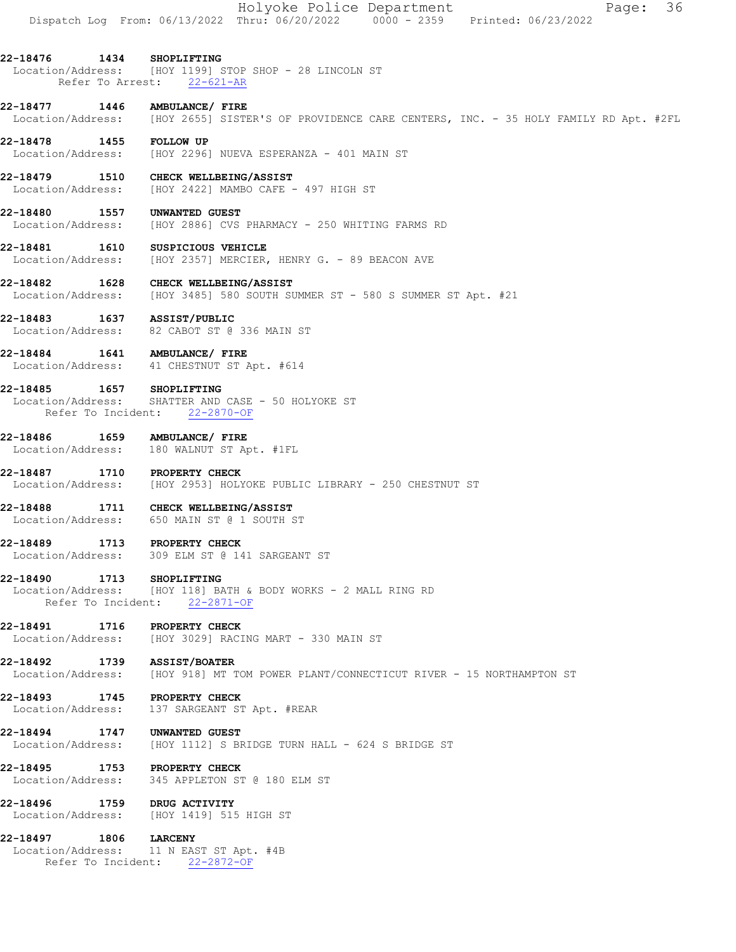Holyoke Police Department Page: 36 Dispatch Log From: 06/13/2022 Thru: 06/20/2022 0000 - 2359 Printed: 06/23/2022 22-18476 1434 SHOPLIFTING Location/Address: [HOY 1199] STOP SHOP - 28 LINCOLN ST Refer To Arrest: 22-621-AR 22-18477 1446 AMBULANCE/FIRE<br>Location/Address: [HOY 2655] SISTE [HOY 2655] SISTER'S OF PROVIDENCE CARE CENTERS, INC. - 35 HOLY FAMILY RD Apt. #2FL 22-18478 1455 FOLLOW UP Location/Address: [HOY 2296] NUEVA ESPERANZA - 401 MAIN ST 22-18479 1510 CHECK WELLBEING/ASSIST<br>Location/Address: [HOY 2422] MAMBO CAFE [HOY 2422] MAMBO CAFE - 497 HIGH ST 22-18480 1557 UNWANTED GUEST Location/Address: [HOY 2886] CVS PHARMACY - 250 WHITING FARMS RD 22-18481 1610 SUSPICIOUS VEHICLE Location/Address: [HOY 2357] MERCIER, HENRY G. - 89 BEACON AVE 22-18482 1628 CHECK WELLBEING/ASSIST<br>Location/Address: [HOY 3485] 580 SOUTH SU  $[HOY 3485] 580$  SOUTH SUMMER ST - 580 S SUMMER ST Apt. #21 22-18483 1637 ASSIST/PUBLIC<br>Location/Address: 82 CABOT ST @ 82 CABOT ST @ 336 MAIN ST 22-18484 1641 AMBULANCE/ FIRE Location/Address: 41 CHESTNUT ST Apt. #614 22-18485 1657 SHOPLIFTING Location/Address: SHATTER AND CASE - 50 HOLYOKE ST Refer To Incident: 22-2870-OF 22-18486 1659 AMBULANCE/ FIRE Location/Address: 180 WALNUT ST Apt. #1FL 22-18487 1710 PROPERTY CHECK Location/Address: [HOY 2953] HOLYOKE PUBLIC LIBRARY - 250 CHESTNUT ST 22-18488 1711 CHECK WELLBEING/ASSIST Location/Address: 650 MAIN ST @ 1 SOUTH ST 22-18489 1713 PROPERTY CHECK Location/Address: 309 ELM ST @ 141 SARGEANT ST 22-18490 1713 SHOPLIFTING Location/Address: [HOY 118] BATH & BODY WORKS - 2 MALL RING RD Refer To Incident: 22-2871-OF 22-18491 1716 PROPERTY CHECK<br>Location/Address: [HOY 3029] RACI [HOY 3029] RACING MART - 330 MAIN ST 22-18492 1739 ASSIST/BOATER Location/Address: [HOY 918] MT TOM POWER PLANT/CONNECTICUT RIVER - 15 NORTHAMPTON ST 22-18493 1745 PROPERTY CHECK Location/Address: 137 SARGEANT ST Apt. #REAR 22-18494 1747 UNWANTED GUEST Location/Address: [HOY 1112] S BRIDGE TURN HALL - 624 S BRIDGE ST 22-18495 1753 PROPERTY CHECK Location/Address: 345 APPLETON ST @ 180 ELM ST 22-18496 1759 DRUG ACTIVITY<br>Location/Address: [HOY 1419] 515 Location/Address: [HOY 1419] 515 HIGH ST 22-18497 1806 LARCENY<br>Location/Address: 11 N EAS 11 N EAST ST Apt. #4B Refer To Incident: 22-2872-OF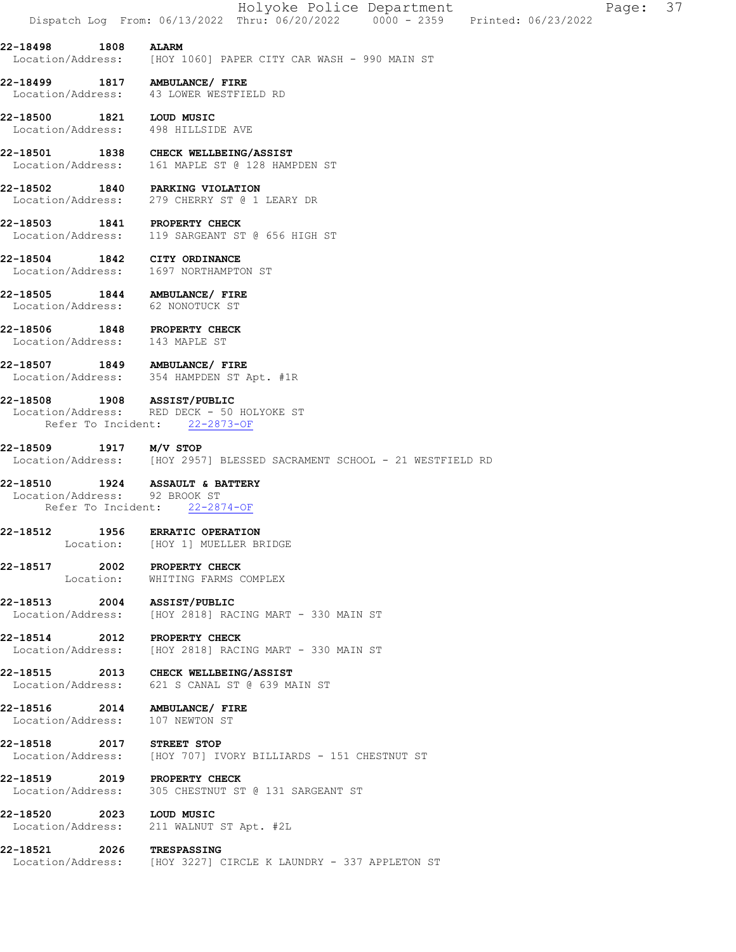|  | Holyoke Police Department |                                                                                | Page: 37 |  |
|--|---------------------------|--------------------------------------------------------------------------------|----------|--|
|  |                           | Dispatch Log From: 06/13/2022 Thru: 06/20/2022 0000 - 2359 Printed: 06/23/2022 |          |  |

22-18498 1808 ALARM Location/Address: [HOY 1060] PAPER CITY CAR WASH - 990 MAIN ST

22-18499 1817 AMBULANCE/ FIRE Location/Address: 43 LOWER WESTFIELD RD

22-18500 1821 LOUD MUSIC Location/Address: 498 HILLSIDE AVE

22-18501 1838 CHECK WELLBEING/ASSIST<br>Location/Address: 161 MAPLE ST @ 128 HAMP Location/Address: 161 MAPLE ST @ 128 HAMPDEN ST

22-18502 1840 PARKING VIOLATION Location/Address: 279 CHERRY ST @ 1 LEARY DR

22-18503 1841 PROPERTY CHECK Location/Address: 119 SARGEANT ST @ 656 HIGH ST

22-18504 1842 CITY ORDINANCE<br>Location/Address: 1697 NORTHAMPTO 1697 NORTHAMPTON ST

22-18505 1844 AMBULANCE/ FIRE Location/Address: 62 NONOTUCK ST

22-18506 1848 PROPERTY CHECK Location/Address: 143 MAPLE ST

22-18507 1849 AMBULANCE/ FIRE Location/Address: 354 HAMPDEN ST Apt. #1R

22-18508 1908 ASSIST/PUBLIC Location/Address: RED DECK - 50 HOLYOKE ST Refer To Incident: 22-2873-OF

**22-18509 1917 M/V STOP**<br>Location/Address: [HOY 295] [HOY 2957] BLESSED SACRAMENT SCHOOL - 21 WESTFIELD RD

22-18510 1924 ASSAULT & BATTERY Location/Address: 92 BROOK ST

Refer To Incident: 22-2874-OF

22-18512 1956 ERRATIC OPERATION<br>Location: [HOY 1] MUELLER BE [HOY 1] MUELLER BRIDGE

22-18517 2002 PROPERTY CHECK Location: WHITING FARMS COMPLEX

22-18513 2004 ASSIST/PUBLIC Location/Address: [HOY 2818] RACING MART - 330 MAIN ST

22-18514 2012 PROPERTY CHECK Location/Address: [HOY 2818] RACING MART - 330 MAIN ST

22-18515 2013 CHECK WELLBEING/ASSIST Location/Address: 621 S CANAL ST @ 639 MAIN ST

22-18516 2014 AMBULANCE/ FIRE Location/Address: 107 NEWTON ST

22-18518 2017 STREET STOP Location/Address: [HOY 707] IVORY BILLIARDS - 151 CHESTNUT ST

22-18519 2019 PROPERTY CHECK<br>Location/Address: 305 CHESTNUT ST 305 CHESTNUT ST @ 131 SARGEANT ST

22-18520 2023 LOUD MUSIC Location/Address: 211 WALNUT ST Apt. #2L

22-18521 2026 TRESPASSING

Location/Address: [HOY 3227] CIRCLE K LAUNDRY - 337 APPLETON ST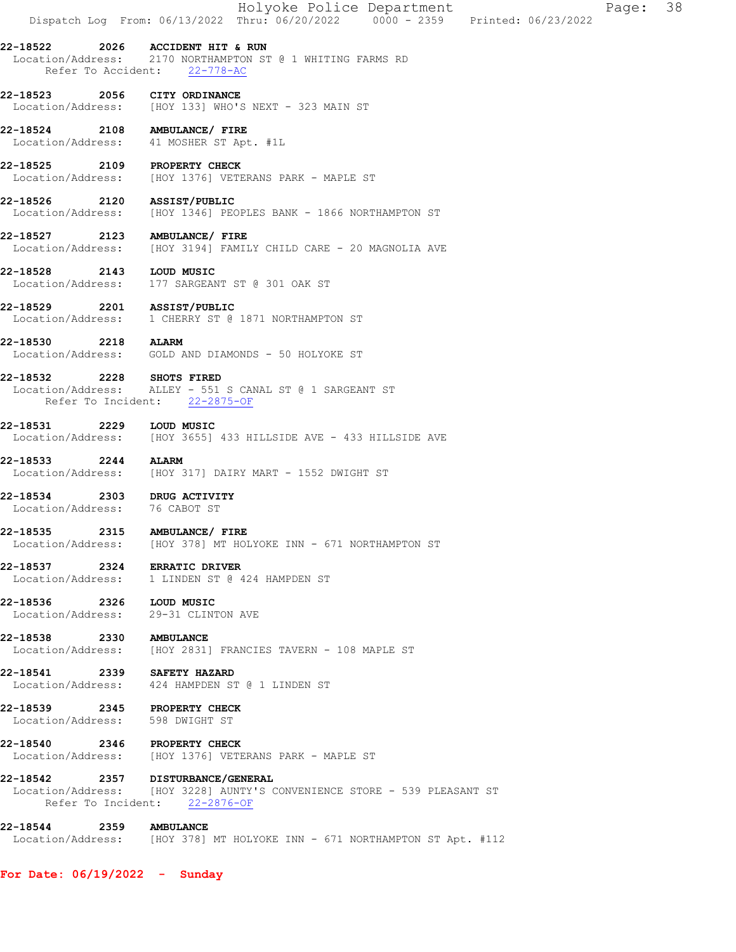|                                    |                   | Holyoke Police Department<br>38<br>Page:<br>Dispatch Log From: 06/13/2022 Thru: 06/20/2022 0000 - 2359 Printed: 06/23/2022                     |
|------------------------------------|-------------------|------------------------------------------------------------------------------------------------------------------------------------------------|
| 22-18522                           | 2026              | ACCIDENT HIT & RUN<br>Location/Address: 2170 NORTHAMPTON ST @ 1 WHITING FARMS RD                                                               |
|                                    |                   | Refer To Accident: 22-778-AC                                                                                                                   |
| 22-18523                           |                   | 2056 CITY ORDINANCE<br>Location/Address: [HOY 133] WHO'S NEXT - 323 MAIN ST                                                                    |
|                                    |                   | 22-18524 2108 AMBULANCE/ FIRE<br>Location/Address: 41 MOSHER ST Apt. #1L                                                                       |
| 22-18525<br>Location/Address:      |                   | 2109 PROPERTY CHECK<br>[HOY 1376] VETERANS PARK - MAPLE ST                                                                                     |
| 22-18526 2120<br>Location/Address: |                   | ASSIST/PUBLIC<br>[HOY 1346] PEOPLES BANK - 1866 NORTHAMPTON ST                                                                                 |
| Location/Address:                  |                   | 22-18527 2123 AMBULANCE/ FIRE<br>[HOY 3194] FAMILY CHILD CARE - 20 MAGNOLIA AVE                                                                |
| 22-18528                           | 2143              | LOUD MUSIC<br>Location/Address: 177 SARGEANT ST @ 301 OAK ST                                                                                   |
|                                    |                   | 22-18529 2201 ASSIST/PUBLIC<br>Location/Address: 1 CHERRY ST @ 1871 NORTHAMPTON ST                                                             |
| 22-18530                           | <b>2218 ALARM</b> | Location/Address: GOLD AND DIAMONDS - 50 HOLYOKE ST                                                                                            |
|                                    |                   | 22-18532 2228 SHOTS FIRED<br>Location/Address: ALLEY - 551 S CANAL ST @ 1 SARGEANT ST<br>Refer To Incident: 22-2875-OF                         |
| 22-18531                           | 2229              | LOUD MUSIC<br>Location/Address: [HOY 3655] 433 HILLSIDE AVE - 433 HILLSIDE AVE                                                                 |
| 22-18533<br>Location/Address:      | 2244              | <b>ALARM</b><br>[HOY 317] DAIRY MART - 1552 DWIGHT ST                                                                                          |
| 22-18534                           |                   | 2303 DRUG ACTIVITY<br>Location/Address: 76 CABOT ST                                                                                            |
| Location/Address:                  |                   | 22-18535 2315 AMBULANCE/ FIRE<br>[HOY 378] MT HOLYOKE INN - 671 NORTHAMPTON ST                                                                 |
| 22-18537                           |                   | 2324 ERRATIC DRIVER<br>Location/Address: 1 LINDEN ST @ 424 HAMPDEN ST                                                                          |
| 22-18536 2326 LOUD MUSIC           |                   | Location/Address: 29-31 CLINTON AVE                                                                                                            |
| 22-18538 2330 AMBULANCE            |                   | Location/Address: [HOY 2831] FRANCIES TAVERN - 108 MAPLE ST                                                                                    |
|                                    |                   | 22-18541 2339 SAFETY HAZARD<br>Location/Address: 424 HAMPDEN ST @ 1 LINDEN ST                                                                  |
|                                    |                   | 22-18539 2345 PROPERTY CHECK<br>Location/Address: 598 DWIGHT ST                                                                                |
|                                    |                   | 22-18540 2346 PROPERTY CHECK<br>Location/Address: [HOY 1376] VETERANS PARK - MAPLE ST                                                          |
|                                    |                   | 22-18542 2357 DISTURBANCE/GENERAL<br>Location/Address: [HOY 3228] AUNTY'S CONVENIENCE STORE - 539 PLEASANT ST<br>Refer To Incident: 22-2876-OF |
| 22-18544 2359 AMBULANCE            |                   | Location/Address: [HOY 378] MT HOLYOKE INN - 671 NORTHAMPTON ST Apt. #112                                                                      |

For Date: 06/19/2022 - Sunday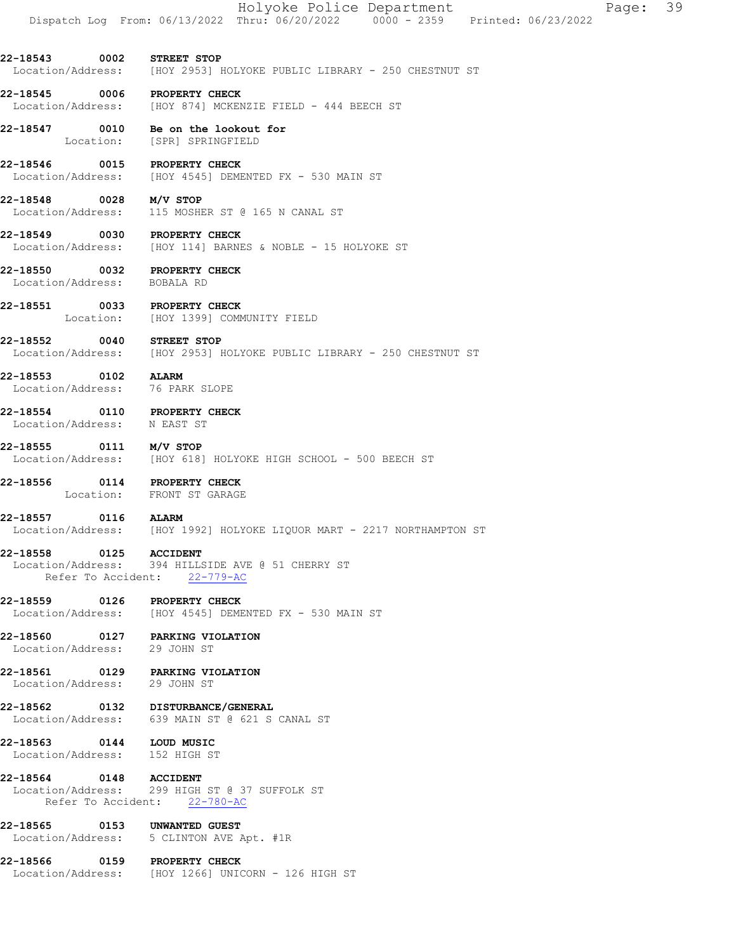22-18543 0002 STREET STOP Location/Address: [HOY 2953] HOLYOKE PUBLIC LIBRARY - 250 CHESTNUT ST

22-18545 0006 PROPERTY CHECK<br>Location/Address: [HOY 874] MCKER [HOY 874] MCKENZIE FIELD - 444 BEECH ST

22-18547 0010 Be on the lookout for Location: [SPR] SPRINGFIELD

22-18546 0015 PROPERTY CHECK Location/Address: [HOY 4545] DEMENTED FX - 530 MAIN ST

22-18548 0028 M/V STOP Location/Address: 115 MOSHER ST @ 165 N CANAL ST

22-18549 0030 PROPERTY CHECK Location/Address: [HOY 114] BARNES & NOBLE - 15 HOLYOKE ST

22-18550 0032 PROPERTY CHECK<br>Location/Address: BOBALA RD Location/Address:

22-18551 0033 PROPERTY CHECK Location: [HOY 1399] COMMUNITY FIELD

22-18552 0040 STREET STOP Location/Address: [HOY 2953] HOLYOKE PUBLIC LIBRARY - 250 CHESTNUT ST

22-18553 0102 ALARM Location/Address: 76 PARK SLOPE

22-18554 0110 PROPERTY CHECK<br>Location/Address: N EAST ST Location/Address:

22-18555 0111 M/V STOP Location/Address: [HOY 618] HOLYOKE HIGH SCHOOL - 500 BEECH ST

22-18556 0114 PROPERTY CHECK<br>Location: FRONT ST GARAGE FRONT ST GARAGE

22-18557 0116 ALARM Location/Address: [HOY 1992] HOLYOKE LIQUOR MART - 2217 NORTHAMPTON ST

22-18558 0125 ACCIDENT

 Location/Address: 394 HILLSIDE AVE @ 51 CHERRY ST Refer To Accident: 22-779-AC

22-18559 0126 PROPERTY CHECK<br>Location/Address: [HOY 4545] DEME [HOY 4545] DEMENTED FX - 530 MAIN ST

22-18560 0127 PARKING VIOLATION Location/Address: 29 JOHN ST

22-18561 0129 PARKING VIOLATION<br>Location/Address: 29 JOHN ST

Location/Address:

22-18562 0132 DISTURBANCE/GENERAL Location/Address: 639 MAIN ST @ 621 S CANAL ST

### 22-18563 0144 LOUD MUSIC Location/Address: 152 HIGH ST

22-18564 0148 ACCIDENT<br>Location/Address: 299 HIGH Location/Address: 299 HIGH ST @ 37 SUFFOLK ST Refer To Accident: 22-780-AC

22-18565 0153 UNWANTED GUEST<br>Location/Address: 5 CLINTON AVE A 5 CLINTON AVE Apt. #1R

22-18566 0159 PROPERTY CHECK Location/Address: [HOY 1266] UNICORN - 126 HIGH ST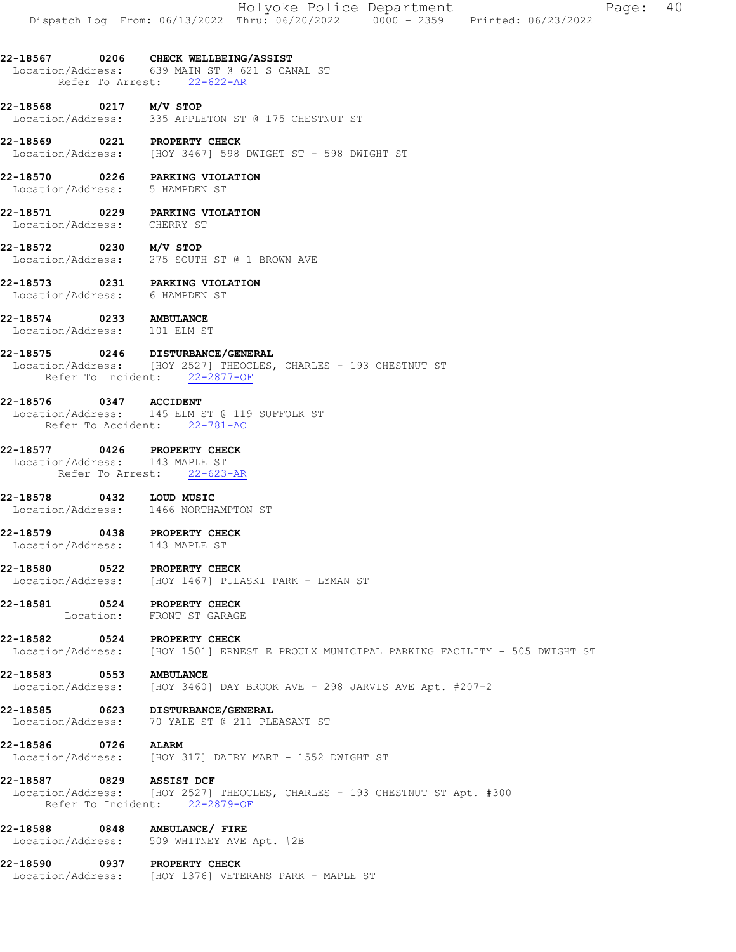#### 22-18567 0206 CHECK WELLBEING/ASSIST Location/Address: 639 MAIN ST @ 621 S CANAL ST Refer To Arrest: 22-622-AR

**22-18568 0217 M/V STOP**<br>Location/Address: 335 APPLE 335 APPLETON ST @ 175 CHESTNUT ST

22-18569 0221 PROPERTY CHECK Location/Address: [HOY 3467] 598 DWIGHT ST - 598 DWIGHT ST

22-18570 0226 PARKING VIOLATION Location/Address: 5 HAMPDEN ST

22-18571 0229 PARKING VIOLATION Location/Address: CHERRY ST

22-18572 0230 M/V STOP Location/Address: 275 SOUTH ST @ 1 BROWN AVE

22-18573 0231 PARKING VIOLATION<br>Location/Address: 6 HAMPDEN ST Location/Address:

22-18574 0233 AMBULANCE<br>
Location/Address: 101 ELM ST Location/Address:

### 22-18575 0246 DISTURBANCE/GENERAL

Location/Address: [HOY 2527] THEOCLES, CHARLES - 193 CHESTNUT ST Refer To Incident: 22-2877-OF

### 22-18576 0347 ACCIDENT

 Location/Address: 145 ELM ST @ 119 SUFFOLK ST Refer To Accident: 22-781-AC

#### 22-18577 0426 PROPERTY CHECK

 Location/Address: 143 MAPLE ST Refer To Arrest: 22-623-AR

22-18578 0432 LOUD MUSIC Location/Address: 1466 NORTHAMPTON ST

22-18579 0438 PROPERTY CHECK Location/Address: 143 MAPLE ST

22-18580 0522 PROPERTY CHECK Location/Address: [HOY 1467] PULASKI PARK - LYMAN ST

#### 22-18581 0524 PROPERTY CHECK Location: FRONT ST GARAGE

22-18582 0524 PROPERTY CHECK<br>Location/Address: [HOY 1501] ERNE [HOY 1501] ERNEST E PROULX MUNICIPAL PARKING FACILITY - 505 DWIGHT ST

22-18583 0553 AMBULANCE<br>Location/Address: [HOY 3460] [HOY 3460] DAY BROOK AVE - 298 JARVIS AVE Apt. #207-2

22-18585 0623 DISTURBANCE/GENERAL Location/Address: 70 YALE ST @ 211 PLEASANT ST

22-18586 0726 ALARM Location/Address: [HOY 317] DAIRY MART - 1552 DWIGHT ST

22-18587 0829 ASSIST DCF Location/Address: [HOY 2527] THEOCLES, CHARLES - 193 CHESTNUT ST Apt. #300 Refer To Incident: 22-2879-OF

22-18588 0848 AMBULANCE/ FIRE Location/Address: 509 WHITNEY AVE Apt. #2B

22-18590 0937 PROPERTY CHECK Location/Address: [HOY 1376] VETERANS PARK - MAPLE ST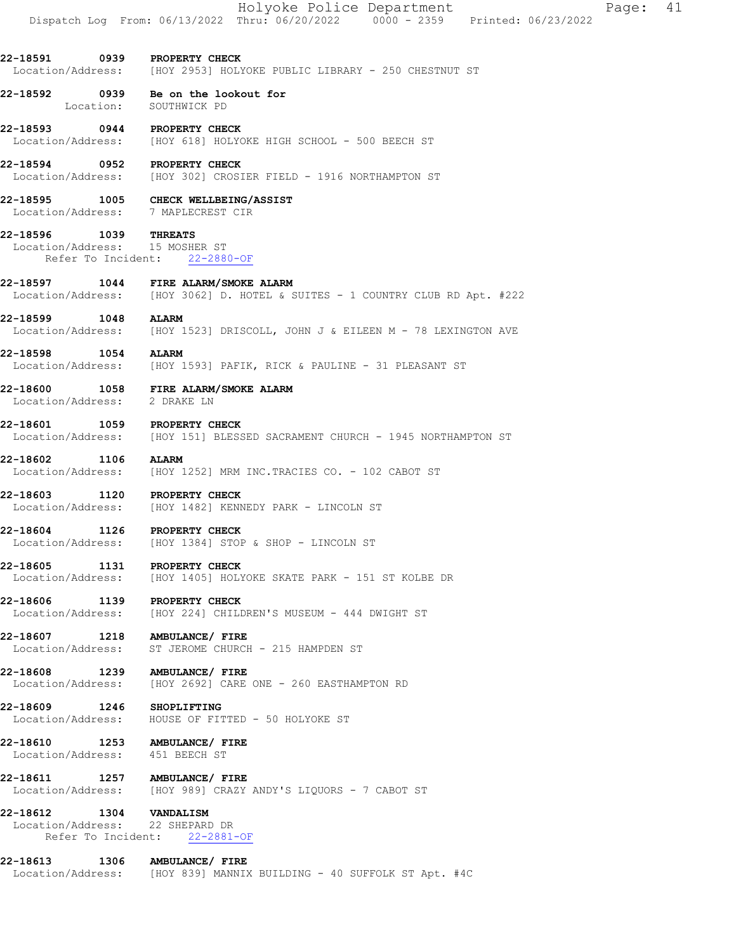22-18594 0952 PROPERTY CHECK Location/Address: [HOY 302] CROSIER FIELD - 1916 NORTHAMPTON ST

22-18595 1005 CHECK WELLBEING/ASSIST Location/Address: 7 MAPLECREST CIR

22-18596 1039 THREATS<br>Location/Address: 15 MOSHER ST Location/Address: Refer To Incident: 22-2880-OF

22-18597 1044 FIRE ALARM/SMOKE ALARM Location/Address: [HOY 3062] D. HOTEL & SUITES - 1 COUNTRY CLUB RD Apt. #222

**22-18599 1048 ALARM**<br>Location/Address: [HOY 1 [HOY 1523] DRISCOLL, JOHN J & EILEEN M - 78 LEXINGTON AVE

22-18598 1054 ALARM Location/Address: [HOY 1593] PAFIK, RICK & PAULINE - 31 PLEASANT ST

22-18600 1058 FIRE ALARM/SMOKE ALARM Location/Address: 2 DRAKE LN

22-18601 1059 PROPERTY CHECK Location/Address: [HOY 151] BLESSED SACRAMENT CHURCH - 1945 NORTHAMPTON ST

22-18602 1106 ALARM Location/Address: [HOY 1252] MRM INC.TRACIES CO. - 102 CABOT ST

22-18603 1120 PROPERTY CHECK<br>Location/Address: [HOY 1482] KENN [HOY 1482] KENNEDY PARK - LINCOLN ST

22-18604 1126 PROPERTY CHECK Location/Address: [HOY 1384] STOP & SHOP - LINCOLN ST

22-18605 1131 PROPERTY CHECK Location/Address: [HOY 1405] HOLYOKE SKATE PARK - 151 ST KOLBE DR

22-18606 1139 PROPERTY CHECK Location/Address: [HOY 224] CHILDREN'S MUSEUM - 444 DWIGHT ST

22-18607 1218 AMBULANCE/ FIRE Location/Address: ST JEROME CHURCH - 215 HAMPDEN ST

22-18608 1239 AMBULANCE/FIRE<br>Location/Address: [HOY 2692] CARE [HOY 2692] CARE ONE - 260 EASTHAMPTON RD

22-18609 1246 SHOPLIFTING Location/Address: HOUSE OF FITTED - 50 HOLYOKE ST

22-18610 1253 AMBULANCE/ FIRE Location/Address: 451 BEECH ST

22-18611 1257 AMBULANCE/ FIRE Location/Address: [HOY 989] CRAZY ANDY'S LIQUORS - 7 CABOT ST

22-18612 1304 VANDALISM<br>Location/Address: 22 SHEPARD DR Location/Address: Refer To Incident: 22-2881-OF

22-18613 1306 AMBULANCE/ FIRE Location/Address: [HOY 839] MANNIX BUILDING - 40 SUFFOLK ST Apt. #4C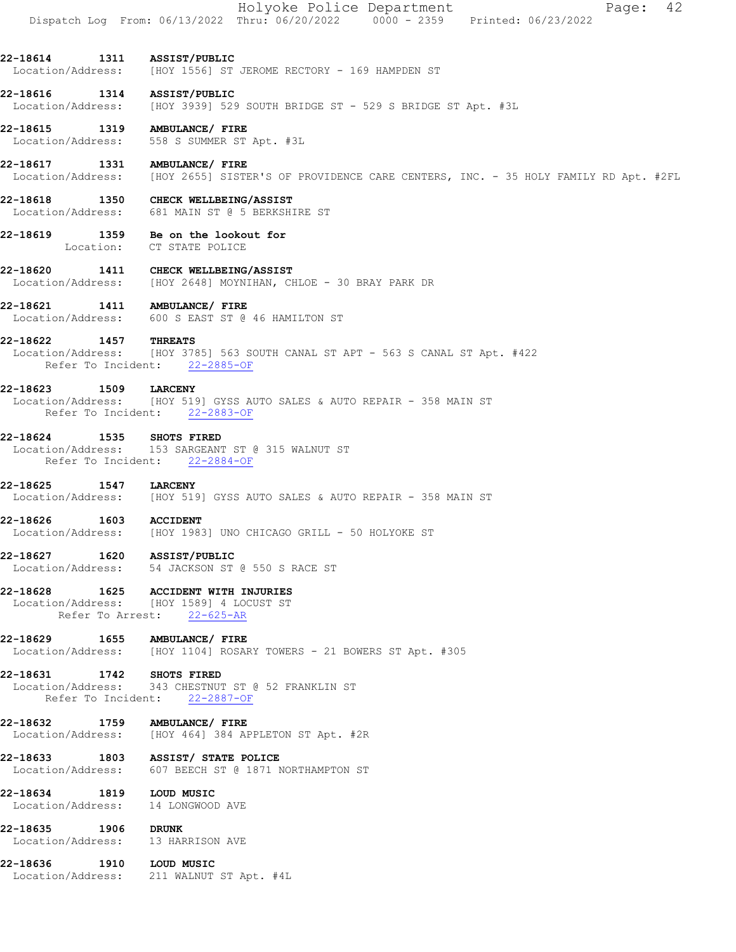Holyoke Police Department Page: 42 Dispatch Log From: 06/13/2022 Thru: 06/20/2022 0000 - 2359 Printed: 06/23/2022

22-18614 1311 ASSIST/PUBLIC Location/Address: [HOY 1556] ST JEROME RECTORY - 169 HAMPDEN ST

**22-18616 1314 ASSIST/PUBLIC**<br>Location/Address: [HOY 3939] 529 [HOY 3939] 529 SOUTH BRIDGE ST - 529 S BRIDGE ST Apt. #3L

22-18615 1319 AMBULANCE/ FIRE Location/Address: 558 S SUMMER ST Apt. #3L

22-18617 1331 AMBULANCE/ FIRE Location/Address: [HOY 2655] SISTER'S OF PROVIDENCE CARE CENTERS, INC. - 35 HOLY FAMILY RD Apt. #2FL

22-18618 1350 CHECK WELLBEING/ASSIST Location/Address: 681 MAIN ST @ 5 BERKSHIRE ST

22-18619 1359 Be on the lookout for Location: CT STATE POLICE

22-18620 1411 CHECK WELLBEING/ASSIST<br>Location/Address: [HOY 2648] MOYNIHAN, CH [HOY 2648] MOYNIHAN, CHLOE - 30 BRAY PARK DR

22-18621 1411 AMBULANCE/ FIRE Location/Address: 600 S EAST ST @ 46 HAMILTON ST

22-18622 1457 THREATS

 Location/Address: [HOY 3785] 563 SOUTH CANAL ST APT - 563 S CANAL ST Apt. #422 Refer To Incident: 22-2885-OF

# 22-18623 1509 LARCENY

Location/Address: [HOY 519] GYSS AUTO SALES & AUTO REPAIR - 358 MAIN ST Refer To Incident: 22-2883-OF

22-18624 1535 SHOTS FIRED

 Location/Address: 153 SARGEANT ST @ 315 WALNUT ST Refer To Incident: 22-2884-OF

22-18625 1547 LARCENY Location/Address: [HOY 519] GYSS AUTO SALES & AUTO REPAIR - 358 MAIN ST

22-18626 1603 ACCIDENT Location/Address: [HOY 1983] UNO CHICAGO GRILL - 50 HOLYOKE ST

22-18627 1620 ASSIST/PUBLIC Location/Address: 54 JACKSON ST @ 550 S RACE ST

22-18628 1625 ACCIDENT WITH INJURIES

 Location/Address: [HOY 1589] 4 LOCUST ST Refer To Arrest: 22-625-AR

22-18629 1655 AMBULANCE/FIRE<br>Location/Address: [HOY 1104] ROSAR [HOY 1104] ROSARY TOWERS - 21 BOWERS ST Apt. #305

22-18631 1742 SHOTS FIRED<br>Location/Address: 343 CHESTNUT 343 CHESTNUT ST @ 52 FRANKLIN ST Refer To Incident: 22-2887-OF

**22-18632 1759 AMBULANCE/FIRE**<br>Location/Address: [HOY 464] 384 AF [HOY 464] 384 APPLETON ST Apt. #2R

22-18633 1803 ASSIST/ STATE POLICE Location/Address: 607 BEECH ST @ 1871 NORTHAMPTON ST

22-18634 1819 LOUD MUSIC<br>
Location/Address: 14 LONGWOOD AVE Location/Address:

22-18635 1906 DRUNK

Location/Address: 13 HARRISON AVE

22-18636 1910 LOUD MUSIC Location/Address: 211 WALNUT ST Apt. #4L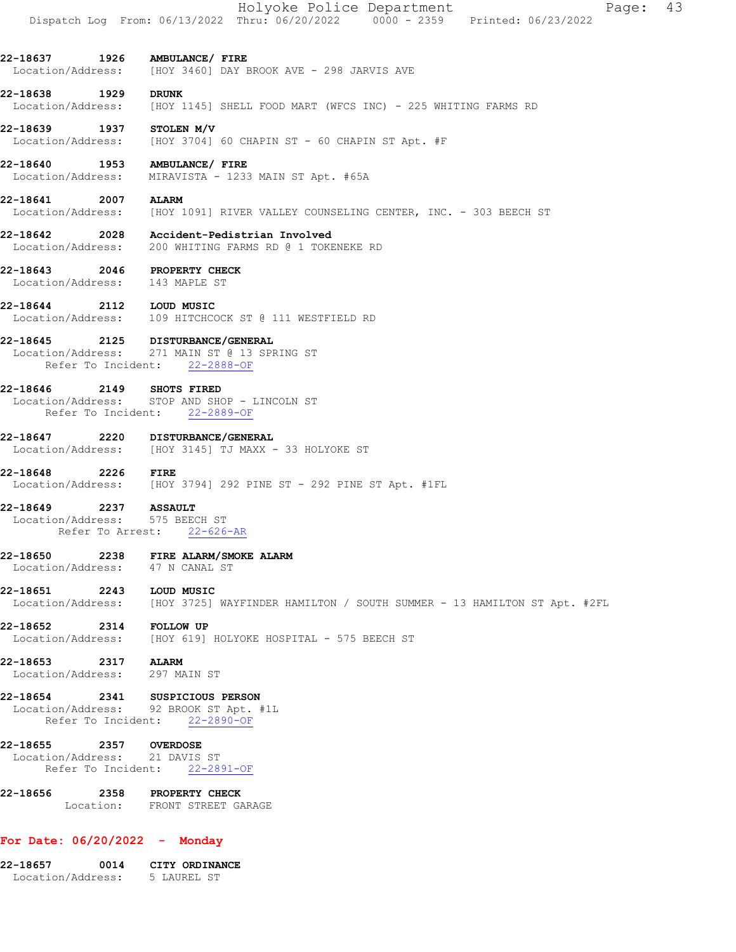| 22-18656 2358 PROPERTY CHECK                               | Location: FRONT STREET GARAGE                                                                                      |
|------------------------------------------------------------|--------------------------------------------------------------------------------------------------------------------|
| 22-18655 2357 OVERDOSE<br>Location/Address: 21 DAVIS ST    | Refer To Incident: 22-2891-OF                                                                                      |
| 22-18654 2341 SUSPICIOUS PERSON                            | Location/Address: 92 BROOK ST Apt. #1L<br>Refer To Incident: 22-2890-OF                                            |
| 22-18653 2317 ALARM<br>Location/Address: 297 MAIN ST       |                                                                                                                    |
| 22-18652 2314 FOLLOW UP                                    | Location/Address: [HOY 619] HOLYOKE HOSPITAL - 575 BEECH ST                                                        |
| 22-18651 2243 LOUD MUSIC<br>Location/Address:              | [HOY 3725] WAYFINDER HAMILTON / SOUTH SUMMER - 13 HAMILTON ST Apt. #2FL                                            |
| Location/Address: 47 N CANAL ST                            | 22-18650 2238 FIRE ALARM/SMOKE ALARM                                                                               |
| 22-18649 2237 ASSAULT<br>Location/Address: 575 BEECH ST    | Refer To Arrest: 22-626-AR                                                                                         |
| 22-18648<br>2226                                           | <b>FIRE</b><br>Location/Address: [HOY 3794] 292 PINE ST - 292 PINE ST Apt. #1FL                                    |
|                                                            | 22-18647 2220 DISTURBANCE/GENERAL<br>Location/Address: [HOY 3145] TJ MAXX - 33 HOLYOKE ST                          |
|                                                            | Location/Address: STOP AND SHOP - LINCOLN ST<br>Refer To Incident: 22-2889-OF                                      |
| 22-18646                                                   | 2149 SHOTS FIRED                                                                                                   |
|                                                            | 22-18645 2125 DISTURBANCE/GENERAL<br>Location/Address: 271 MAIN ST @ 13 SPRING ST<br>Refer To Incident: 22-2888-OF |
|                                                            | Location/Address: 109 HITCHCOCK ST @ 111 WESTFIELD RD                                                              |
| Location/Address: 143 MAPLE ST<br>22-18644 2112 LOUD MUSIC |                                                                                                                    |
| 22-18643                                                   | 2046 PROPERTY CHECK                                                                                                |
| Location/Address:                                          | 22-18642 2028 Accident-Pedistrian Involved<br>200 WHITING FARMS RD @ 1 TOKENEKE RD                                 |
| 22-18641<br>Location/Address:                              | 2007 ALARM<br>[HOY 1091] RIVER VALLEY COUNSELING CENTER, INC. - 303 BEECH ST                                       |
| 22-18640 1953 AMBULANCE/ FIRE<br>Location/Address:         | MIRAVISTA - 1233 MAIN ST Apt. #65A                                                                                 |
| 22-18639 1937 STOLEN M/V                                   | Location/Address: [HOY 3704] 60 CHAPIN ST - 60 CHAPIN ST Apt. #F                                                   |
| 22-18638 1929<br>Location/Address:                         | <b>DRUNK</b><br>[HOY 1145] SHELL FOOD MART (WFCS INC) - 225 WHITING FARMS RD                                       |
| 22-18637 1926 AMBULANCE/ FIRE                              | Location/Address: [HOY 3460] DAY BROOK AVE - 298 JARVIS AVE                                                        |
|                                                            |                                                                                                                    |

# 22-18657 0014 CITY ORDINANCE

Location/Address: 5 LAUREL ST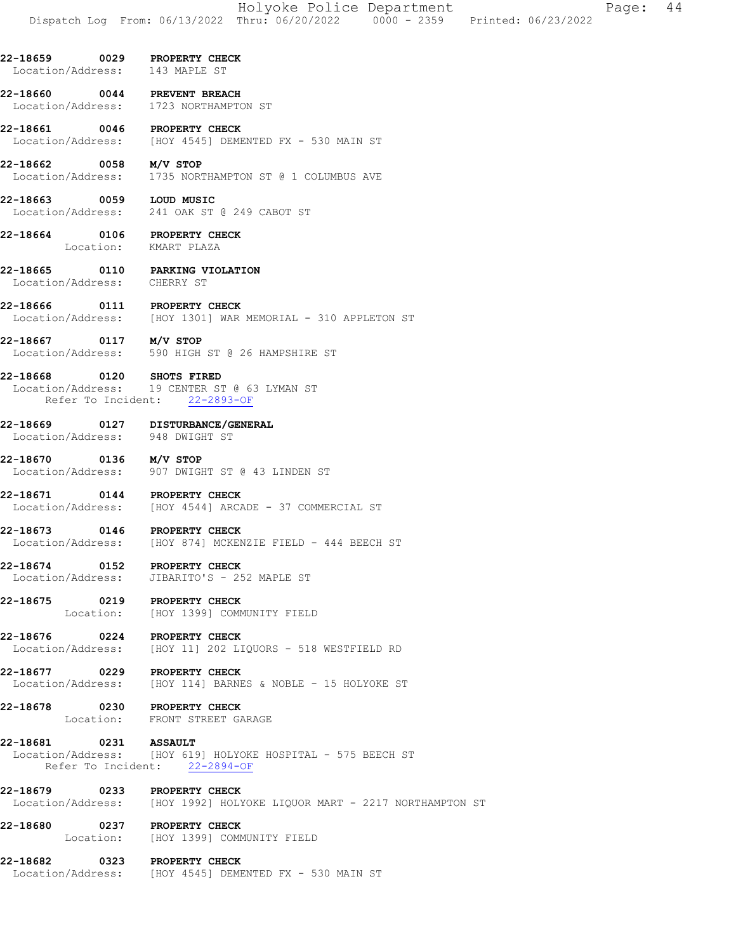- 22-18659 0029 PROPERTY CHECK Location/Address: 143 MAPLE ST
- 22-18660 0044 PREVENT BREACH<br>Location/Address: 1723 NORTHAMPTO 1723 NORTHAMPTON ST
- 22-18661 0046 PROPERTY CHECK Location/Address: [HOY 4545] DEMENTED FX - 530 MAIN ST
- 22-18662 0058 M/V STOP Location/Address: 1735 NORTHAMPTON ST @ 1 COLUMBUS AVE
- 22-18663 0059 LOUD MUSIC Location/Address: 241 OAK ST @ 249 CABOT ST
- 22-18664 0106 PROPERTY CHECK Location: KMART PLAZA
- 22-18665 0110 PARKING VIOLATION<br>Location/Address: CHERRY ST Location/Address:
- 22-18666 0111 PROPERTY CHECK<br>Location/Address: [HOY 1301] WAR [HOY 1301] WAR MEMORIAL - 310 APPLETON ST
- 22-18667 0117 M/V STOP Location/Address: 590 HIGH ST @ 26 HAMPSHIRE ST
- 22-18668 0120 SHOTS FIRED Location/Address: 19 CENTER ST @ 63 LYMAN ST Refer To Incident: 22-2893-OF
- 22-18669 0127 DISTURBANCE/GENERAL Location/Address: 948 DWIGHT ST
- 22-18670 0136 M/V STOP
- Location/Address: 907 DWIGHT ST @ 43 LINDEN ST
- 22-18671 0144 PROPERTY CHECK<br>Location/Address: [HOY 4544] ARC [HOY 4544] ARCADE - 37 COMMERCIAL ST
- 22-18673 0146 PROPERTY CHECK Location/Address: [HOY 874] MCKENZIE FIELD - 444 BEECH ST
- 22-18674 0152 PROPERTY CHECK Location/Address: JIBARITO'S - 252 MAPLE ST
- 22-18675 0219 PROPERTY CHECK<br>Location: [HOY 1399] COMM [HOY 1399] COMMUNITY FIELD
- 22-18676 0224 PROPERTY CHECK Location/Address: [HOY 11] 202 LIQUORS - 518 WESTFIELD RD
- 22-18677 0229 PROPERTY CHECK<br>Location/Address: [HOY 114] BARNE [HOY 114] BARNES & NOBLE - 15 HOLYOKE ST
- 22-18678 0230 PROPERTY CHECK Location: FRONT STREET GARAGE
- 22-18681 0231 ASSAULT Location/Address: [HOY 619] HOLYOKE HOSPITAL - 575 BEECH ST Refer To Incident: 22-2894-OF
- 22-18679 0233 PROPERTY CHECK Location/Address: [HOY 1992] HOLYOKE LIQUOR MART - 2217 NORTHAMPTON ST
- 22-18680 0237 PROPERTY CHECK<br>
Location: [HOY 1399] COMP [HOY 1399] COMMUNITY FIELD
- 22-18682 0323 PROPERTY CHECK Location/Address: [HOY 4545] DEMENTED FX - 530 MAIN ST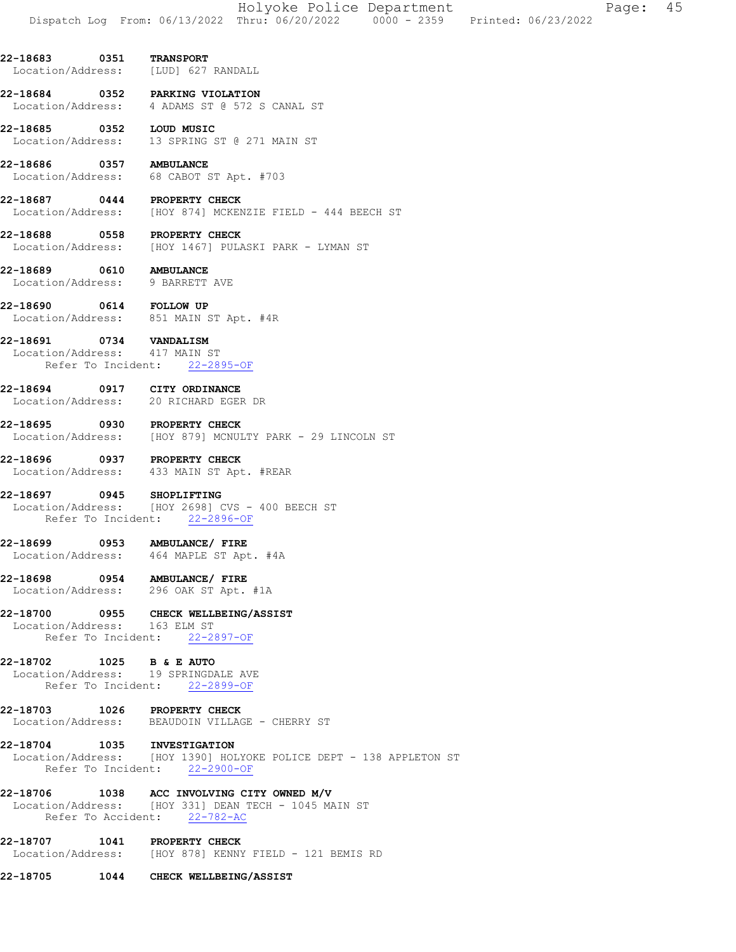Location/Address: [LUD] 627 RANDALL

22-18684 0352 PARKING VIOLATION Location/Address: 4 ADAMS ST @ 572 S CANAL ST

22-18685 0352 LOUD MUSIC Location/Address: 13 SPRING ST @ 271 MAIN ST

22-18686 0357 AMBULANCE Location/Address: 68 CABOT ST Apt. #703

22-18687 0444 PROPERTY CHECK Location/Address: [HOY 874] MCKENZIE FIELD - 444 BEECH ST

22-18688 0558 PROPERTY CHECK Location/Address: [HOY 1467] PULASKI PARK - LYMAN ST

22-18689 0610 AMBULANCE<br>
Location/Address: 9 BARRETT AVE Location/Address:

22-18690 0614 FOLLOW UP<br>Location/Address: 851 MAIN ST Apt. #4R Location/Address:

22-18691 0734 VANDALISM<br>Location/Address: 417 MAIN ST

Location/Address: Refer To Incident: 22-2895-OF

22-18694 0917 CITY ORDINANCE Location/Address: 20 RICHARD EGER DR

22-18695 0930 PROPERTY CHECK Location/Address: [HOY 879] MCNULTY PARK - 29 LINCOLN ST

22-18696 0937 PROPERTY CHECK Location/Address: 433 MAIN ST Apt. #REAR

22-18697 0945 SHOPLIFTING Location/Address: [HOY 2698] CVS - 400 BEECH ST Refer To Incident: 22-2896-OF

22-18699 0953 AMBULANCE/ FIRE Location/Address: 464 MAPLE ST Apt. #4A

22-18698 0954 AMBULANCE/ FIRE Location/Address: 296 OAK ST Apt. #1A

22-18700 0955 CHECK WELLBEING/ASSIST

 Location/Address: 163 ELM ST Refer To Incident: 22-2897-OF

22-18702 1025 B & E AUTO

 Location/Address: 19 SPRINGDALE AVE Refer To Incident: 22-2899-OF

22-18703 1026 PROPERTY CHECK Location/Address: BEAUDOIN VILLAGE - CHERRY ST

22-18704 1035 INVESTIGATION

 Location/Address: [HOY 1390] HOLYOKE POLICE DEPT - 138 APPLETON ST Refer To Incident: 22-2900-OF

22-18706 1038 ACC INVOLVING CITY OWNED M/V

 Location/Address: [HOY 331] DEAN TECH - 1045 MAIN ST Refer To Accident: 22-782-AC

22-18707 1041 PROPERTY CHECK Location/Address: [HOY 878] KENNY FIELD - 121 BEMIS RD

22-18705 1044 CHECK WELLBEING/ASSIST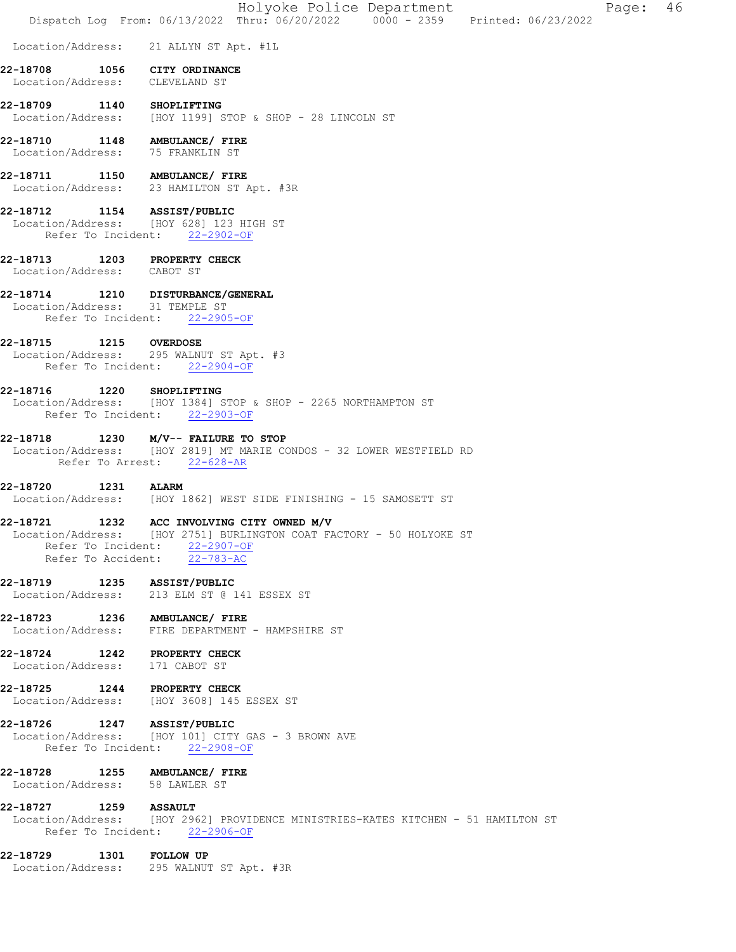|                                                                 | Holyoke Police Department<br>-46<br>Page:<br>Dispatch Log From: 06/13/2022 Thru: 06/20/2022 0000 - 2359 Printed: 06/23/2022                                                |
|-----------------------------------------------------------------|----------------------------------------------------------------------------------------------------------------------------------------------------------------------------|
| Location/Address:                                               | 21 ALLYN ST Apt. #1L                                                                                                                                                       |
| 22-18708<br>Location/Address: CLEVELAND ST                      | 1056 CITY ORDINANCE                                                                                                                                                        |
| 22-18709 1140 SHOPLIFTING                                       | Location/Address: [HOY 1199] STOP & SHOP - 28 LINCOLN ST                                                                                                                   |
| 22-18710<br>Location/Address: 75 FRANKLIN ST                    | 1148 AMBULANCE/ FIRE                                                                                                                                                       |
| 22-18711 1150 AMBULANCE/ FIRE                                   | Location/Address: 23 HAMILTON ST Apt. #3R                                                                                                                                  |
| 22-18712 1154 ASSIST/PUBLIC                                     | Location/Address: [HOY 628] 123 HIGH ST<br>Refer To Incident: 22-2902-OF                                                                                                   |
| 22-18713 1203 PROPERTY CHECK<br>Location/Address: CABOT ST      |                                                                                                                                                                            |
| Location/Address: 31 TEMPLE ST                                  | 22-18714 1210 DISTURBANCE/GENERAL<br>Refer To Incident: 22-2905-OF                                                                                                         |
| 22-18715                                                        | 1215 OVERDOSE<br>Location/Address: 295 WALNUT ST Apt. #3<br>Refer To Incident: 22-2904-OF                                                                                  |
| 22-18716                                                        | 1220 SHOPLIFTING<br>Location/Address: [HOY 1384] STOP & SHOP - 2265 NORTHAMPTON ST<br>Refer To Incident: 22-2903-OF                                                        |
| 22-18718                                                        | 1230 M/V-- FAILURE TO STOP<br>Location/Address: [HOY 2819] MT MARIE CONDOS - 32 LOWER WESTFIELD RD<br>Refer To Arrest: 22-628-AR                                           |
| 22-18720<br>1231                                                | <b>ALARM</b><br>Location/Address: [HOY 1862] WEST SIDE FINISHING - 15 SAMOSETT ST                                                                                          |
| 22-18721                                                        | 1232 ACC INVOLVING CITY OWNED M/V<br>Location/Address: [HOY 2751] BURLINGTON COAT FACTORY - 50 HOLYOKE ST<br>Refer To Incident: 22-2907-OF<br>Refer To Accident: 22-783-AC |
| 22-18719 1235 ASSIST/PUBLIC                                     | Location/Address: 213 ELM ST @ 141 ESSEX ST                                                                                                                                |
| 22-18723 1236 AMBULANCE/ FIRE                                   | Location/Address: FIRE DEPARTMENT - HAMPSHIRE ST                                                                                                                           |
| 22-18724 1242 PROPERTY CHECK<br>Location/Address: 171 CABOT ST  |                                                                                                                                                                            |
| 22-18725 1244 PROPERTY CHECK                                    | Location/Address: [HOY 3608] 145 ESSEX ST                                                                                                                                  |
| 22-18726 1247 ASSIST/PUBLIC                                     | Location/Address: [HOY 101] CITY GAS - 3 BROWN AVE<br>Refer To Incident: 22-2908-OF                                                                                        |
| 22-18728 1255 AMBULANCE/ FIRE<br>Location/Address: 58 LAWLER ST |                                                                                                                                                                            |
| 22-18727 1259 ASSAULT                                           | Location/Address: [HOY 2962] PROVIDENCE MINISTRIES-KATES KITCHEN - 51 HAMILTON ST<br>Refer To Incident: 22-2906-OF                                                         |
| 22-18729 1301 FOLLOW UP                                         | Location/Address: 295 WALNUT ST Apt. #3R                                                                                                                                   |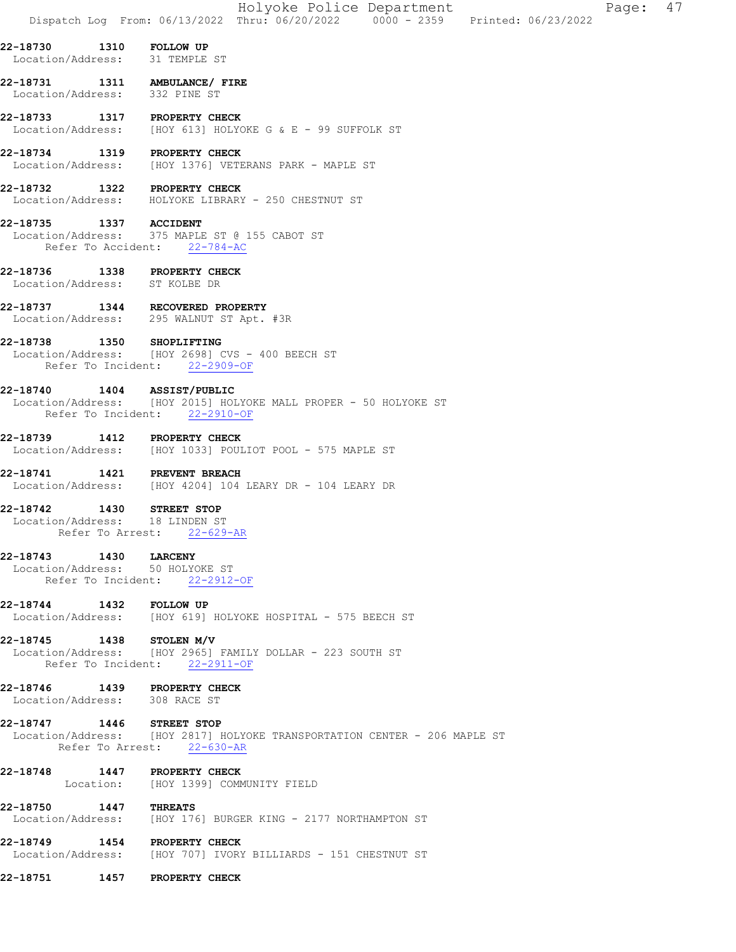|                                                               |                  | Holyoke Police Department<br>47<br>Page:<br>Dispatch Log From: 06/13/2022 Thru: 06/20/2022 0000 - 2359 Printed: 06/23/2022 |
|---------------------------------------------------------------|------------------|----------------------------------------------------------------------------------------------------------------------------|
| 22-18730 1310 FOLLOW UP<br>Location/Address: 31 TEMPLE ST     |                  |                                                                                                                            |
| Location/Address: 332 PINE ST                                 |                  | 22-18731   1311   AMBULANCE/ FIRE                                                                                          |
| 22-18733 1317 PROPERTY CHECK                                  |                  | Location/Address: [HOY 613] HOLYOKE G & E - 99 SUFFOLK ST                                                                  |
| 22-18734                                                      |                  | 1319 PROPERTY CHECK<br>Location/Address: [HOY 1376] VETERANS PARK - MAPLE ST                                               |
| 22-18732 1322 PROPERTY CHECK                                  |                  | Location/Address: HOLYOKE LIBRARY - 250 CHESTNUT ST                                                                        |
| 22-18735 1337 ACCIDENT                                        |                  | Location/Address: 375 MAPLE ST @ 155 CABOT ST<br>Refer To Accident: 22-784-AC                                              |
| 22-18736<br>Location/Address: ST KOLBE DR                     |                  | 1338 PROPERTY CHECK                                                                                                        |
|                                                               |                  | 22-18737 1344 RECOVERED PROPERTY<br>Location/Address: 295 WALNUT ST Apt. #3R                                               |
| 22-18738 1350                                                 |                  | <b>SHOPLIFTING</b><br>Location/Address: [HOY 2698] CVS - 400 BEECH ST<br>Refer To Incident: 22-2909-OF                     |
| 22-18740 1404 ASSIST/PUBLIC                                   |                  | Location/Address: [HOY 2015] HOLYOKE MALL PROPER - 50 HOLYOKE ST<br>Refer To Incident: 22-2910-OF                          |
| 22-18739                                                      |                  | 1412 PROPERTY CHECK<br>Location/Address: [HOY 1033] POULIOT POOL - 575 MAPLE ST                                            |
| 22-18741                                                      |                  | <b>1421 PREVENT BREACH</b><br>Location/Address: [HOY 4204] 104 LEARY DR - 104 LEARY DR                                     |
| $22 - 18742$<br>Location/Address: 18 LINDEN ST                | Refer To Arrest: | 1430 STREET STOP<br>22-629-AR                                                                                              |
| 22-18743 1430 LARCENY<br>Location/Address: 50 HOLYOKE ST      |                  | Refer To Incident: 22-2912-OF                                                                                              |
| 22-18744 1432 FOLLOW UP                                       |                  | Location/Address: [HOY 619] HOLYOKE HOSPITAL - 575 BEECH ST                                                                |
| 22-18745 1438 STOLEN M/V                                      |                  | Location/Address: [HOY 2965] FAMILY DOLLAR - 223 SOUTH ST<br>Refer To Incident: 22-2911-OF                                 |
| 22-18746 1439 PROPERTY CHECK<br>Location/Address: 308 RACE ST |                  |                                                                                                                            |
| 22-18747 1446 STREET STOP                                     |                  | Location/Address:    [HOY 2817] HOLYOKE TRANSPORTATION CENTER - 206 MAPLE ST<br>Refer To Arrest: 22-630-AR                 |
| 22-18748 1447 PROPERTY CHECK                                  |                  | Location: [HOY 1399] COMMUNITY FIELD                                                                                       |
| 22-18750 1447 THREATS                                         |                  | Location/Address: [HOY 176] BURGER KING - 2177 NORTHAMPTON ST                                                              |
|                                                               |                  | 22-18749 1454 PROPERTY CHECK<br>Location/Address: [HOY 707] IVORY BILLIARDS - 151 CHESTNUT ST                              |
| 22-18751 1457 PROPERTY CHECK                                  |                  |                                                                                                                            |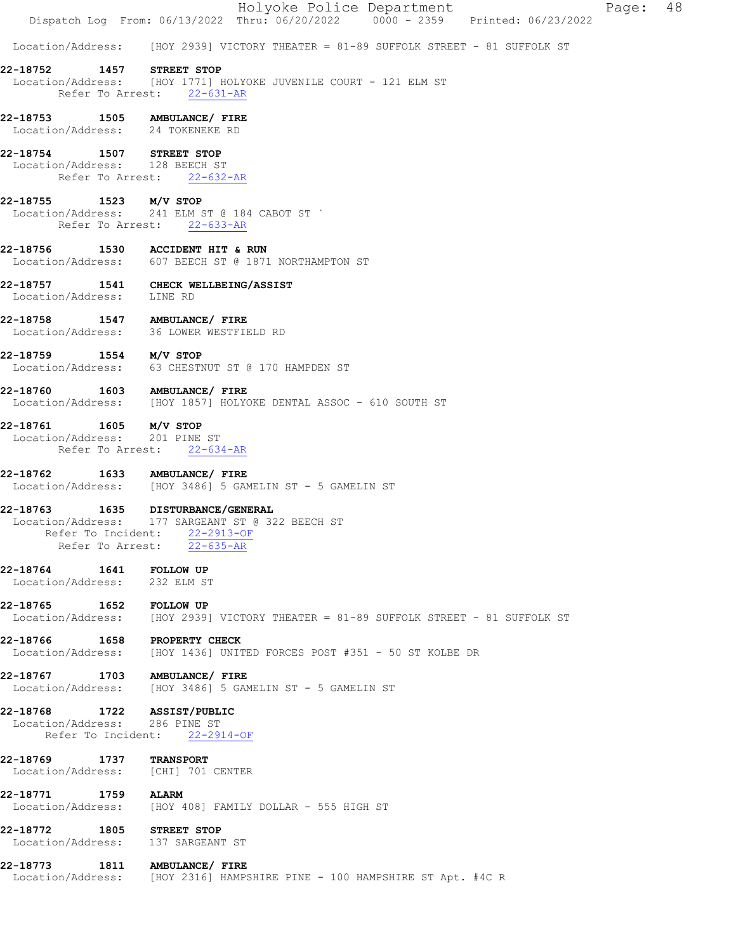|                                                                         | Holyoke Police Department<br>Page: 48<br>Dispatch Log From: $06/13/2022$ Thru: $06/20/2022$ 0000 - 2359 Printed: $06/23/2022$ |
|-------------------------------------------------------------------------|-------------------------------------------------------------------------------------------------------------------------------|
|                                                                         | Location/Address: [HOY 2939] VICTORY THEATER = 81-89 SUFFOLK STREET - 81 SUFFOLK ST                                           |
| 22-18752 1457 STREET STOP                                               |                                                                                                                               |
|                                                                         | Location/Address: [HOY 1771] HOLYOKE JUVENILE COURT - 121 ELM ST<br>Refer To Arrest: 22-631-AR                                |
| Location/Address: 24 TOKENEKE RD                                        |                                                                                                                               |
| 22-18754 1507 STREET STOP<br>Location/Address: 128 BEECH ST             | Refer To Arrest: 22-632-AR                                                                                                    |
|                                                                         |                                                                                                                               |
| 22-18755 1523 M/V STOP                                                  | Location/Address: 241 ELM ST @ 184 CABOT ST `<br>Refer To Arrest: 22-633-AR                                                   |
| 22-18756 1530 ACCIDENT HIT & RUN                                        | Location/Address: 607 BEECH ST @ 1871 NORTHAMPTON ST                                                                          |
| 22-18757 1541 CHECK WELLBEING/ASSIST<br>Location/Address: LINE RD       |                                                                                                                               |
| 22-18758 1547 AMBULANCE/FIRE<br>Location/Address: 36 LOWER WESTFIELD RD |                                                                                                                               |
| 22-18759 1554 M/V STOP                                                  | Location/Address: 63 CHESTNUT ST @ 170 HAMPDEN ST                                                                             |
|                                                                         | 22-18760   1603   AMBULANCE/ FIRE<br>Location/Address: [HOY 1857] HOLYOKE DENTAL ASSOC - 610 SOUTH ST                         |
| 22-18761 1605 M/V STOP<br>Location/Address: 201 PINE ST                 | Refer To Arrest: 22-634-AR                                                                                                    |
| 22-18762 1633 AMBULANCE/ FIRE                                           | Location/Address: [HOY 3486] 5 GAMELIN ST - 5 GAMELIN ST                                                                      |
| 22-18763 1635 DISTURBANCE/GENERAL<br>Refer To Arrest:                   | Location/Address: 177 SARGEANT ST @ 322 BEECH ST<br>Refer To Incident: 22-2913-OF<br>$22 - 635 - AR$                          |
| 22-18764 1641<br>Location/Address: 232 ELM ST                           | <b>FOLLOW UP</b>                                                                                                              |
| 22-18765 1652 FOLLOW UP                                                 | Location/Address: [HOY 2939] VICTORY THEATER = 81-89 SUFFOLK STREET - 81 SUFFOLK ST                                           |
| 22-18766 1658 PROPERTY CHECK                                            | Location/Address: [HOY 1436] UNITED FORCES POST #351 - 50 ST KOLBE DR                                                         |
| 22-18767 1703 AMBULANCE/ FIRE                                           | Location/Address: [HOY 3486] 5 GAMELIN ST - 5 GAMELIN ST                                                                      |
| 22-18768 1722 ASSIST/PUBLIC<br>Location/Address: 286 PINE ST            | Refer To Incident: 22-2914-OF                                                                                                 |
|                                                                         |                                                                                                                               |
| 22-18769 1737 TRANSPORT<br>Location/Address: [CHI] 701 CENTER           |                                                                                                                               |
| 22-18771 1759                                                           | <b>ALARM</b><br>Location/Address: [HOY 408] FAMILY DOLLAR - 555 HIGH ST                                                       |
| 22-18772 1805 STREET STOP<br>Location/Address: 137 SARGEANT ST          |                                                                                                                               |
| 22-18773   1811   AMBULANCE/ FIRE                                       | Location/Address: [HOY 2316] HAMPSHIRE PINE - 100 HAMPSHIRE ST Apt. #4C R                                                     |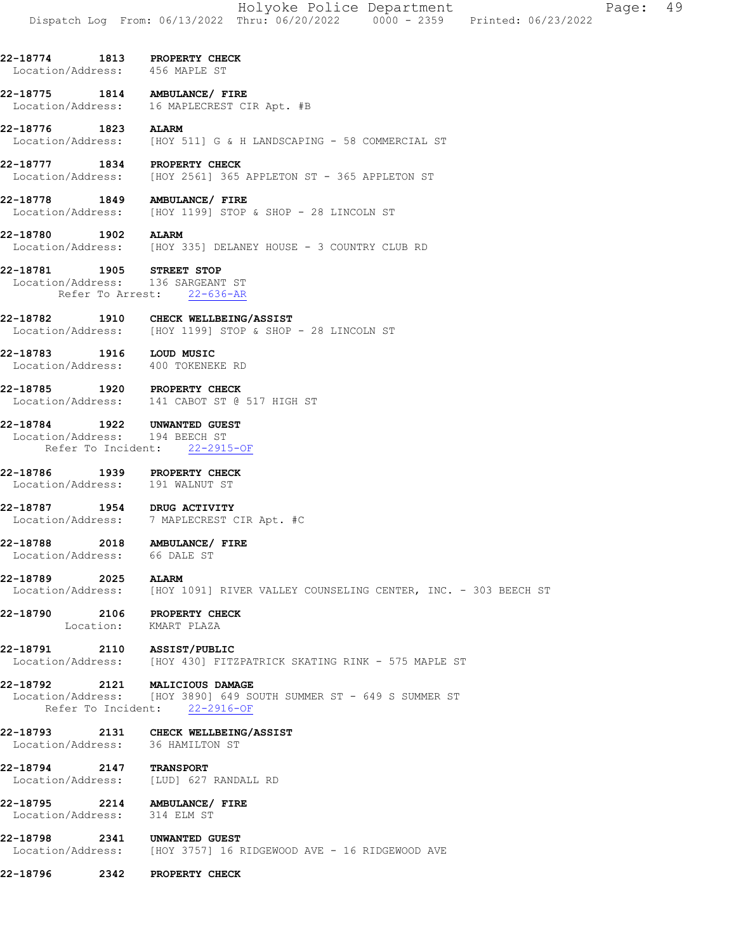- 22-18774 1813 PROPERTY CHECK Location/Address: 456 MAPLE ST
- 22-18775 1814 AMBULANCE/ FIRE Location/Address: 16 MAPLECREST CIR Apt. #B
- **22-18776 1823 ALARM**<br>Location/Address: [HOY 5 [HOY 511] G & H LANDSCAPING - 58 COMMERCIAL ST
- 22-18777 1834 PROPERTY CHECK Location/Address: [HOY 2561] 365 APPLETON ST - 365 APPLETON ST
- 22-18778 1849 AMBULANCE/ FIRE Location/Address: [HOY 1199] STOP & SHOP - 28 LINCOLN ST
- 22-18780 1902 ALARM Location/Address: [HOY 335] DELANEY HOUSE - 3 COUNTRY CLUB RD
- 22-18781 1905 STREET STOP Location/Address: 136 SARGEANT ST Refer To Arrest: 22-636-AR
- 22-18782 1910 CHECK WELLBEING/ASSIST<br>Location/Address: [HOY 1199] STOP & SHOP [HOY 1199] STOP & SHOP - 28 LINCOLN ST
- 22-18783 1916 LOUD MUSIC Location/Address: 400 TOKENEKE RD
- 22-18785 1920 PROPERTY CHECK Location/Address: 141 CABOT ST @ 517 HIGH ST
- 22-18784 1922 UNWANTED GUEST
- Location/Address: 194 BEECH ST Refer To Incident: 22-2915-OF
- 22-18786 1939 PROPERTY CHECK Location/Address: 191 WALNUT ST
- 22-18787 1954 DRUG ACTIVITY Location/Address: 7 MAPLECREST CIR Apt. #C
- 22-18788 2018 AMBULANCE/ FIRE Location/Address: 66 DALE ST
- 22-18789 2025 ALARM
- Location/Address: [HOY 1091] RIVER VALLEY COUNSELING CENTER, INC. 303 BEECH ST
- 22-18790 2106 PROPERTY CHECK Location: KMART PLAZA
- 22-18791 2110 ASSIST/PUBLIC Location/Address: [HOY 430] FITZPATRICK SKATING RINK - 575 MAPLE ST
- 22-18792 2121 MALICIOUS DAMAGE

Location/Address: [HOY 3890] 649 SOUTH SUMMER ST - 649 S SUMMER ST Refer To Incident: 22-2916-OF

- 22-18793 2131 CHECK WELLBEING/ASSIST Location/Address: 36 HAMILTON ST
- 22-18794 2147 TRANSPORT Location/Address: [LUD] 627 RANDALL RD
- 22-18795 2214 AMBULANCE/ FIRE Location/Address: 314 ELM ST
- 22-18798 2341 UNWANTED GUEST<br>Location/Address: [HOY 3757] 16 F [HOY 3757] 16 RIDGEWOOD AVE - 16 RIDGEWOOD AVE
- 22-18796 2342 PROPERTY CHECK